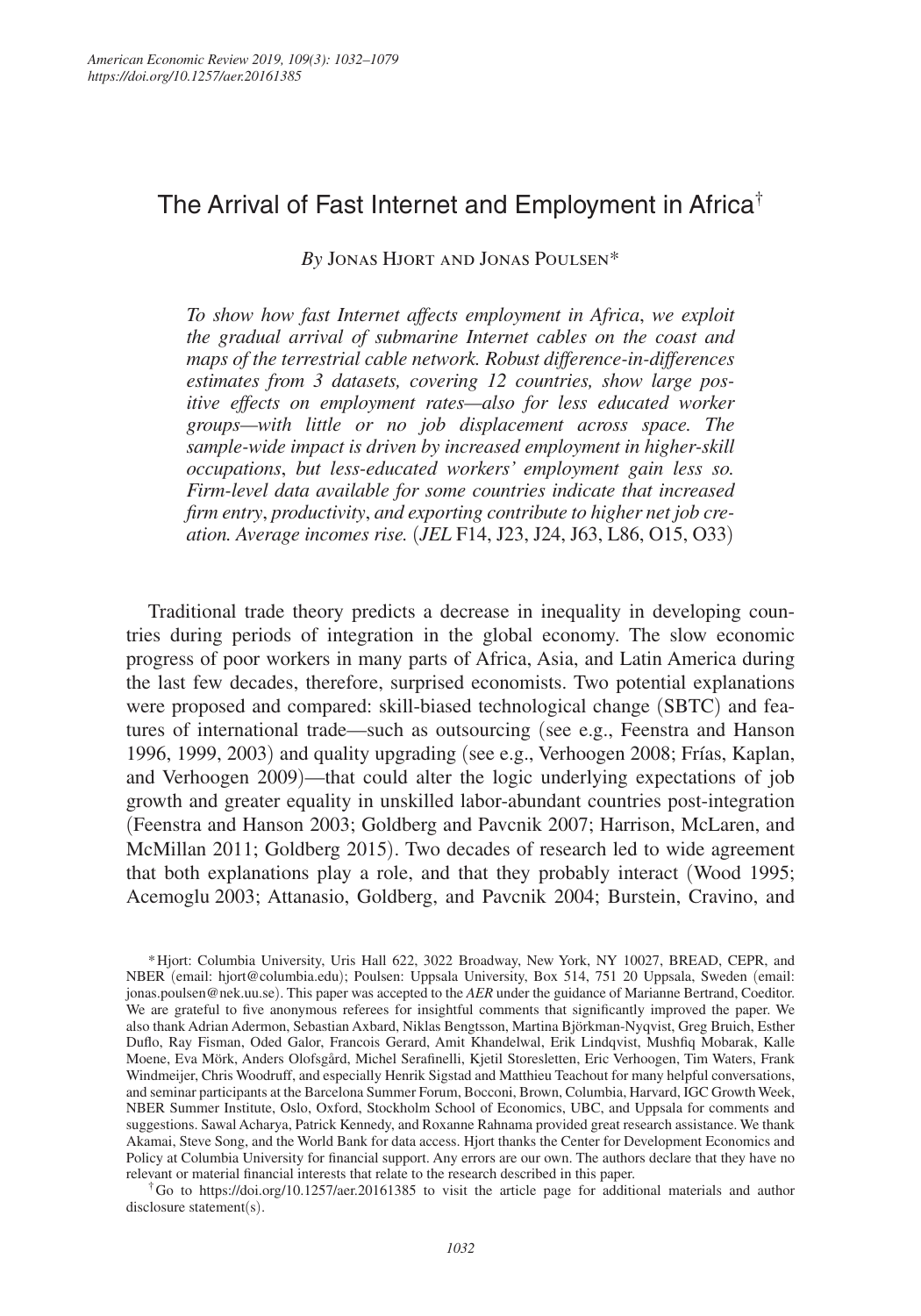# The Arrival of Fast Internet and Employment in Africa†

*By* Jonas Hjort and Jonas Poulsen\*

*To show how fast Internet affects employment in Africa*, *we exploit the gradual arrival of submarine Internet cables on the coast and maps of the terrestrial cable network. Robust difference-in-differences estimates from 3 datasets, covering 12 countries, show large positive effects on employment rates—also for less educated worker groups—with little or no job displacement across space. The sample-wide impact is driven by increased employment in higher-skill occupations*, *but less-educated workers' employment gain less so. Firm-level data available for some countries indicate that increased firm entry*, *productivity*, *and exporting contribute to higher net job creation. Average incomes rise.* (*JEL* F14, J23, J24, J63, L86, O15, O33)

Traditional trade theory predicts a decrease in inequality in developing countries during periods of integration in the global economy. The slow economic progress of poor workers in many parts of Africa, Asia, and Latin America during the last few decades, therefore, surprised economists. Two potential explanations were proposed and compared: skill-biased technological change (SBTC) and features of international trade—such as outsourcing (see e.g., Feenstra and Hanson 1996, 1999, 2003) and quality upgrading (see e.g., Verhoogen 2008; Frías, Kaplan, and Verhoogen 2009)—that could alter the logic underlying expectations of job growth and greater equality in unskilled labor-abundant countries post-integration (Feenstra and Hanson 2003; Goldberg and Pavcnik 2007; Harrison, McLaren, and McMillan 2011; Goldberg 2015). Two decades of research led to wide agreement that both explanations play a role, and that they probably interact (Wood 1995; Acemoglu 2003; Attanasio, Goldberg, and Pavcnik 2004; Burstein, Cravino, and

† Go to https://doi.org/10.1257/aer.20161385 to visit the article page for additional materials and author disclosure statement(s).

<sup>\*</sup> Hjort: Columbia University, Uris Hall 622, 3022 Broadway, New York, NY 10027, BREAD, CEPR, and NBER (email: hjort@columbia.edu); Poulsen: Uppsala University, Box 514, 751 20 Uppsala, Sweden (email: jonas.poulsen@nek.uu.se). This paper was accepted to the *AER* under the guidance of Marianne Bertrand, Coeditor. We are grateful to five anonymous referees for insightful comments that significantly improved the paper. We also thank Adrian Adermon, Sebastian Axbard, Niklas Bengtsson, Martina Björkman-Nyqvist, Greg Bruich, Esther Duflo, Ray Fisman, Oded Galor, Francois Gerard, Amit Khandelwal, Erik Lindqvist, Mushfiq Mobarak, Kalle Moene, Eva Mörk, Anders Olofsgård, Michel Serafinelli, Kjetil Storesletten, Eric Verhoogen, Tim Waters, Frank Windmeijer, Chris Woodruff, and especially Henrik Sigstad and Matthieu Teachout for many helpful conversations, and seminar participants at the Barcelona Summer Forum, Bocconi, Brown, Columbia, Harvard, IGC Growth Week, NBER Summer Institute, Oslo, Oxford, Stockholm School of Economics, UBC, and Uppsala for comments and suggestions. Sawal Acharya, Patrick Kennedy, and Roxanne Rahnama provided great research assistance. We thank Akamai, Steve Song, and the World Bank for data access. Hjort thanks the Center for Development Economics and Policy at Columbia University for financial support. Any errors are our own. The authors declare that they have no relevant or material financial interests that relate to the research described in this paper.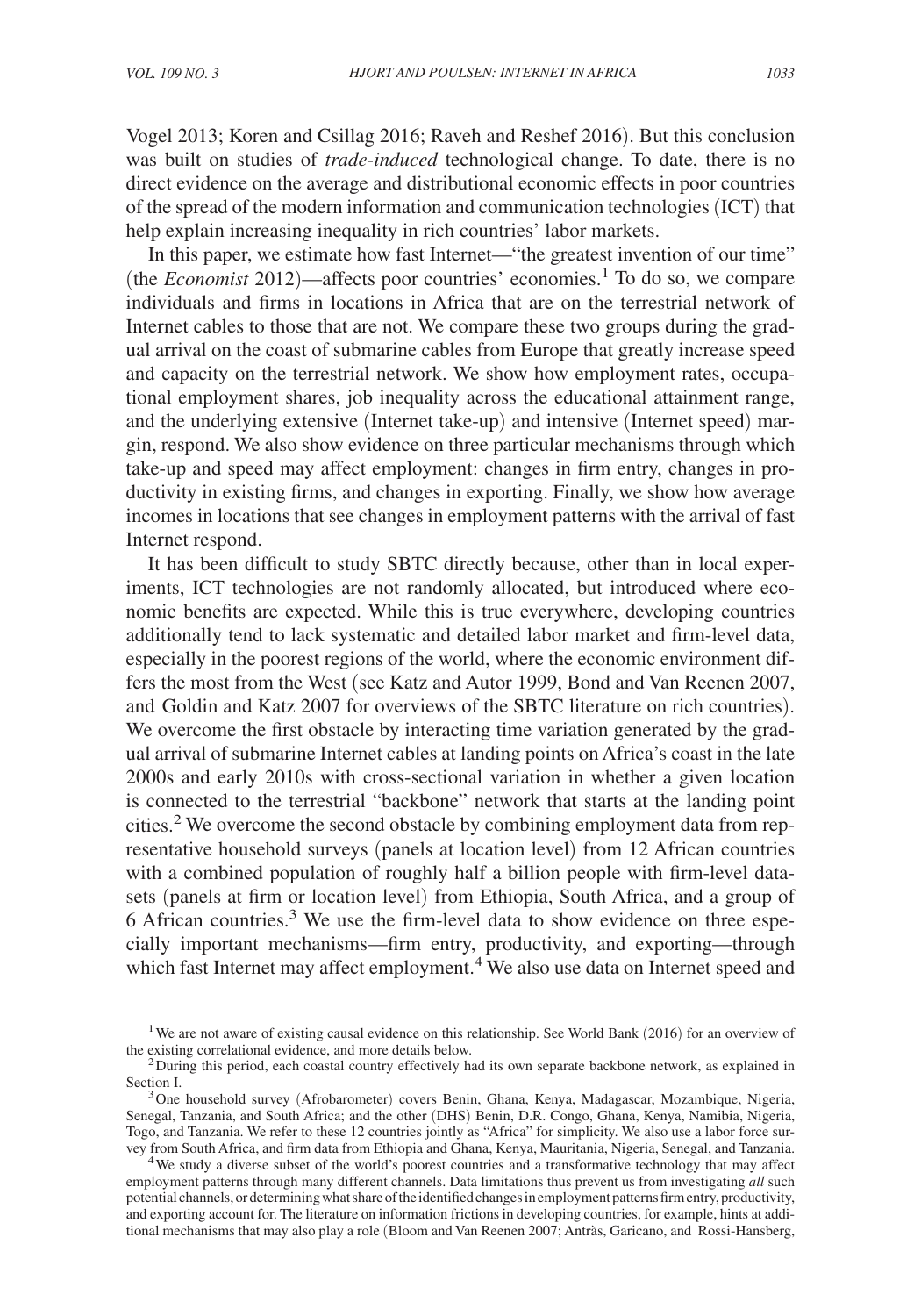Vogel 2013; Koren and Csillag 2016; Raveh and Reshef 2016). But this conclusion was built on studies of *trade-induced* technological change. To date, there is no direct evidence on the average and distributional economic effects in poor countries of the spread of the modern information and communication technologies (ICT) that help explain increasing inequality in rich countries' labor markets.

In this paper, we estimate how fast Internet—"the greatest invention of our time" (the *Economist* 2012)—affects poor countries' economies.<sup>1</sup> To do so, we compare individuals and firms in locations in Africa that are on the terrestrial network of Internet cables to those that are not. We compare these two groups during the gradual arrival on the coast of submarine cables from Europe that greatly increase speed and capacity on the terrestrial network. We show how employment rates, occupational employment shares, job inequality across the educational attainment range, and the underlying extensive (Internet take-up) and intensive (Internet speed) margin, respond. We also show evidence on three particular mechanisms through which take-up and speed may affect employment: changes in firm entry, changes in productivity in existing firms, and changes in exporting. Finally, we show how average incomes in locations that see changes in employment patterns with the arrival of fast Internet respond.

It has been difficult to study SBTC directly because, other than in local experiments, ICT technologies are not randomly allocated, but introduced where economic benefits are expected. While this is true everywhere, developing countries additionally tend to lack systematic and detailed labor market and firm-level data, especially in the poorest regions of the world, where the economic environment differs the most from the West (see Katz and Autor 1999, Bond and Van Reenen 2007, and Goldin and Katz 2007 for overviews of the SBTC literature on rich countries). We overcome the first obstacle by interacting time variation generated by the gradual arrival of submarine Internet cables at landing points on Africa's coast in the late 2000s and early 2010s with cross-sectional variation in whether a given location is connected to the terrestrial "backbone" network that starts at the landing point cities.<sup>2</sup> We overcome the second obstacle by combining employment data from representative household surveys (panels at location level) from 12 African countries with a combined population of roughly half a billion people with firm-level datasets (panels at firm or location level) from Ethiopia, South Africa, and a group of 6 African countries.<sup>3</sup> We use the firm-level data to show evidence on three especially important mechanisms—firm entry, productivity, and exporting—through which fast Internet may affect employment.<sup>4</sup> We also use data on Internet speed and

<sup>&</sup>lt;sup>1</sup>We are not aware of existing causal evidence on this relationship. See World Bank (2016) for an overview of the existing correlational evidence, and more details below.

 $2$ During this period, each coastal country effectively had its own separate backbone network, as explained in Section I.

<sup>&</sup>lt;sup>3</sup>One household survey (Afrobarometer) covers Benin, Ghana, Kenya, Madagascar, Mozambique, Nigeria, Senegal, Tanzania, and South Africa; and the other (DHS) Benin, D.R. Congo, Ghana, Kenya, Namibia, Nigeria, Togo, and Tanzania. We refer to these 12 countries jointly as "Africa" for simplicity. We also use a labor force survey from South Africa, and firm data from Ethiopia and Ghana, Kenya, Mauritania, Nigeria, Senegal, and Tanzania.

<sup>&</sup>lt;sup>4</sup>We study a diverse subset of the world's poorest countries and a transformative technology that may affect employment patterns through many different channels. Data limitations thus prevent us from investigating *all* such potential channels, or determining what share of the identified changes in employment patterns firm entry, productivity, and exporting account for. The literature on information frictions in developing countries, for example, hints at additional mechanisms that may also play a role (Bloom and Van Reenen 2007; Antràs, Garicano, and Rossi-Hansberg,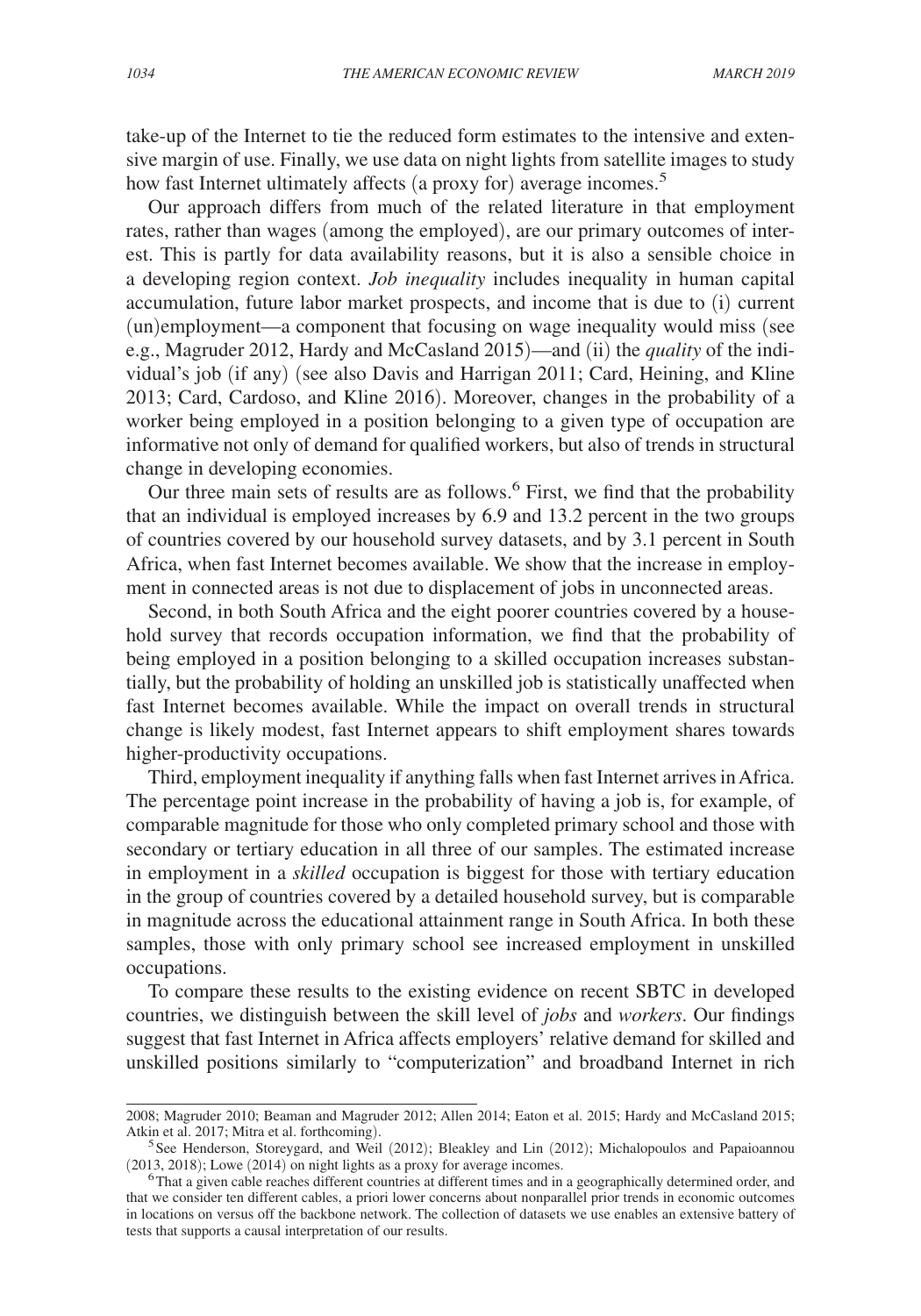take-up of the Internet to tie the reduced form estimates to the intensive and extensive margin of use. Finally, we use data on night lights from satellite images to study how fast Internet ultimately affects (a proxy for) average incomes.<sup>5</sup>

Our approach differs from much of the related literature in that employment rates, rather than wages (among the employed), are our primary outcomes of interest. This is partly for data availability reasons, but it is also a sensible choice in a developing region context. *Job inequality* includes inequality in human capital accumulation, future labor market prospects, and income that is due to (i) current (un)employment—a component that focusing on wage inequality would miss (see e.g., Magruder 2012, Hardy and McCasland 2015)—and (ii) the *quality* of the individual's job (if any) (see also Davis and Harrigan 2011; Card, Heining, and Kline 2013; Card, Cardoso, and Kline 2016). Moreover, changes in the probability of a worker being employed in a position belonging to a given type of occupation are informative not only of demand for qualified workers, but also of trends in structural change in developing economies.

Our three main sets of results are as follows.<sup>6</sup> First, we find that the probability that an individual is employed increases by 6.9 and 13.2 percent in the two groups of countries covered by our household survey datasets, and by 3.1 percent in South Africa, when fast Internet becomes available. We show that the increase in employment in connected areas is not due to displacement of jobs in unconnected areas.

Second, in both South Africa and the eight poorer countries covered by a household survey that records occupation information, we find that the probability of being employed in a position belonging to a skilled occupation increases substantially, but the probability of holding an unskilled job is statistically unaffected when fast Internet becomes available. While the impact on overall trends in structural change is likely modest, fast Internet appears to shift employment shares towards higher-productivity occupations.

Third, employment inequality if anything falls when fast Internet arrives in Africa. The percentage point increase in the probability of having a job is, for example, of comparable magnitude for those who only completed primary school and those with secondary or tertiary education in all three of our samples. The estimated increase in employment in a *skilled* occupation is biggest for those with tertiary education in the group of countries covered by a detailed household survey, but is comparable in magnitude across the educational attainment range in South Africa. In both these samples, those with only primary school see increased employment in unskilled occupations.

To compare these results to the existing evidence on recent SBTC in developed countries, we distinguish between the skill level of *jobs* and *workers*. Our findings suggest that fast Internet in Africa affects employers' relative demand for skilled and unskilled positions similarly to "computerization" and broadband Internet in rich

<sup>2008;</sup> Magruder 2010; Beaman and Magruder 2012; Allen 2014; Eaton et al. 2015; Hardy and McCasland 2015; Atkin et al. 2017; Mitra et al. forthcoming).

<sup>&</sup>lt;sup>5</sup>See Henderson, Storeygard, and Weil (2012); Bleakley and Lin (2012); Michalopoulos and Papaioannou (2013, 2018); Lowe (2014) on night lights as a proxy for average incomes.

<sup>6</sup>That a given cable reaches different countries at different times and in a geographically determined order, and that we consider ten different cables, a priori lower concerns about nonparallel prior trends in economic outcomes in locations on versus off the backbone network. The collection of datasets we use enables an extensive battery of tests that supports a causal interpretation of our results.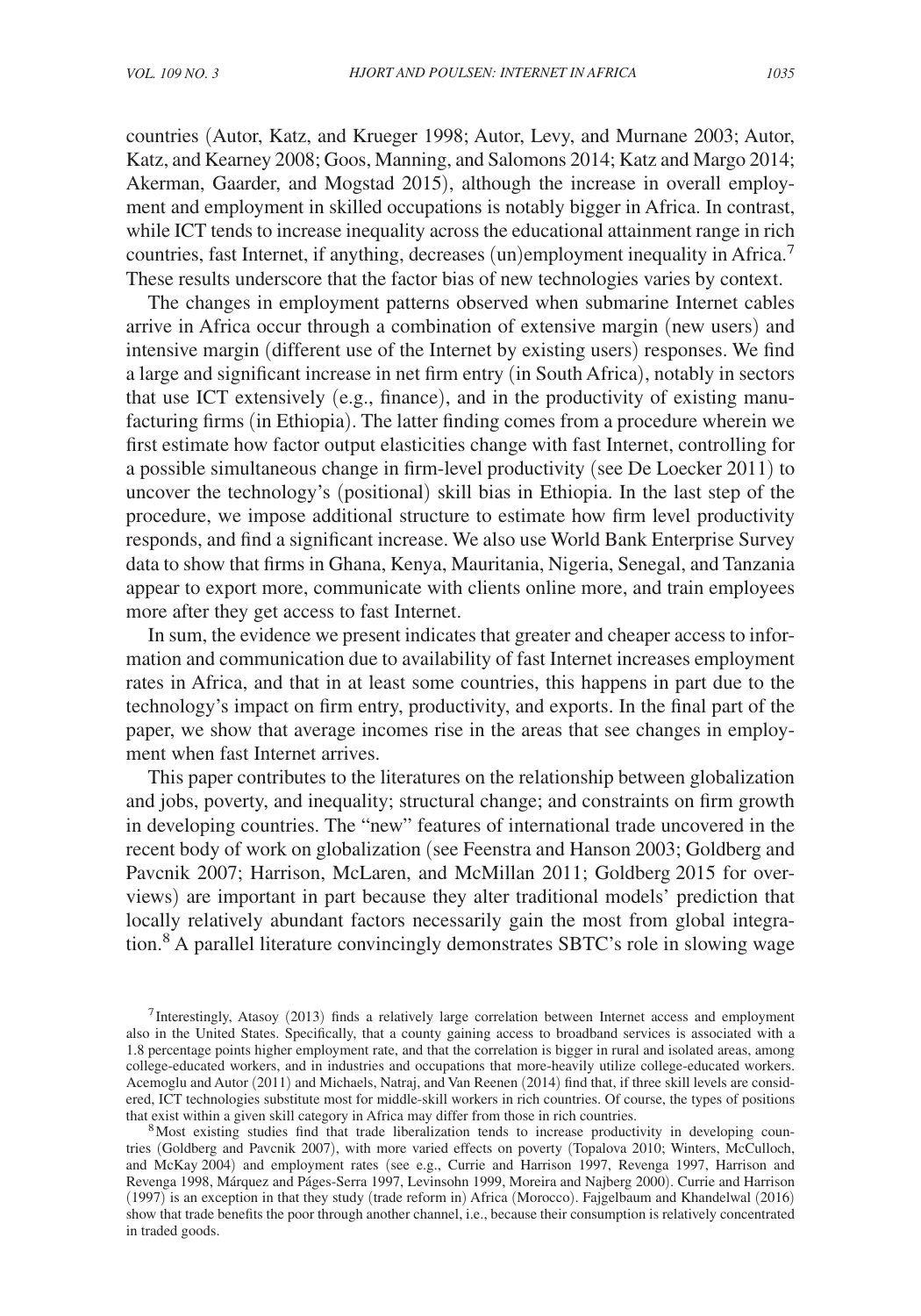countries (Autor, Katz, and Krueger 1998; Autor, Levy, and Murnane 2003; Autor, Katz, and Kearney 2008; Goos, Manning, and Salomons 2014; Katz and Margo 2014; Akerman, Gaarder, and Mogstad 2015), although the increase in overall employment and employment in skilled occupations is notably bigger in Africa. In contrast, while ICT tends to increase inequality across the educational attainment range in rich countries, fast Internet, if anything, decreases (un)employment inequality in Africa.<sup>7</sup> These results underscore that the factor bias of new technologies varies by context.

The changes in employment patterns observed when submarine Internet cables arrive in Africa occur through a combination of extensive margin (new users) and intensive margin (different use of the Internet by existing users) responses. We find a large and significant increase in net firm entry (in South Africa), notably in sectors that use ICT extensively (e.g., finance), and in the productivity of existing manufacturing firms (in Ethiopia). The latter finding comes from a procedure wherein we first estimate how factor output elasticities change with fast Internet, controlling for a possible simultaneous change in firm-level productivity (see De Loecker 2011) to uncover the technology's (positional) skill bias in Ethiopia. In the last step of the procedure, we impose additional structure to estimate how firm level productivity responds, and find a significant increase. We also use World Bank Enterprise Survey data to show that firms in Ghana, Kenya, Mauritania, Nigeria, Senegal, and Tanzania appear to export more, communicate with clients online more, and train employees more after they get access to fast Internet.

In sum, the evidence we present indicates that greater and cheaper access to information and communication due to availability of fast Internet increases employment rates in Africa, and that in at least some countries, this happens in part due to the technology's impact on firm entry, productivity, and exports. In the final part of the paper, we show that average incomes rise in the areas that see changes in employment when fast Internet arrives.

This paper contributes to the literatures on the relationship between globalization and jobs, poverty, and inequality; structural change; and constraints on firm growth in developing countries. The "new" features of international trade uncovered in the recent body of work on globalization (see Feenstra and Hanson 2003; Goldberg and Pavcnik 2007; Harrison, McLaren, and McMillan 2011; Goldberg 2015 for overviews) are important in part because they alter traditional models' prediction that locally relatively abundant factors necessarily gain the most from global integration.<sup>8</sup> A parallel literature convincingly demonstrates SBTC's role in slowing wage

<sup>7</sup>Interestingly, Atasoy (2013) finds a relatively large correlation between Internet access and employment also in the United States. Specifically, that a county gaining access to broadband services is associated with a 1.8 percentage points higher employment rate, and that the correlation is bigger in rural and isolated areas, among college-educated workers, and in industries and occupations that more-heavily utilize college-educated workers. Acemoglu and Autor (2011) and Michaels, Natraj, and Van Reenen (2014) find that, if three skill levels are considered, ICT technologies substitute most for middle-skill workers in rich countries. Of course, the types of positions that exist within a given skill category in Africa may differ from those in rich countries.

<sup>&</sup>lt;sup>8</sup>Most existing studies find that trade liberalization tends to increase productivity in developing countries (Goldberg and Pavcnik 2007), with more varied effects on poverty (Topalova 2010; Winters, McCulloch, and McKay 2004) and employment rates (see e.g., Currie and Harrison 1997, Revenga 1997, Harrison and Revenga 1998, Márquez and Páges-Serra 1997, Levinsohn 1999, Moreira and Najberg 2000). Currie and Harrison (1997) is an exception in that they study (trade reform in) Africa (Morocco). Fajgelbaum and Khandelwal (2016) show that trade benefits the poor through another channel, i.e., because their consumption is relatively concentrated in traded goods.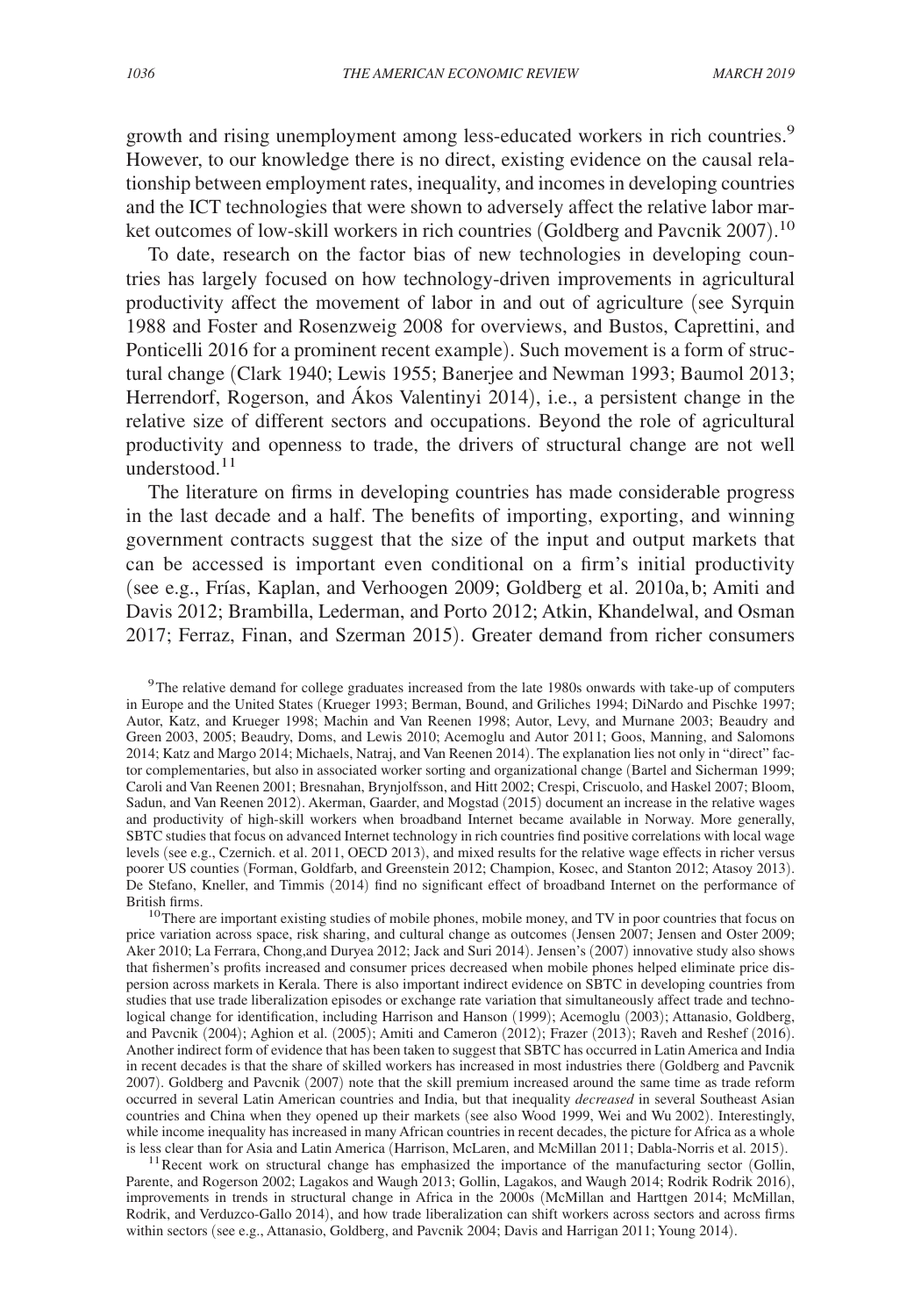growth and rising unemployment among less-educated workers in rich countries.<sup>9</sup> However, to our knowledge there is no direct, existing evidence on the causal relationship between employment rates, inequality, and incomes in developing countries and the ICT technologies that were shown to adversely affect the relative labor market outcomes of low-skill workers in rich countries (Goldberg and Pavcnik 2007).<sup>10</sup>

To date, research on the factor bias of new technologies in developing countries has largely focused on how technology-driven improvements in agricultural productivity affect the movement of labor in and out of agriculture (see Syrquin 1988 and Foster and Rosenzweig 2008 for overviews, and Bustos, Caprettini, and Ponticelli 2016 for a prominent recent example). Such movement is a form of structural change (Clark 1940; Lewis 1955; Banerjee and Newman 1993; Baumol 2013; Herrendorf, Rogerson, and Ákos Valentinyi 2014), i.e., a persistent change in the relative size of different sectors and occupations. Beyond the role of agricultural productivity and openness to trade, the drivers of structural change are not well understood.<sup>11</sup>

The literature on firms in developing countries has made considerable progress in the last decade and a half. The benefits of importing, exporting, and winning government contracts suggest that the size of the input and output markets that can be accessed is important even conditional on a firm's initial productivity (see e.g., Frías, Kaplan, and Verhoogen 2009; Goldberg et al. 2010a, b; Amiti and Davis 2012; Brambilla, Lederman, and Porto 2012; Atkin, Khandelwal, and Osman 2017; Ferraz, Finan, and Szerman 2015). Greater demand from richer consumers

<sup>9</sup>The relative demand for college graduates increased from the late 1980s onwards with take-up of computers in Europe and the United States (Krueger 1993; Berman, Bound, and Griliches 1994; DiNardo and Pischke 1997; Autor, Katz, and Krueger 1998; Machin and Van Reenen 1998; Autor, Levy, and Murnane 2003; Beaudry and Green 2003, 2005; Beaudry, Doms, and Lewis 2010; Acemoglu and Autor 2011; Goos, Manning, and Salomons 2014; Katz and Margo 2014; Michaels, Natraj, and Van Reenen 2014). The explanation lies not only in "direct" factor complementaries, but also in associated worker sorting and organizational change (Bartel and Sicherman 1999; Caroli and Van Reenen 2001; Bresnahan, Brynjolfsson, and Hitt 2002; Crespi, Criscuolo, and Haskel 2007; Bloom, Sadun, and Van Reenen 2012). Akerman, Gaarder, and Mogstad (2015) document an increase in the relative wages and productivity of high-skill workers when broadband Internet became available in Norway. More generally, SBTC studies that focus on advanced Internet technology in rich countries find positive correlations with local wage levels (see e.g., Czernich. et al. 2011, OECD 2013), and mixed results for the relative wage effects in richer versus poorer US counties (Forman, Goldfarb, and Greenstein 2012; Champion, Kosec, and Stanton 2012; Atasoy 2013). De Stefano, Kneller, and Timmis (2014) find no significant effect of broadband Internet on the performance of British firms.

<sup>10</sup>There are important existing studies of mobile phones, mobile money, and TV in poor countries that focus on price variation across space, risk sharing, and cultural change as outcomes (Jensen 2007; Jensen and Oster 2009; Aker 2010; La Ferrara, Chong,and Duryea 2012; Jack and Suri 2014). Jensen's (2007) innovative study also shows that fishermen's profits increased and consumer prices decreased when mobile phones helped eliminate price dispersion across markets in Kerala. There is also important indirect evidence on SBTC in developing countries from studies that use trade liberalization episodes or exchange rate variation that simultaneously affect trade and technological change for identification, including Harrison and Hanson (1999); Acemoglu (2003); Attanasio, Goldberg, and Pavcnik (2004); Aghion et al. (2005); Amiti and Cameron (2012); Frazer (2013); Raveh and Reshef (2016). Another indirect form of evidence that has been taken to suggest that SBTC has occurred in Latin America and India in recent decades is that the share of skilled workers has increased in most industries there (Goldberg and Pavcnik 2007). Goldberg and Pavcnik (2007) note that the skill premium increased around the same time as trade reform occurred in several Latin American countries and India, but that inequality *decreased* in several Southeast Asian countries and China when they opened up their markets (see also Wood 1999, Wei and Wu 2002). Interestingly, while income inequality has increased in many African countries in recent decades, the picture for Africa as a whole is less clear than for Asia and Latin America (Harrison, McLaren, and McMillan 2011; Dabla-Norris et al. 2015).

<sup>11</sup> Recent work on structural change has emphasized the importance of the manufacturing sector (Gollin, Parente, and Rogerson 2002; Lagakos and Waugh 2013; Gollin, Lagakos, and Waugh 2014; Rodrik Rodrik 2016), improvements in trends in structural change in Africa in the 2000s (McMillan and Harttgen 2014; McMillan, Rodrik, and Verduzco-Gallo 2014), and how trade liberalization can shift workers across sectors and across firms within sectors (see e.g., Attanasio, Goldberg, and Pavcnik 2004; Davis and Harrigan 2011; Young 2014).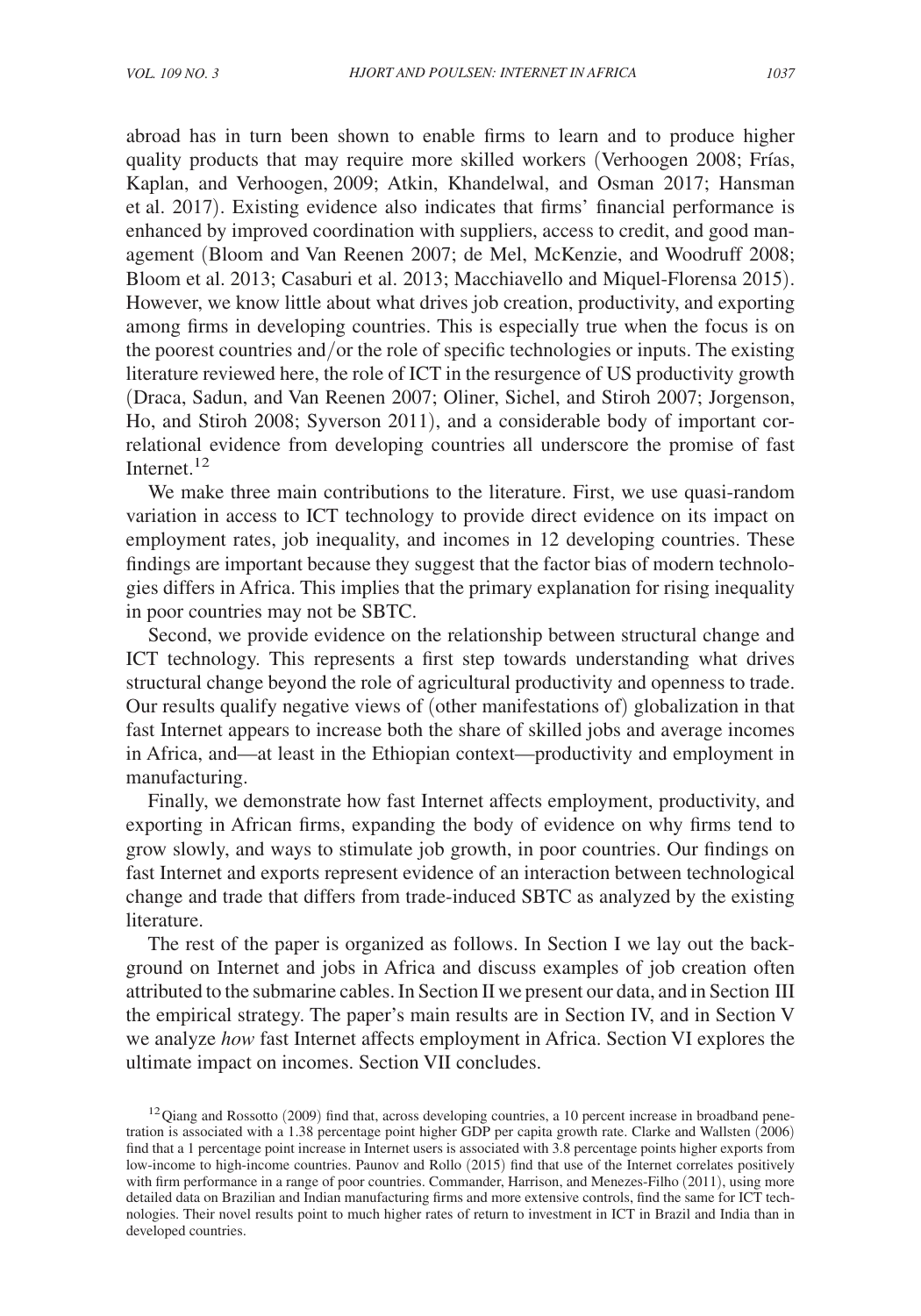abroad has in turn been shown to enable firms to learn and to produce higher quality products that may require more skilled workers (Verhoogen 2008; Frías, Kaplan, and Verhoogen, 2009; Atkin, Khandelwal, and Osman 2017; Hansman et al. 2017). Existing evidence also indicates that firms' financial performance is enhanced by improved coordination with suppliers, access to credit, and good management (Bloom and Van Reenen 2007; de Mel, McKenzie, and Woodruff 2008; Bloom et al. 2013; Casaburi et al. 2013; Macchiavello and Miquel-Florensa 2015). However, we know little about what drives job creation, productivity, and exporting among firms in developing countries. This is especially true when the focus is on the poorest countries and/or the role of specific technologies or inputs. The existing literature reviewed here, the role of ICT in the resurgence of US productivity growth (Draca, Sadun, and Van Reenen 2007; Oliner, Sichel, and Stiroh 2007; Jorgenson, Ho, and Stiroh 2008; Syverson 2011), and a considerable body of important correlational evidence from developing countries all underscore the promise of fast Internet.<sup>12</sup>

We make three main contributions to the literature. First, we use quasi-random variation in access to ICT technology to provide direct evidence on its impact on employment rates, job inequality, and incomes in 12 developing countries. These findings are important because they suggest that the factor bias of modern technologies differs in Africa. This implies that the primary explanation for rising inequality in poor countries may not be SBTC.

Second, we provide evidence on the relationship between structural change and ICT technology. This represents a first step towards understanding what drives structural change beyond the role of agricultural productivity and openness to trade. Our results qualify negative views of (other manifestations of) globalization in that fast Internet appears to increase both the share of skilled jobs and average incomes in Africa, and—at least in the Ethiopian context—productivity and employment in manufacturing.

Finally, we demonstrate how fast Internet affects employment, productivity, and exporting in African firms, expanding the body of evidence on why firms tend to grow slowly, and ways to stimulate job growth, in poor countries. Our findings on fast Internet and exports represent evidence of an interaction between technological change and trade that differs from trade-induced SBTC as analyzed by the existing literature.

The rest of the paper is organized as follows. In Section I we lay out the background on Internet and jobs in Africa and discuss examples of job creation often attributed to the submarine cables. In Section II we present our data, and in Section III the empirical strategy. The paper's main results are in Section IV, and in Section V we analyze *how* fast Internet affects employment in Africa. Section VI explores the ultimate impact on incomes. Section VII concludes.

 $12$  Qiang and Rossotto (2009) find that, across developing countries, a 10 percent increase in broadband penetration is associated with a 1.38 percentage point higher GDP per capita growth rate. Clarke and Wallsten (2006) find that a 1 percentage point increase in Internet users is associated with 3.8 percentage points higher exports from low-income to high-income countries. Paunov and Rollo (2015) find that use of the Internet correlates positively with firm performance in a range of poor countries. Commander, Harrison, and Menezes-Filho (2011), using more detailed data on Brazilian and Indian manufacturing firms and more extensive controls, find the same for ICT technologies. Their novel results point to much higher rates of return to investment in ICT in Brazil and India than in developed countries.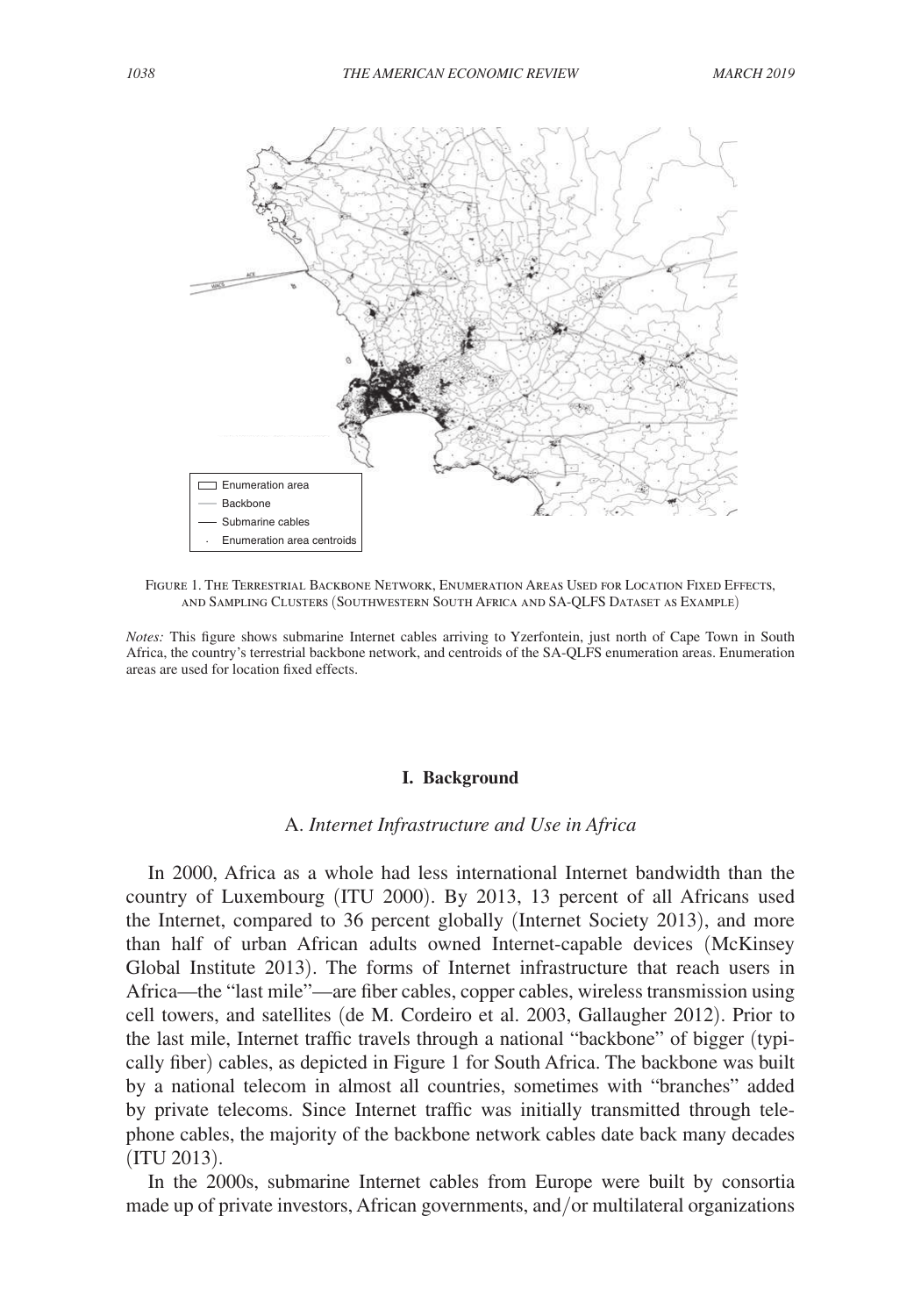

FIGURE 1. THE TERRESTRIAL BACKBONE NETWORK, ENUMERATION AREAS USED FOR LOCATION FIXED EFFECTS, and Sampling Clusters (Southwestern South Africa and SA-QLFS Dataset as Example)

*Notes:* This figure shows submarine Internet cables arriving to Yzerfontein, just north of Cape Town in South Africa, the country's terrestrial backbone network, and centroids of the SA-QLFS enumeration areas. Enumeration areas are used for location fixed effects.

#### **I. Background**

### A. *Internet Infrastructure and Use in Africa*

In 2000, Africa as a whole had less international Internet bandwidth than the country of Luxembourg (ITU 2000). By 2013, 13 percent of all Africans used the Internet, compared to 36 percent globally (Internet Society 2013), and more than half of urban African adults owned Internet-capable devices (McKinsey Global Institute 2013). The forms of Internet infrastructure that reach users in Africa—the "last mile"—are fiber cables, copper cables, wireless transmission using cell towers, and satellites (de M. Cordeiro et al. 2003, Gallaugher 2012). Prior to the last mile, Internet traffic travels through a national "backbone" of bigger (typically fiber) cables, as depicted in Figure 1 for South Africa. The backbone was built by a national telecom in almost all countries, sometimes with "branches" added by private telecoms. Since Internet traffic was initially transmitted through telephone cables, the majority of the backbone network cables date back many decades (ITU 2013).

In the 2000s, submarine Internet cables from Europe were built by consortia made up of private investors, African governments, and/or multilateral organizations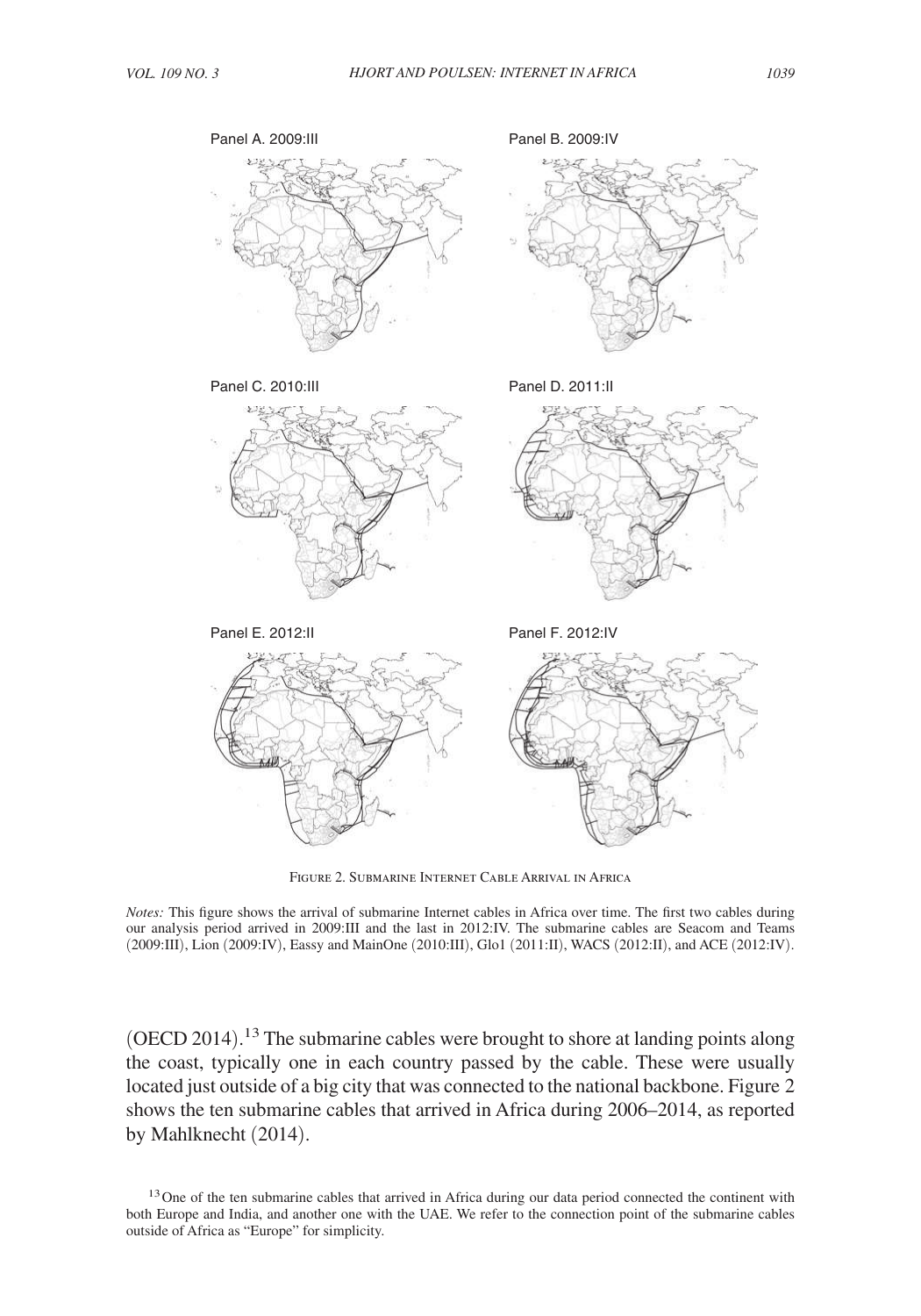

Figure 2. Submarine Internet Cable Arrival in Africa

(OECD 2014). <sup>13</sup> The submarine cables were brought to shore at landing points along the coast, typically one in each country passed by the cable. These were usually located just outside of a big city that was connected to the national backbone. Figure 2 shows the ten submarine cables that arrived in Africa during 2006–2014, as reported by Mahlknecht (2014).

*Notes:* This figure shows the arrival of submarine Internet cables in Africa over time. The first two cables during our analysis period arrived in 2009:III and the last in 2012:IV. The submarine cables are Seacom and Teams (2009:III), Lion (2009:IV), Eassy and MainOne (2010:III), Glo1 (2011:II), WACS (2012:II), and ACE (2012:IV).

<sup>&</sup>lt;sup>13</sup>One of the ten submarine cables that arrived in Africa during our data period connected the continent with both Europe and India, and another one with the UAE. We refer to the connection point of the submarine cables outside of Africa as "Europe" for simplicity.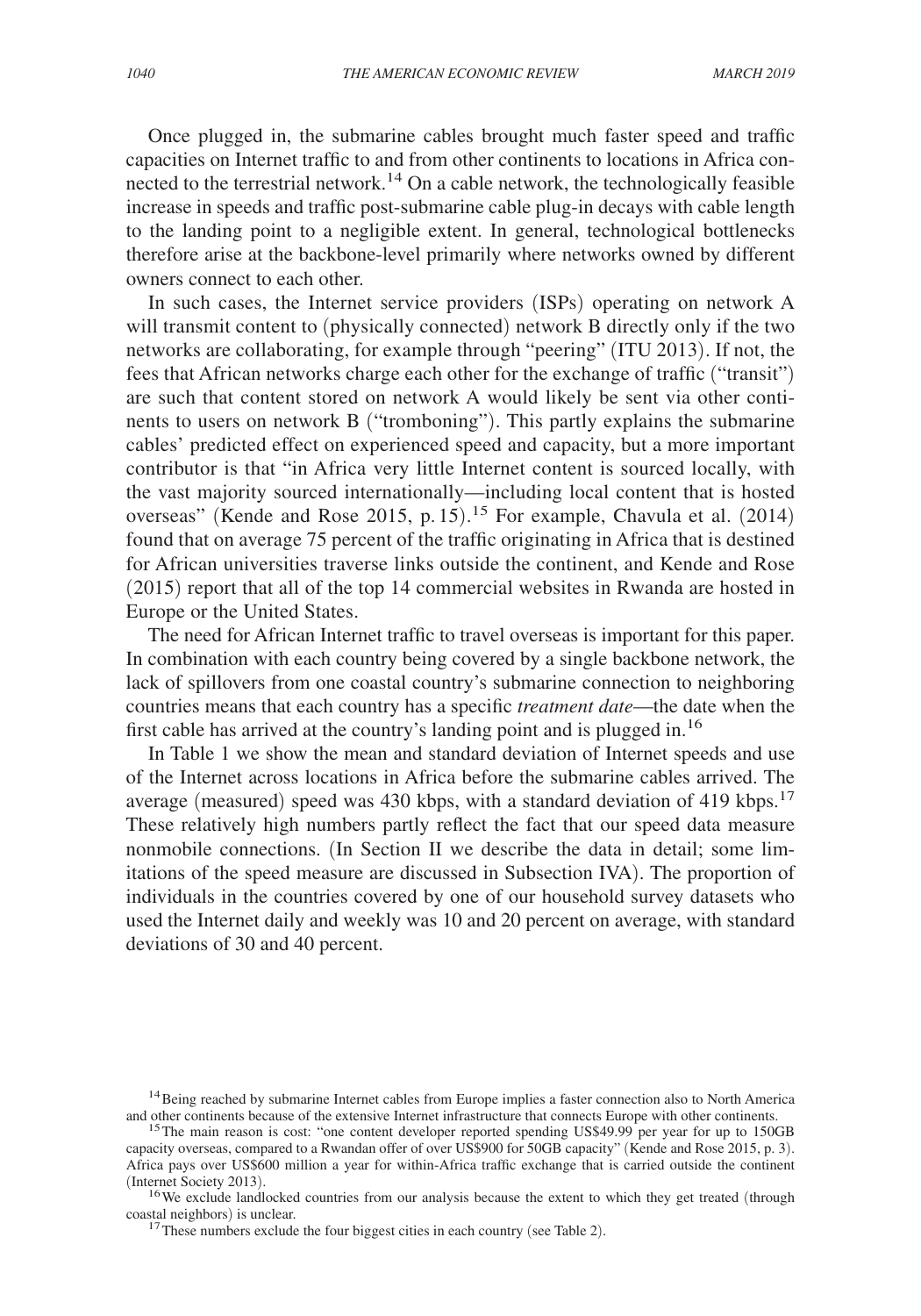Once plugged in, the submarine cables brought much faster speed and traffic capacities on Internet traffic to and from other continents to locations in Africa connected to the terrestrial network.<sup>14</sup> On a cable network, the technologically feasible increase in speeds and traffic post-submarine cable plug-in decays with cable length to the landing point to a negligible extent. In general, technological bottlenecks therefore arise at the backbone-level primarily where networks owned by different owners connect to each other.

In such cases, the Internet service providers (ISPs) operating on network A will transmit content to (physically connected) network B directly only if the two networks are collaborating, for example through "peering" (ITU 2013). If not, the fees that African networks charge each other for the exchange of traffic ("transit") are such that content stored on network A would likely be sent via other continents to users on network B ("tromboning"). This partly explains the submarine cables' predicted effect on experienced speed and capacity, but a more important contributor is that "in Africa very little Internet content is sourced locally, with the vast majority sourced internationally—including local content that is hosted overseas" (Kende and Rose 2015, p. 15). <sup>15</sup> For example, Chavula et al. (2014) found that on average 75 percent of the traffic originating in Africa that is destined for African universities traverse links outside the continent, and Kende and Rose (2015) report that all of the top 14 commercial websites in Rwanda are hosted in Europe or the United States.

The need for African Internet traffic to travel overseas is important for this paper. In combination with each country being covered by a single backbone network, the lack of spillovers from one coastal country's submarine connection to neighboring countries means that each country has a specific *treatment date*—the date when the first cable has arrived at the country's landing point and is plugged in.<sup>16</sup>

In Table 1 we show the mean and standard deviation of Internet speeds and use of the Internet across locations in Africa before the submarine cables arrived. The average (measured) speed was 430 kbps, with a standard deviation of 419 kbps.<sup>17</sup> These relatively high numbers partly reflect the fact that our speed data measure nonmobile connections. (In Section II we describe the data in detail; some limitations of the speed measure are discussed in Subsection IVA). The proportion of individuals in the countries covered by one of our household survey datasets who used the Internet daily and weekly was 10 and 20 percent on average, with standard deviations of 30 and 40 percent.

<sup>&</sup>lt;sup>14</sup>Being reached by submarine Internet cables from Europe implies a faster connection also to North America and other continents because of the extensive Internet infrastructure that connects Europe with other continents.

<sup>&</sup>lt;sup>15</sup>The main reason is cost: "one content developer reported spending US\$49.99 per year for up to 150GB capacity overseas, compared to a Rwandan offer of over US\$900 for 50GB capacity" (Kende and Rose 2015, p. 3). Africa pays over US\$600 million a year for within-Africa traffic exchange that is carried outside the continent (Internet Society 2013).

<sup>&</sup>lt;sup>16</sup>We exclude landlocked countries from our analysis because the extent to which they get treated (through coastal neighbors) is unclear.

<sup>&</sup>lt;sup>17</sup>These numbers exclude the four biggest cities in each country (see Table 2).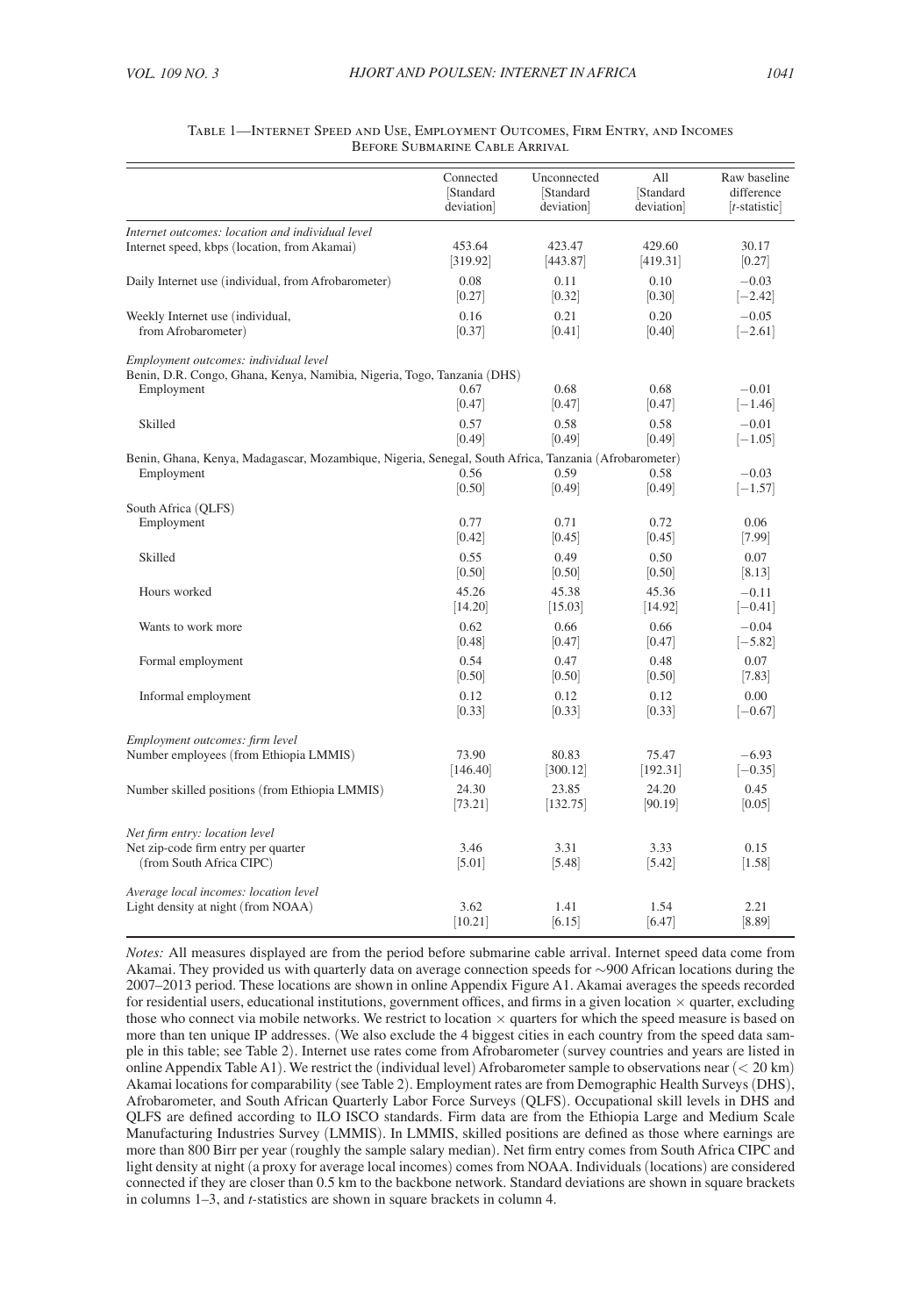|                                                                                                                                | Connected      | Unconnected    | All              | Raw baseline         |
|--------------------------------------------------------------------------------------------------------------------------------|----------------|----------------|------------------|----------------------|
|                                                                                                                                | [Standard      | [Standard      | Standard         | difference           |
|                                                                                                                                | deviation]     | deviation]     | deviation        | $[t-statistic]$      |
| Internet outcomes: location and individual level                                                                               | 453.64         | 423.47         | 429.60           | 30.17                |
| Internet speed, kbps (location, from Akamai)                                                                                   | [319.92]       | [443.87]       | [419.31]         | [0.27]               |
| Daily Internet use (individual, from Afrobarometer)                                                                            | 0.08           | 0.11           | 0.10             | $-0.03$              |
|                                                                                                                                | [0.27]         | [0.32]         | [0.30]           | $[-2.42]$            |
| Weekly Internet use (individual,                                                                                               | 0.16           | 0.21           | 0.20             | $-0.05$              |
| from Afrobarometer)                                                                                                            | [0.37]         | [0.41]         | 0.40             | $ -2.61 $            |
| Employment outcomes: individual level<br>Benin, D.R. Congo, Ghana, Kenya, Namibia, Nigeria, Togo, Tanzania (DHS)<br>Employment | 0.67<br>[0.47] | 0.68<br>[0.47] | 0.68<br>[0.47]   | $-0.01$<br>$[-1.46]$ |
| Skilled                                                                                                                        | 0.57           | 0.58           | 0.58             | $-0.01$              |
|                                                                                                                                | [0.49]         | [0.49]         | [0.49]           | $[-1.05]$            |
| Benin, Ghana, Kenya, Madagascar, Mozambique, Nigeria, Senegal, South Africa, Tanzania (Afrobarometer)                          | 0.56           | 0.59           | 0.58             | $-0.03$              |
| Employment                                                                                                                     | [0.50]         | [0.49]         | [0.49]           | $[-1.57]$            |
| South Africa (QLFS)                                                                                                            | 0.77           | 0.71           | 0.72             | 0.06                 |
| Employment                                                                                                                     | 0.42           | [0.45]         | 0.45             | [7.99]               |
| Skilled                                                                                                                        | 0.55           | 0.49           | 0.50             | 0.07                 |
|                                                                                                                                | [0.50]         | [0.50]         | [0.50]           | [8.13]               |
| Hours worked                                                                                                                   | 45.26          | 45.38          | 45.36            | $-0.11$              |
|                                                                                                                                | [14.20]        | [15.03]        | $[14.92]$        | $[-0.41]$            |
| Wants to work more                                                                                                             | 0.62           | 0.66           | 0.66             | $-0.04$              |
|                                                                                                                                | [0.48]         | 0.47           | [0.47]           | $[-5.82]$            |
| Formal employment                                                                                                              | 0.54           | 0.47           | 0.48             | 0.07                 |
|                                                                                                                                | 0.50           | [0.50]         | [0.50]           | [7.83]               |
| Informal employment                                                                                                            | 0.12           | 0.12           | 0.12             | 0.00                 |
|                                                                                                                                | [0.33]         | [0.33]         | [0.33]           | $[-0.67]$            |
| Employment outcomes: firm level                                                                                                | 73.90          | 80.83          | 75.47            | $-6.93$              |
| Number employees (from Ethiopia LMMIS)                                                                                         | [146.40]       | [300.12]       | [192.31]         | $[-0.35]$            |
| Number skilled positions (from Ethiopia LMMIS)                                                                                 | 24.30          | 23.85          | 24.20            | 0.45                 |
|                                                                                                                                | [73.21]        | [132.75]       | [90.19]          | [0.05]               |
| Net firm entry: location level<br>Net zip-code firm entry per quarter<br>(from South Africa CIPC)                              | 3.46<br>[5.01] | 3.31<br>[5.48] | 3.33<br>$[5.42]$ | 0.15<br> 1.58        |
| Average local incomes: location level                                                                                          | 3.62           | 1.41           | 1.54             | 2.21                 |
| Light density at night (from NOAA)                                                                                             | [10.21]        | [6.15]         | [6.47]           | [8.89]               |

#### Table 1—Internet Speed and Use, Employment Outcomes, Firm Entry, and Incomes Before Submarine Cable Arrival

*Notes:* All measures displayed are from the period before submarine cable arrival. Internet speed data come from Akamai. They provided us with quarterly data on average connection speeds for ∼900 African locations during the 2007–2013 period. These locations are shown in online Appendix Figure A1. Akamai averages the speeds recorded for residential users, educational institutions, government offices, and firms in a given location  $\times$  quarter, excluding those who connect via mobile networks. We restrict to location  $\times$  quarters for which the speed measure is based on more than ten unique IP addresses. (We also exclude the 4 biggest cities in each country from the speed data sample in this table; see Table 2). Internet use rates come from Afrobarometer (survey countries and years are listed in online Appendix Table A1). We restrict the (individual level) Afrobarometer sample to observations near  $(< 20 \text{ km})$ Akamai locations for comparability (see Table 2). Employment rates are from Demographic Health Surveys (DHS), Afrobarometer, and South African Quarterly Labor Force Surveys (QLFS). Occupational skill levels in DHS and QLFS are defined according to ILO ISCO standards. Firm data are from the Ethiopia Large and Medium Scale Manufacturing Industries Survey (LMMIS). In LMMIS, skilled positions are defined as those where earnings are more than 800 Birr per year (roughly the sample salary median). Net firm entry comes from South Africa CIPC and light density at night (a proxy for average local incomes) comes from NOAA. Individuals (locations) are considered connected if they are closer than 0.5 km to the backbone network. Standard deviations are shown in square brackets in columns 1–3, and *t-*statistics are shown in square brackets in column 4.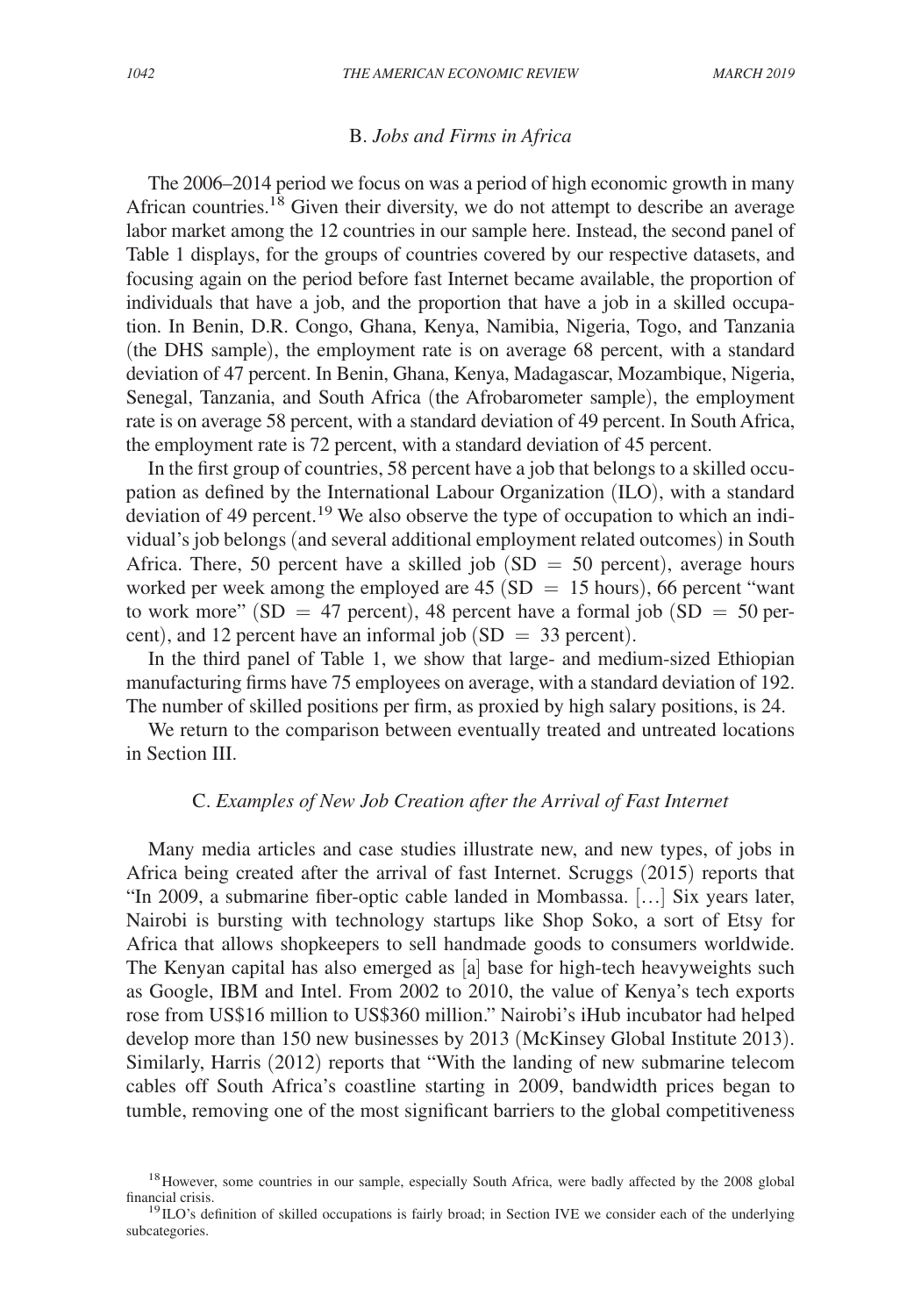#### B. *Jobs and Firms in Africa*

The 2006–2014 period we focus on was a period of high economic growth in many African countries.<sup>18</sup> Given their diversity, we do not attempt to describe an average labor market among the 12 countries in our sample here. Instead, the second panel of Table 1 displays, for the groups of countries covered by our respective datasets, and focusing again on the period before fast Internet became available, the proportion of individuals that have a job, and the proportion that have a job in a skilled occupation. In Benin, D.R. Congo, Ghana, Kenya, Namibia, Nigeria, Togo, and Tanzania (the DHS sample), the employment rate is on average 68 percent, with a standard deviation of 47 percent. In Benin, Ghana, Kenya, Madagascar, Mozambique, Nigeria, Senegal, Tanzania, and South Africa (the Afrobarometer sample), the employment rate is on average 58 percent, with a standard deviation of 49 percent. In South Africa, the employment rate is 72 percent, with a standard deviation of 45 percent.

In the first group of countries, 58 percent have a job that belongs to a skilled occupation as defined by the International Labour Organization (ILO), with a standard deviation of 49 percent.<sup>19</sup> We also observe the type of occupation to which an individual's job belongs (and several additional employment related outcomes) in South Africa. There, 50 percent have a skilled job  $(SD = 50$  percent), average hours worked per week among the employed are  $45$  (SD = 15 hours), 66 percent "want to work more" (SD = 47 percent), 48 percent have a formal job (SD = 50 percent), and 12 percent have an informal job ( $SD = 33$  percent).

In the third panel of Table 1, we show that large- and medium-sized Ethiopian manufacturing firms have 75 employees on average, with a standard deviation of 192. The number of skilled positions per firm, as proxied by high salary positions, is 24.

We return to the comparison between eventually treated and untreated locations in Section III.

#### C. *Examples of New Job Creation after the Arrival of Fast Internet*

Many media articles and case studies illustrate new, and new types, of jobs in Africa being created after the arrival of fast Internet. Scruggs (2015) reports that "In 2009, a submarine fiber-optic cable landed in Mombassa. […] Six years later, Nairobi is bursting with technology startups like Shop Soko, a sort of Etsy for Africa that allows shopkeepers to sell handmade goods to consumers worldwide. The Kenyan capital has also emerged as [a] base for high-tech heavyweights such as Google, IBM and Intel. From 2002 to 2010, the value of Kenya's tech exports rose from US\$16 million to US\$360 million." Nairobi's iHub incubator had helped develop more than 150 new businesses by 2013 (McKinsey Global Institute 2013). Similarly, Harris (2012) reports that "With the landing of new submarine telecom cables off South Africa's coastline starting in 2009, bandwidth prices began to tumble, removing one of the most significant barriers to the global competitiveness

<sup>&</sup>lt;sup>18</sup> However, some countries in our sample, especially South Africa, were badly affected by the 2008 global financial crisis.

<sup>&</sup>lt;sup>19</sup>ILO's definition of skilled occupations is fairly broad; in Section IVE we consider each of the underlying subcategories.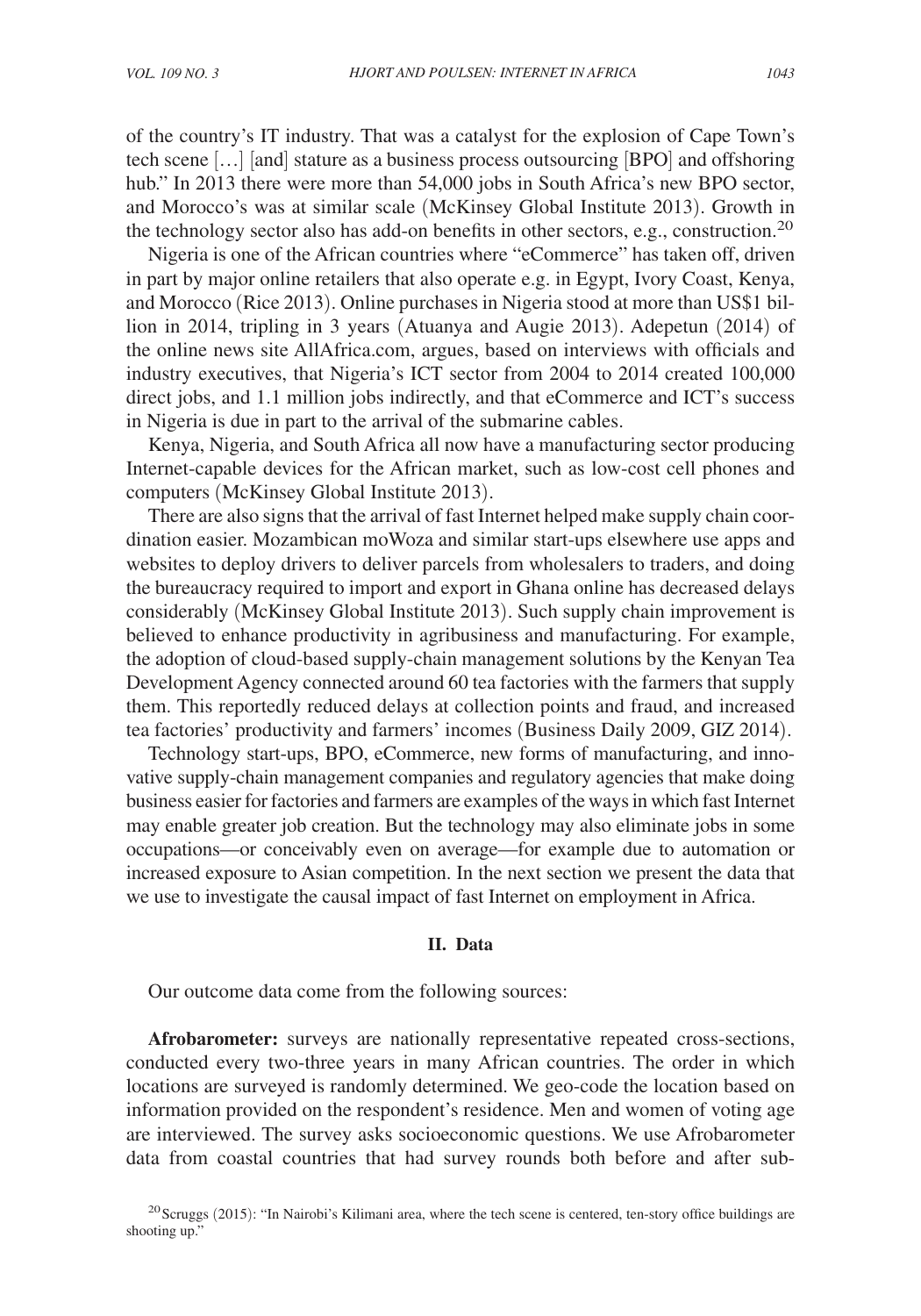of the country's IT industry. That was a catalyst for the explosion of Cape Town's tech scene […] [and] stature as a business process outsourcing [BPO] and offshoring hub." In 2013 there were more than 54,000 jobs in South Africa's new BPO sector, and Morocco's was at similar scale (McKinsey Global Institute 2013). Growth in the technology sector also has add-on benefits in other sectors, e.g., construction.<sup>20</sup>

Nigeria is one of the African countries where "eCommerce" has taken off, driven in part by major online retailers that also operate e.g. in Egypt, Ivory Coast, Kenya, and Morocco (Rice 2013). Online purchases in Nigeria stood at more than US\$1 billion in 2014, tripling in 3 years (Atuanya and Augie 2013). Adepetun (2014) of the online news site AllAfrica.com, argues, based on interviews with officials and industry executives, that Nigeria's ICT sector from 2004 to 2014 created 100,000 direct jobs, and 1.1 million jobs indirectly, and that eCommerce and ICT's success in Nigeria is due in part to the arrival of the submarine cables.

Kenya, Nigeria, and South Africa all now have a manufacturing sector producing Internet-capable devices for the African market, such as low-cost cell phones and computers (McKinsey Global Institute 2013).

There are also signs that the arrival of fast Internet helped make supply chain coordination easier. Mozambican moWoza and similar start-ups elsewhere use apps and websites to deploy drivers to deliver parcels from wholesalers to traders, and doing the bureaucracy required to import and export in Ghana online has decreased delays considerably (McKinsey Global Institute 2013). Such supply chain improvement is believed to enhance productivity in agribusiness and manufacturing. For example, the adoption of cloud-based supply-chain management solutions by the Kenyan Tea Development Agency connected around 60 tea factories with the farmers that supply them. This reportedly reduced delays at collection points and fraud, and increased tea factories' productivity and farmers' incomes (Business Daily 2009, GIZ 2014).

Technology start-ups, BPO, eCommerce, new forms of manufacturing, and innovative supply-chain management companies and regulatory agencies that make doing business easier for factories and farmers are examples of the ways in which fast Internet may enable greater job creation. But the technology may also eliminate jobs in some occupations—or conceivably even on average—for example due to automation or increased exposure to Asian competition. In the next section we present the data that we use to investigate the causal impact of fast Internet on employment in Africa.

## **II. Data**

Our outcome data come from the following sources:

**Afrobarometer:** surveys are nationally representative repeated cross-sections, conducted every two-three years in many African countries. The order in which locations are surveyed is randomly determined. We geo-code the location based on information provided on the respondent's residence. Men and women of voting age are interviewed. The survey asks socioeconomic questions. We use Afrobarometer data from coastal countries that had survey rounds both before and after sub-

<sup>&</sup>lt;sup>20</sup> Scruggs (2015): "In Nairobi's Kilimani area, where the tech scene is centered, ten-story office buildings are shooting up."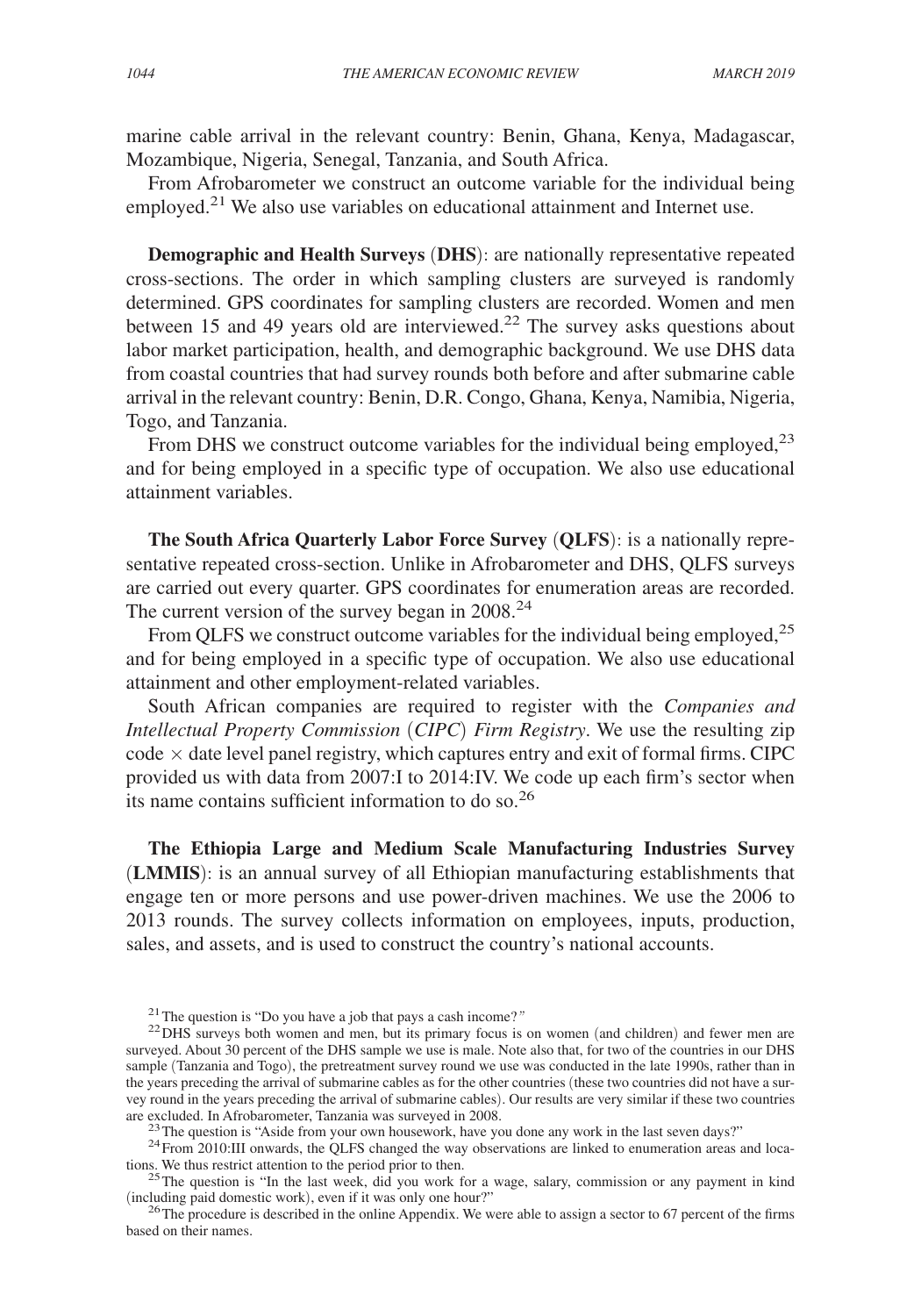marine cable arrival in the relevant country: Benin, Ghana, Kenya, Madagascar, Mozambique, Nigeria, Senegal, Tanzania, and South Africa.

From Afrobarometer we construct an outcome variable for the individual being employed.21 We also use variables on educational attainment and Internet use.

**Demographic and Health Surveys** (**DHS**): are nationally representative repeated cross-sections. The order in which sampling clusters are surveyed is randomly determined. GPS coordinates for sampling clusters are recorded. Women and men between 15 and 49 years old are interviewed.<sup>22</sup> The survey asks questions about labor market participation, health, and demographic background. We use DHS data from coastal countries that had survey rounds both before and after submarine cable arrival in the relevant country: Benin, D.R. Congo, Ghana, Kenya, Namibia, Nigeria, Togo, and Tanzania.

From DHS we construct outcome variables for the individual being employed,  $2<sup>3</sup>$ and for being employed in a specific type of occupation. We also use educational attainment variables.

**The South Africa Quarterly Labor Force Survey** (**QLFS**): is a nationally representative repeated cross-section. Unlike in Afrobarometer and DHS, QLFS surveys are carried out every quarter. GPS coordinates for enumeration areas are recorded. The current version of the survey began in  $2008.<sup>24</sup>$ 

From QLFS we construct outcome variables for the individual being employed,<sup>25</sup> and for being employed in a specific type of occupation. We also use educational attainment and other employment-related variables.

South African companies are required to register with the *Companies and Intellectual Property Commission* (*CIPC*) *Firm Registry*. We use the resulting zip  $code \times date$  level panel registry, which captures entry and exit of formal firms. CIPC provided us with data from 2007:I to 2014:IV. We code up each firm's sector when its name contains sufficient information to do so. $^{26}$ 

**The Ethiopia Large and Medium Scale Manufacturing Industries Survey**  (**LMMIS**): is an annual survey of all Ethiopian manufacturing establishments that engage ten or more persons and use power-driven machines. We use the 2006 to 2013 rounds. The survey collects information on employees, inputs, production, sales, and assets, and is used to construct the country's national accounts.

<sup>24</sup> From 2010:III onwards, the QLFS changed the way observations are linked to enumeration areas and locations. We thus restrict attention to the period prior to then.

<sup>25</sup>The question is "In the last week, did you work for a wage, salary, commission or any payment in kind (including paid domestic work), even if it was only one hour?"

 $^{26}$ The procedure is described in the online Appendix. We were able to assign a sector to 67 percent of the firms based on their names.

 $21$ The question is "Do you have a job that pays a cash income?"

<sup>&</sup>lt;sup>22</sup>DHS surveys both women and men, but its primary focus is on women (and children) and fewer men are surveyed. About 30 percent of the DHS sample we use is male. Note also that, for two of the countries in our DHS sample (Tanzania and Togo), the pretreatment survey round we use was conducted in the late 1990s, rather than in the years preceding the arrival of submarine cables as for the other countries (these two countries did not have a survey round in the years preceding the arrival of submarine cables). Our results are very similar if these two countries are excluded. In Afrobarometer, Tanzania was surveyed in 2008.

 $23$  The question is "Aside from your own housework, have you done any work in the last seven days?"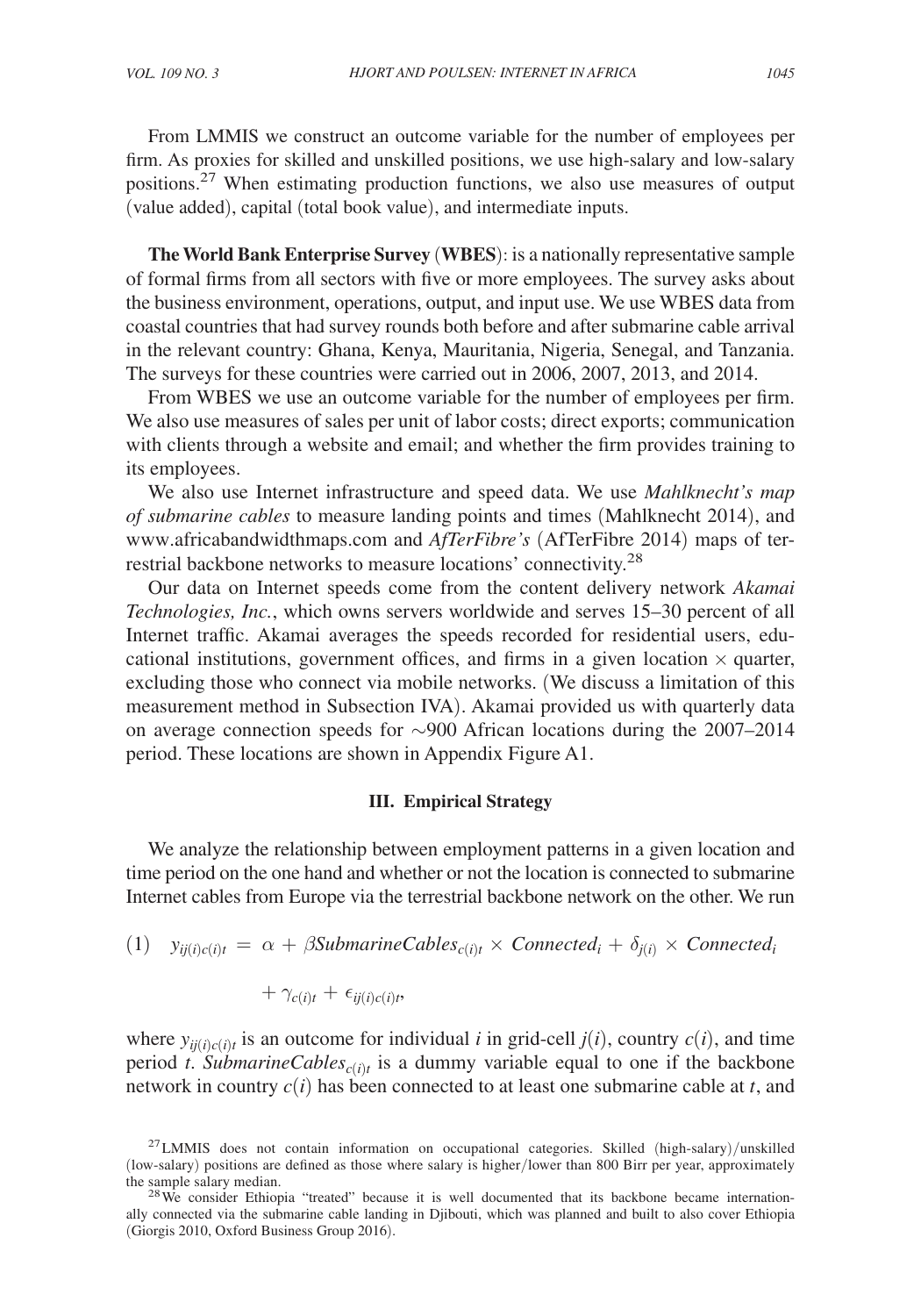From LMMIS we construct an outcome variable for the number of employees per firm. As proxies for skilled and unskilled positions, we use high-salary and low-salary positions.27 When estimating production functions, we also use measures of output (value added), capital (total book value), and intermediate inputs.

**The World Bank Enterprise Survey** (**WBES**): is a nationally representative sample of formal firms from all sectors with five or more employees. The survey asks about the business environment, operations, output, and input use. We use WBES data from coastal countries that had survey rounds both before and after submarine cable arrival in the relevant country: Ghana, Kenya, Mauritania, Nigeria, Senegal, and Tanzania. The surveys for these countries were carried out in 2006, 2007, 2013, and 2014.

From WBES we use an outcome variable for the number of employees per firm. We also use measures of sales per unit of labor costs; direct exports; communication with clients through a website and email; and whether the firm provides training to its employees.

We also use Internet infrastructure and speed data. We use *Mahlknecht's map of submarine cables* to measure landing points and times (Mahlknecht 2014), and www.africabandwidthmaps.com and *AfTerFibre's* (AfTerFibre 2014) maps of terrestrial backbone networks to measure locations' connectivity.<sup>28</sup>

Our data on Internet speeds come from the content delivery network *Akamai Technologies, Inc.*, which owns servers worldwide and serves 15–30 percent of all Internet traffic. Akamai averages the speeds recorded for residential users, educational institutions, government offices, and firms in a given location  $\times$  quarter, excluding those who connect via mobile networks. (We discuss a limitation of this measurement method in Subsection IVA). Akamai provided us with quarterly data on average connection speeds for ∼ 900 African locations during the 2007–2014 period. These locations are shown in Appendix Figure A1.

#### **III. Empirical Strategy**

We analyze the relationship between employment patterns in a given location and time period on the one hand and whether or not the location is connected to submarine Internet cables from Europe via the terrestrial backbone network on the other. We run

(1) 
$$
y_{ij(i)c(i)t} = \alpha + \beta \text{SubmarineCables}_{c(i)t} \times \text{Connected}_i + \delta_{j(i)} \times \text{Connected}_i
$$

$$
+ \gamma_{c(i)t} + \epsilon_{ij(i)c(i)t},
$$

where  $y_{ij(i)c(i)t}$  is an outcome for individual *i* in grid-cell  $j(i)$ , country  $c(i)$ , and time period *t*. *SubmarineCables*<sub>*c*(*i*)*t*</sub> is a dummy variable equal to one if the backbone network in country  $c(i)$  has been connected to at least one submarine cable at  $t$ , and

<sup>&</sup>lt;sup>27</sup>LMMIS does not contain information on occupational categories. Skilled (high-salary)/unskilled ( low-salary) positions are defined as those where salary is higher/lower than 800 Birr per year, approximately the sample salary median.

<sup>&</sup>lt;sup>28</sup>We consider Ethiopia "treated" because it is well documented that its backbone became internationally connected via the submarine cable landing in Djibouti, which was planned and built to also cover Ethiopia (Giorgis 2010, Oxford Business Group 2016).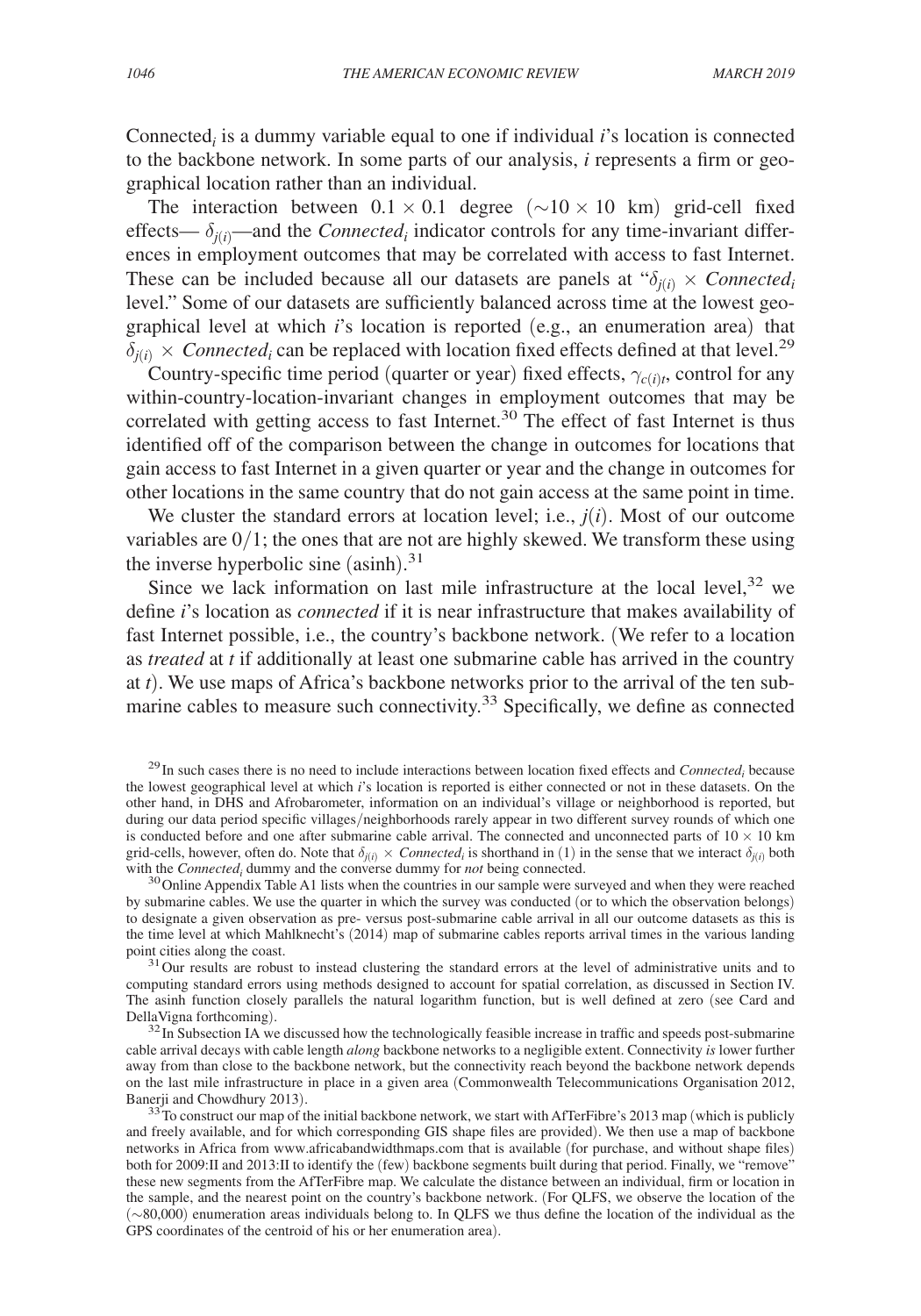Connected*<sup>i</sup>* is a dummy variable equal to one if individual *i* 's location is connected to the backbone network. In some parts of our analysis, *i* represents a firm or geographical location rather than an individual.

The interaction between  $0.1 \times 0.1$  degree ( $\sim 10 \times 10$  km) grid-cell fixed effects—  $\delta_{j(i)}$ —and the *Connected<sub>i</sub>* indicator controls for any time-invariant differences in employment outcomes that may be correlated with access to fast Internet. These can be included because all our datasets are panels at " $\delta_{i(i)} \times Connected_i$ " level." Some of our datasets are sufficiently balanced across time at the lowest geographical level at which *i* 's location is reported (e.g., an enumeration area) that  $\delta_{j(i)} \times$  *Connected<sub>i</sub>* can be replaced with location fixed effects defined at that level.<sup>29</sup>

Country-specific time period (quarter or year) fixed effects,  $\gamma_{c(i)t}$ , control for any within-country-location-invariant changes in employment outcomes that may be correlated with getting access to fast Internet.<sup>30</sup> The effect of fast Internet is thus identified off of the comparison between the change in outcomes for locations that gain access to fast Internet in a given quarter or year and the change in outcomes for other locations in the same country that do not gain access at the same point in time.

We cluster the standard errors at location level; i.e.,  $j(i)$ . Most of our outcome variables are 0/1; the ones that are not are highly skewed. We transform these using the inverse hyperbolic sine  $(a sinh).$ <sup>31</sup>

Since we lack information on last mile infrastructure at the local level, $32$  we define *i* 's location as *connected* if it is near infrastructure that makes availability of fast Internet possible, i.e., the country's backbone network. (We refer to a location as *treated* at *t* if additionally at least one submarine cable has arrived in the country at *t*). We use maps of Africa's backbone networks prior to the arrival of the ten submarine cables to measure such connectivity.<sup>33</sup> Specifically, we define as connected

<sup>30</sup> Online Appendix Table A1 lists when the countries in our sample were surveyed and when they were reached by submarine cables. We use the quarter in which the survey was conducted (or to which the observation belongs) to designate a given observation as pre- versus post-submarine cable arrival in all our outcome datasets as this is the time level at which Mahlknecht's (2014) map of submarine cables reports arrival times in the various landing point cities along the coast.

<sup>31</sup>Our results are robust to instead clustering the standard errors at the level of administrative units and to computing standard errors using methods designed to account for spatial correlation, as discussed in Section IV. The asinh function closely parallels the natural logarithm function, but is well defined at zero (see Card and DellaVigna forthcoming).

<sup>32</sup>In Subsection IA we discussed how the technologically feasible increase in traffic and speeds post-submarine cable arrival decays with cable length *along* backbone networks to a negligible extent. Connectivity *is* lower further away from than close to the backbone network, but the connectivity reach beyond the backbone network depends on the last mile infrastructure in place in a given area (Commonwealth Telecommunications Organisation 2012, Banerji and Chowdhury 2013).

 $33^{37}$ To construct our map of the initial backbone network, we start with AfTerFibre's 2013 map (which is publicly and freely available, and for which corresponding GIS shape files are provided). We then use a map of backbone networks in Africa from www.africabandwidthmaps.com that is available (for purchase, and without shape files) both for 2009:II and 2013:II to identify the (few) backbone segments built during that period. Finally, we "remove" these new segments from the AfTerFibre map. We calculate the distance between an individual, firm or location in the sample, and the nearest point on the country's backbone network. (For QLFS, we observe the location of the (∼ 80,000) enumeration areas individuals belong to. In QLFS we thus define the location of the individual as the GPS coordinates of the centroid of his or her enumeration area).

 $^{29}$  In such cases there is no need to include interactions between location fixed effects and *Connected<sub>i</sub>* because the lowest geographical level at which *i* 's location is reported is either connected or not in these datasets. On the other hand, in DHS and Afrobarometer, information on an individual's village or neighborhood is reported, but during our data period specific villages/neighborhoods rarely appear in two different survey rounds of which one is conducted before and one after submarine cable arrival. The connected and unconnected parts of  $10 \times 10$  km grid-cells, however, often do. Note that  $\delta_{j(i)} \times Connected_i$  is shorthand in (1) in the sense that we interact  $\delta_{j(i)}$  both with the *Connected*<sup>*i*</sup> dummy and the converse dummy for *not* being connected.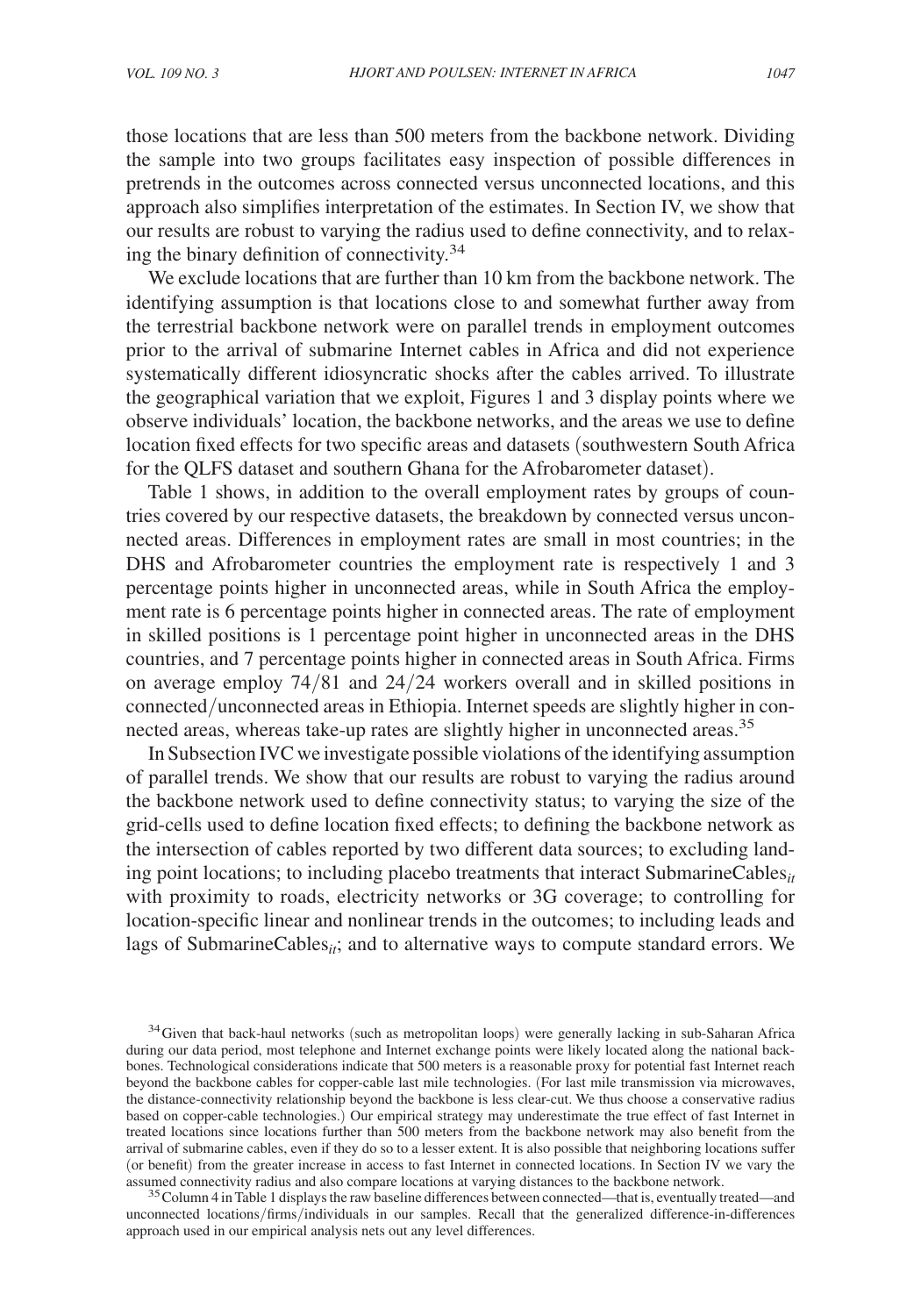those locations that are less than 500 meters from the backbone network. Dividing the sample into two groups facilitates easy inspection of possible differences in pretrends in the outcomes across connected versus unconnected locations, and this approach also simplifies interpretation of the estimates. In Section IV, we show that our results are robust to varying the radius used to define connectivity, and to relaxing the binary definition of connectivity.<sup>34</sup>

We exclude locations that are further than 10 km from the backbone network. The identifying assumption is that locations close to and somewhat further away from the terrestrial backbone network were on parallel trends in employment outcomes prior to the arrival of submarine Internet cables in Africa and did not experience systematically different idiosyncratic shocks after the cables arrived. To illustrate the geographical variation that we exploit, Figures 1 and 3 display points where we observe individuals' location, the backbone networks, and the areas we use to define location fixed effects for two specific areas and datasets (southwestern South Africa for the QLFS dataset and southern Ghana for the Afrobarometer dataset).

Table 1 shows, in addition to the overall employment rates by groups of countries covered by our respective datasets, the breakdown by connected versus unconnected areas. Differences in employment rates are small in most countries; in the DHS and Afrobarometer countries the employment rate is respectively 1 and 3 percentage points higher in unconnected areas, while in South Africa the employment rate is 6 percentage points higher in connected areas. The rate of employment in skilled positions is 1 percentage point higher in unconnected areas in the DHS countries, and 7 percentage points higher in connected areas in South Africa. Firms on average employ 74/81 and 24/24 workers overall and in skilled positions in connected/unconnected areas in Ethiopia. Internet speeds are slightly higher in connected areas, whereas take-up rates are slightly higher in unconnected areas.<sup>35</sup>

In Subsection IVC we investigate possible violations of the identifying assumption of parallel trends. We show that our results are robust to varying the radius around the backbone network used to define connectivity status; to varying the size of the grid-cells used to define location fixed effects; to defining the backbone network as the intersection of cables reported by two different data sources; to excluding landing point locations; to including placebo treatments that interact SubmarineCables<sub>*it*</sub> with proximity to roads, electricity networks or 3G coverage; to controlling for location-specific linear and nonlinear trends in the outcomes; to including leads and lags of SubmarineCables<sub>it</sub>; and to alternative ways to compute standard errors. We

<sup>&</sup>lt;sup>34</sup>Given that back-haul networks (such as metropolitan loops) were generally lacking in sub-Saharan Africa during our data period, most telephone and Internet exchange points were likely located along the national backbones. Technological considerations indicate that 500 meters is a reasonable proxy for potential fast Internet reach beyond the backbone cables for copper-cable last mile technologies. (For last mile transmission via microwaves, the distance-connectivity relationship beyond the backbone is less clear-cut. We thus choose a conservative radius based on copper-cable technologies.) Our empirical strategy may underestimate the true effect of fast Internet in treated locations since locations further than 500 meters from the backbone network may also benefit from the arrival of submarine cables, even if they do so to a lesser extent. It is also possible that neighboring locations suffer (or benefit) from the greater increase in access to fast Internet in connected locations. In Section IV we vary the assumed connectivity radius and also compare locations at varying distances to the backbone network.

<sup>&</sup>lt;sup>35</sup> Column 4 in Table 1 displays the raw baseline differences between connected—that is, eventually treated—and unconnected locations/firms/individuals in our samples. Recall that the generalized difference-in-differences approach used in our empirical analysis nets out any level differences.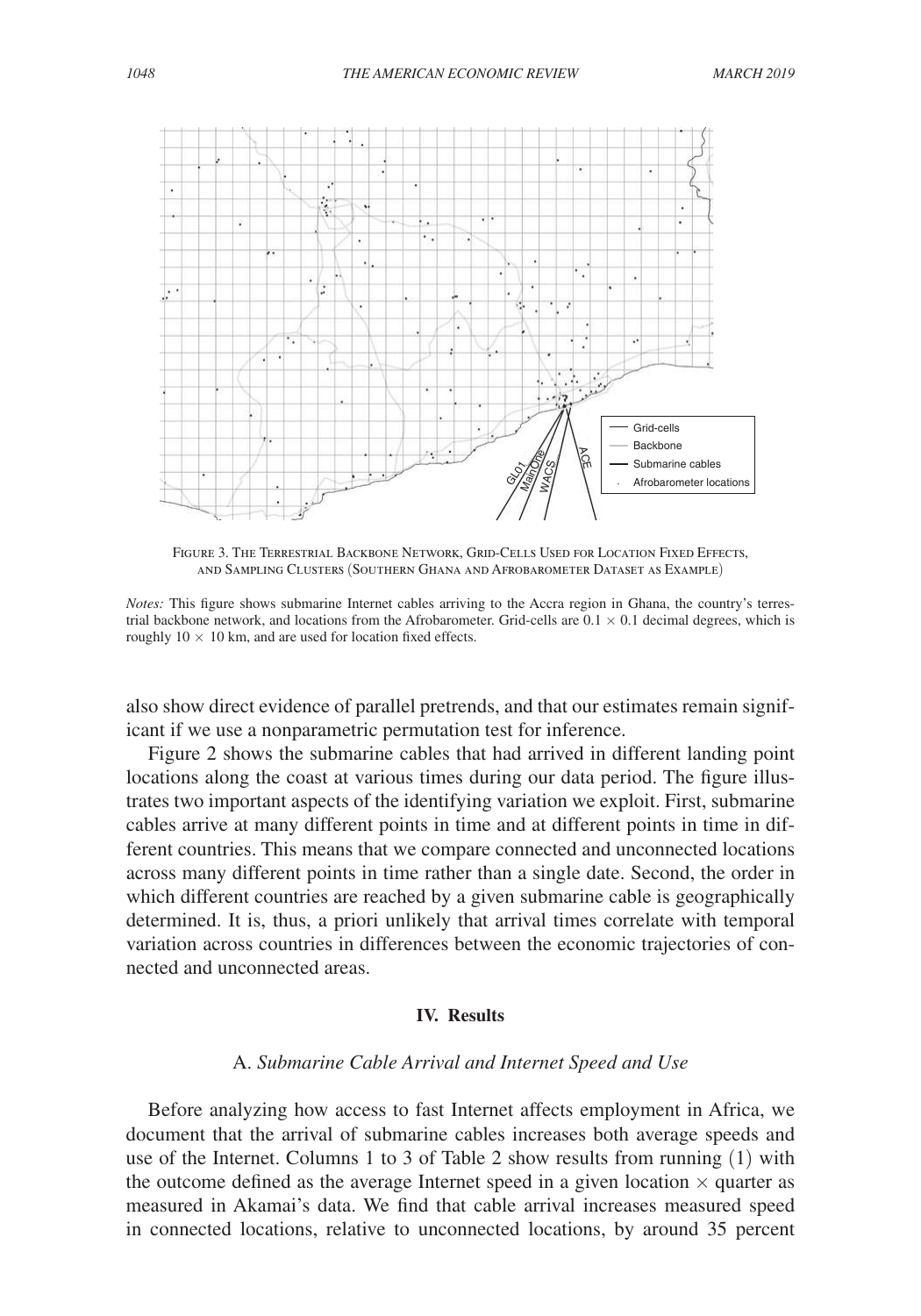

Figure 3. The Terrestrial Backbone Network, Grid-Cells Used for Location Fixed Effects, and Sampling Clusters (Southern Ghana and Afrobarometer Dataset as Example)

*Notes:* This figure shows submarine Internet cables arriving to the Accra region in Ghana, the country's terrestrial backbone network, and locations from the Afrobarometer. Grid-cells are  $0.1 \times 0.1$  decimal degrees, which is roughly  $10 \times 10$  km, and are used for location fixed effects.

also show direct evidence of parallel pretrends, and that our estimates remain significant if we use a nonparametric permutation test for inference.

Figure 2 shows the submarine cables that had arrived in different landing point locations along the coast at various times during our data period. The figure illustrates two important aspects of the identifying variation we exploit. First, submarine cables arrive at many different points in time and at different points in time in different countries. This means that we compare connected and unconnected locations across many different points in time rather than a single date. Second, the order in which different countries are reached by a given submarine cable is geographically determined. It is, thus, a priori unlikely that arrival times correlate with temporal variation across countries in differences between the economic trajectories of connected and unconnected areas.

#### **IV. Results**

## A. *Submarine Cable Arrival and Internet Speed and Use*

Before analyzing how access to fast Internet affects employment in Africa, we document that the arrival of submarine cables increases both average speeds and use of the Internet. Columns 1 to 3 of Table 2 show results from running (1) with the outcome defined as the average Internet speed in a given location  $\times$  quarter as measured in Akamai's data. We find that cable arrival increases measured speed in connected locations, relative to unconnected locations, by around 35 percent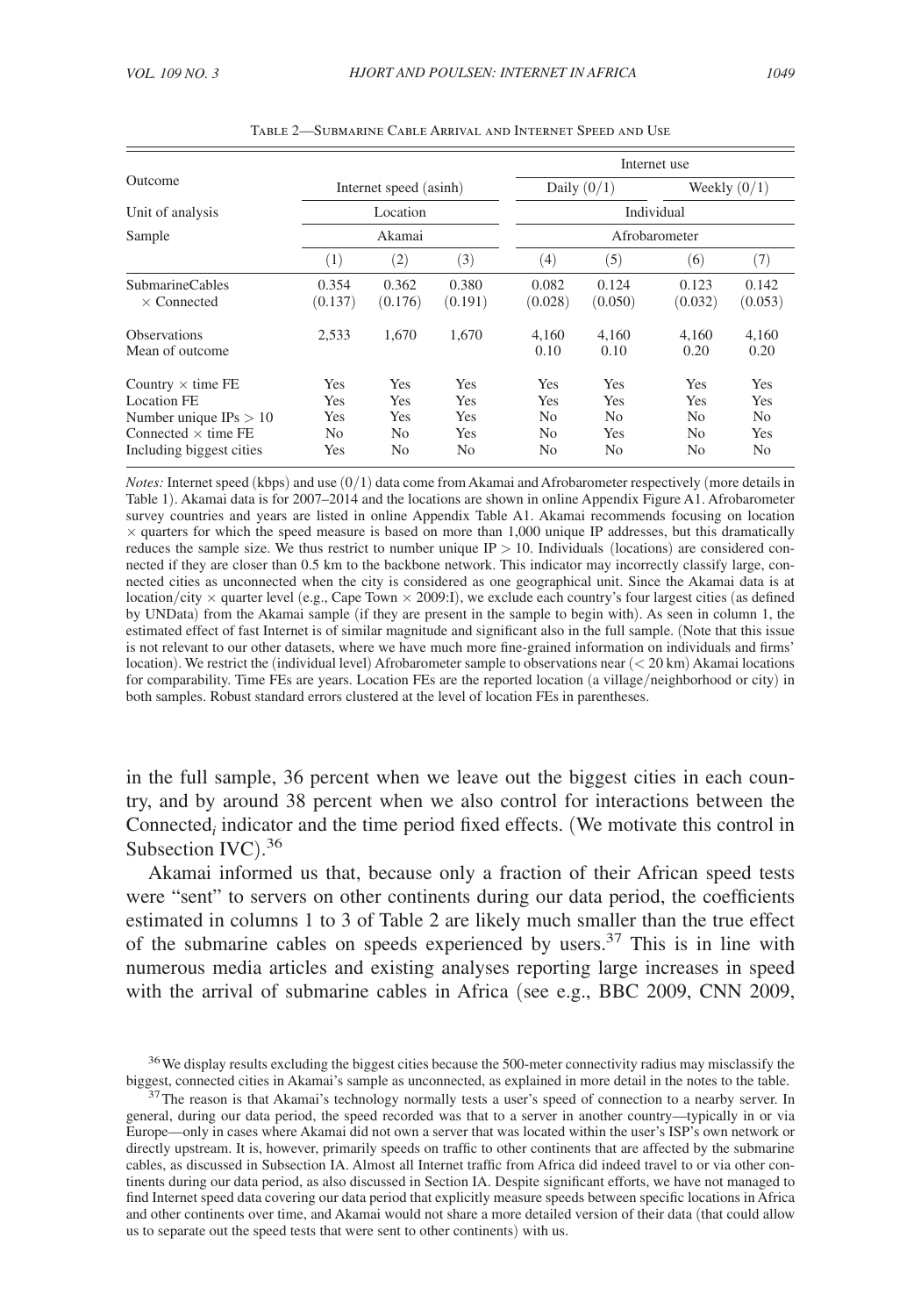|                                                                                                                               |                                |                               |                                |                              |                                | Internet use                 |                                           |
|-------------------------------------------------------------------------------------------------------------------------------|--------------------------------|-------------------------------|--------------------------------|------------------------------|--------------------------------|------------------------------|-------------------------------------------|
| Outcome                                                                                                                       |                                | Internet speed (asinh)        |                                |                              | Daily $(0/1)$                  |                              | Weekly $(0/1)$                            |
| Unit of analysis                                                                                                              |                                | Location                      |                                |                              |                                | Individual                   |                                           |
| Sample                                                                                                                        |                                | Akamai                        |                                |                              |                                | Afrobarometer                |                                           |
|                                                                                                                               | (1)                            | $\left( 2\right)$             | (3)                            | $\left( 4\right)$            | (5)                            | (6)                          | (7)                                       |
| SubmarineCables<br>$\times$ Connected                                                                                         | 0.354<br>(0.137)               | 0.362<br>(0.176)              | 0.380<br>(0.191)               | 0.082<br>(0.028)             | 0.124<br>(0.050)               | 0.123<br>(0.032)             | 0.142<br>(0.053)                          |
| <b>Observations</b><br>Mean of outcome                                                                                        | 2,533                          | 1,670                         | 1.670                          | 4,160<br>0.10                | 4.160<br>0.10                  | 4.160<br>0.20                | 4,160<br>0.20                             |
| Country $\times$ time FE<br>Location FE<br>Number unique $IPs > 10$<br>Connected $\times$ time FE<br>Including biggest cities | Yes<br>Yes<br>Yes<br>No<br>Yes | Yes<br>Yes<br>Yes<br>No<br>No | Yes<br>Yes<br>Yes<br>Yes<br>No | Yes<br>Yes<br>No<br>No<br>No | Yes<br>Yes<br>No.<br>Yes<br>No | Yes<br>Yes<br>No<br>No<br>No | Yes<br>Yes<br>No<br>Yes<br>N <sub>0</sub> |

Table 2—Submarine Cable Arrival and Internet Speed and Use

*Notes:* Internet speed (kbps) and use  $(0/1)$  data come from Akamai and Afrobarometer respectively (more details in Table 1). Akamai data is for 2007–2014 and the locations are shown in online Appendix Figure A1. Afrobarometer survey countries and years are listed in online Appendix Table A1. Akamai recommends focusing on location  $\times$  quarters for which the speed measure is based on more than 1,000 unique IP addresses, but this dramatically reduces the sample size. We thus restrict to number unique  $IP > 10$ . Individuals (locations) are considered connected if they are closer than 0.5 km to the backbone network. This indicator may incorrectly classify large, connected cities as unconnected when the city is considered as one geographical unit. Since the Akamai data is at location/city  $\times$  quarter level (e.g., Cape Town  $\times$  2009:I), we exclude each country's four largest cities (as defined by UNData) from the Akamai sample (if they are present in the sample to begin with). As seen in column 1, the estimated effect of fast Internet is of similar magnitude and significant also in the full sample. (Note that this issue is not relevant to our other datasets, where we have much more fine-grained information on individuals and firms' location). We restrict the (individual level) Afrobarometer sample to observations near  $( $20 \text{ km}$ )$  Akamai locations for comparability. Time FEs are years. Location FEs are the reported location (a village/neighborhood or city) in both samples. Robust standard errors clustered at the level of location FEs in parentheses.

in the full sample, 36 percent when we leave out the biggest cities in each country, and by around 38 percent when we also control for interactions between the Connected*<sup>i</sup>* indicator and the time period fixed effects. (We motivate this control in Subsection IVC). 36

Akamai informed us that, because only a fraction of their African speed tests were "sent" to servers on other continents during our data period, the coefficients estimated in columns 1 to 3 of Table 2 are likely much smaller than the true effect of the submarine cables on speeds experienced by users.<sup>37</sup> This is in line with numerous media articles and existing analyses reporting large increases in speed with the arrival of submarine cables in Africa (see e.g., BBC 2009, CNN 2009,

<sup>&</sup>lt;sup>36</sup>We display results excluding the biggest cities because the 500-meter connectivity radius may misclassify the biggest, connected cities in Akamai's sample as unconnected, as explained in more detail in the notes to the table.

<sup>&</sup>lt;sup>37</sup>The reason is that Akamai's technology normally tests a user's speed of connection to a nearby server. In general, during our data period, the speed recorded was that to a server in another country—typically in or via Europe—only in cases where Akamai did not own a server that was located within the user's ISP's own network or directly upstream. It is, however, primarily speeds on traffic to other continents that are affected by the submarine cables, as discussed in Subsection IA. Almost all Internet traffic from Africa did indeed travel to or via other continents during our data period, as also discussed in Section IA. Despite significant efforts, we have not managed to find Internet speed data covering our data period that explicitly measure speeds between specific locations in Africa and other continents over time, and Akamai would not share a more detailed version of their data (that could allow us to separate out the speed tests that were sent to other continents) with us.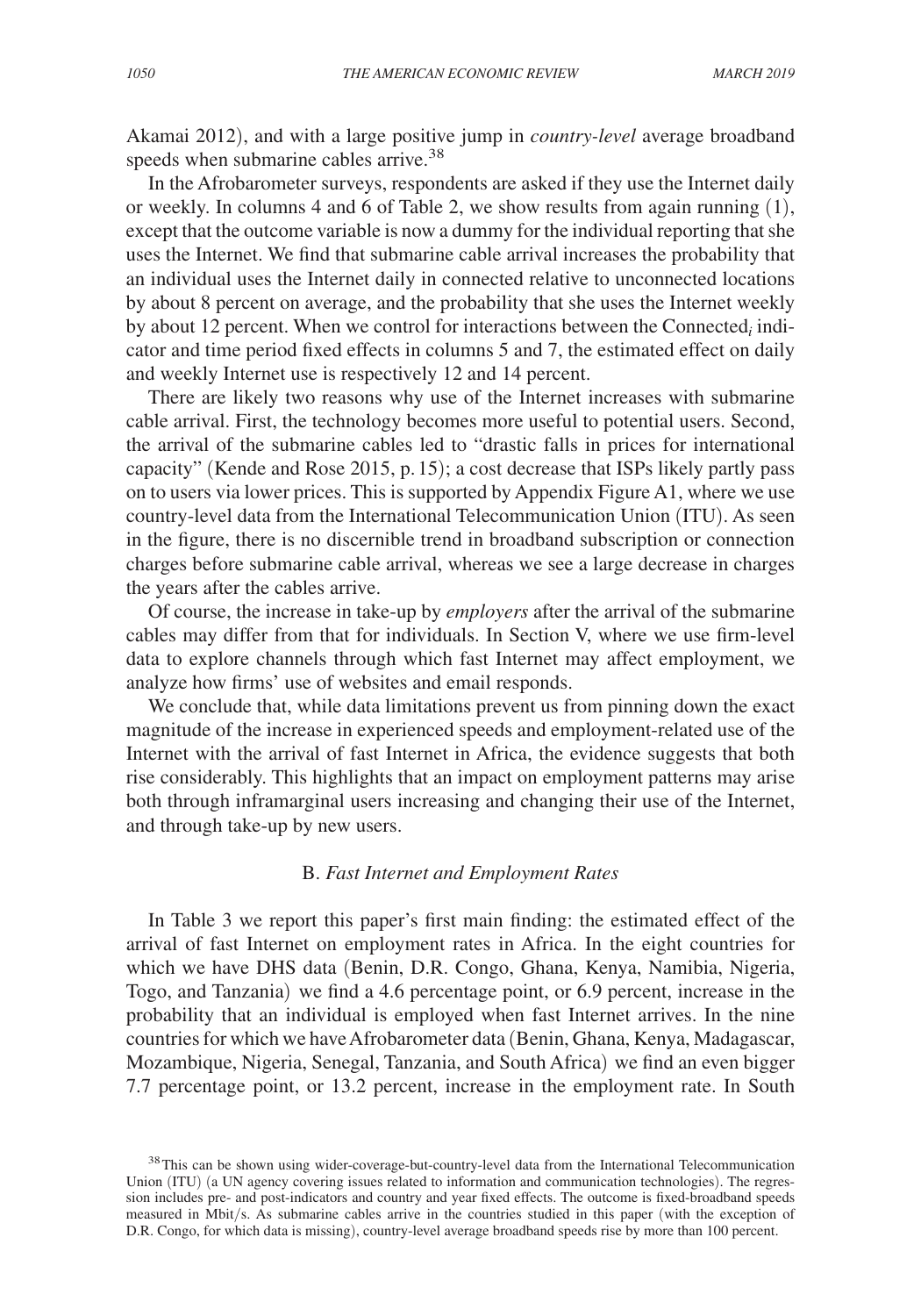Akamai 2012), and with a large positive jump in *country-level* average broadband speeds when submarine cables arrive.<sup>38</sup>

In the Afrobarometer surveys, respondents are asked if they use the Internet daily or weekly. In columns 4 and 6 of Table 2, we show results from again running (1), except that the outcome variable is now a dummy for the individual reporting that she uses the Internet. We find that submarine cable arrival increases the probability that an individual uses the Internet daily in connected relative to unconnected locations by about 8 percent on average, and the probability that she uses the Internet weekly by about 12 percent. When we control for interactions between the Connected<sub>i</sub> indicator and time period fixed effects in columns 5 and 7, the estimated effect on daily and weekly Internet use is respectively 12 and 14 percent.

There are likely two reasons why use of the Internet increases with submarine cable arrival. First, the technology becomes more useful to potential users. Second, the arrival of the submarine cables led to "drastic falls in prices for international capacity" (Kende and Rose 2015, p. 15); a cost decrease that ISPs likely partly pass on to users via lower prices. This is supported by Appendix Figure A1, where we use country-level data from the International Telecommunication Union (ITU). As seen in the figure, there is no discernible trend in broadband subscription or connection charges before submarine cable arrival, whereas we see a large decrease in charges the years after the cables arrive.

Of course, the increase in take-up by *employers* after the arrival of the submarine cables may differ from that for individuals. In Section V, where we use firm-level data to explore channels through which fast Internet may affect employment, we analyze how firms' use of websites and email responds.

We conclude that, while data limitations prevent us from pinning down the exact magnitude of the increase in experienced speeds and employment-related use of the Internet with the arrival of fast Internet in Africa, the evidence suggests that both rise considerably. This highlights that an impact on employment patterns may arise both through inframarginal users increasing and changing their use of the Internet, and through take-up by new users.

#### B. *Fast Internet and Employment Rates*

In Table 3 we report this paper's first main finding: the estimated effect of the arrival of fast Internet on employment rates in Africa. In the eight countries for which we have DHS data (Benin, D.R. Congo, Ghana, Kenya, Namibia, Nigeria, Togo, and Tanzania) we find a 4.6 percentage point, or 6.9 percent, increase in the probability that an individual is employed when fast Internet arrives. In the nine countries for which we have Afrobarometer data (Benin, Ghana, Kenya, Madagascar, Mozambique, Nigeria, Senegal, Tanzania, and South Africa) we find an even bigger 7.7 percentage point, or 13.2 percent, increase in the employment rate. In South

<sup>&</sup>lt;sup>38</sup>This can be shown using wider-coverage-but-country-level data from the International Telecommunication Union (ITU) (a UN agency covering issues related to information and communication technologies). The regression includes pre- and post-indicators and country and year fixed effects. The outcome is fixed-broadband speeds measured in Mbit/s. As submarine cables arrive in the countries studied in this paper (with the exception of D.R. Congo, for which data is missing), country-level average broadband speeds rise by more than 100 percent.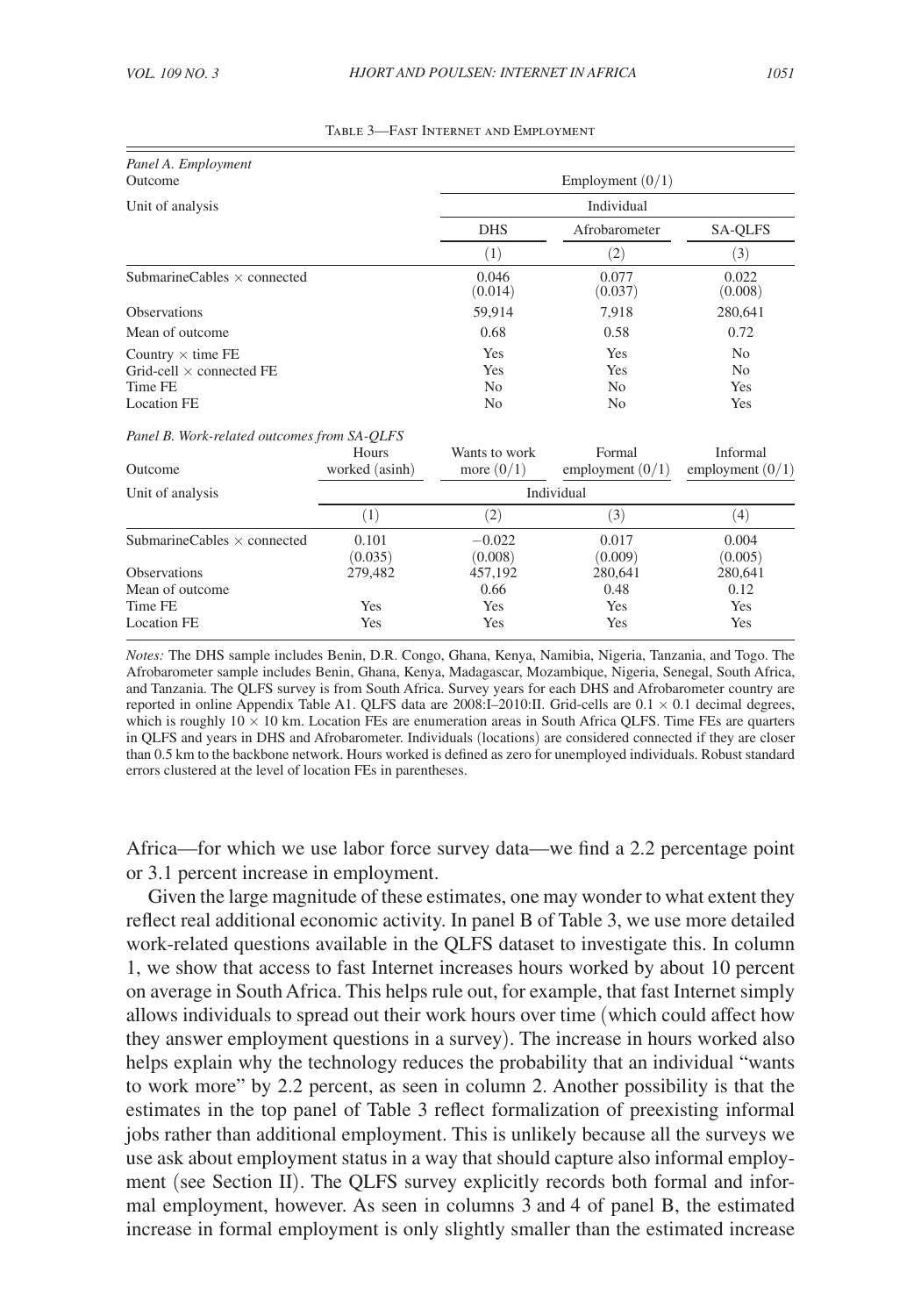| Panel A. Employment<br>Outcome                                                        |                         | Employment $(0/1)$<br>Individual               |                                                |                                                |  |  |  |
|---------------------------------------------------------------------------------------|-------------------------|------------------------------------------------|------------------------------------------------|------------------------------------------------|--|--|--|
| Unit of analysis                                                                      |                         |                                                |                                                |                                                |  |  |  |
|                                                                                       |                         | <b>DHS</b>                                     | Afrobarometer                                  | SA-QLFS                                        |  |  |  |
|                                                                                       |                         | (1)                                            | (2)                                            | (3)                                            |  |  |  |
| SubmarineCables $\times$ connected                                                    |                         | 0.046<br>(0.014)                               | 0.077<br>(0.037)                               | 0.022<br>(0.008)                               |  |  |  |
| <b>Observations</b>                                                                   |                         | 59,914                                         | 7,918                                          | 280,641                                        |  |  |  |
| Mean of outcome                                                                       |                         | 0.68                                           | 0.58                                           | 0.72                                           |  |  |  |
| Country $\times$ time FE<br>Grid-cell $\times$ connected FE<br>Time FE<br>Location FE |                         | Yes<br>Yes<br>N <sub>0</sub><br>N <sub>0</sub> | Yes<br>Yes<br>N <sub>0</sub><br>N <sub>0</sub> | N <sub>0</sub><br>N <sub>0</sub><br>Yes<br>Yes |  |  |  |
| Panel B. Work-related outcomes from SA-QLFS                                           |                         |                                                |                                                |                                                |  |  |  |
| Outcome                                                                               | Hours<br>worked (asinh) | Wants to work<br>more $(0/1)$                  | Formal<br>employment $(0/1)$                   | Informal<br>employment $(0/1)$                 |  |  |  |
| Unit of analysis                                                                      |                         | Individual                                     |                                                |                                                |  |  |  |
|                                                                                       | (1)                     | (2)                                            | (3)                                            | (4)                                            |  |  |  |
| SubmarineCables $\times$ connected                                                    | 0.101<br>(0.035)        | $-0.022$<br>(0.008)                            | 0.017<br>(0.009)                               | 0.004<br>(0.005)                               |  |  |  |
| <b>Observations</b>                                                                   | 279,482                 | 457,192                                        | 280,641                                        | 280,641                                        |  |  |  |
| Mean of outcome                                                                       |                         | 0.66                                           | 0.48                                           | 0.12                                           |  |  |  |
| Time FE                                                                               | Yes                     | Yes                                            | Yes                                            | Yes                                            |  |  |  |
| Location FE                                                                           | Yes                     | Yes                                            | Yes                                            | Yes                                            |  |  |  |

Table 3—Fast Internet and Employment

*Notes:* The DHS sample includes Benin, D.R. Congo, Ghana, Kenya, Namibia, Nigeria, Tanzania, and Togo. The Afrobarometer sample includes Benin, Ghana, Kenya, Madagascar, Mozambique, Nigeria, Senegal, South Africa, and Tanzania. The QLFS survey is from South Africa. Survey years for each DHS and Afrobarometer country are reported in online Appendix Table A1. QLFS data are 2008:I-2010:II. Grid-cells are  $0.1 \times 0.1$  decimal degrees, which is roughly  $10 \times 10$  km. Location FEs are enumeration areas in South Africa QLFS. Time FEs are quarters in QLFS and years in DHS and Afrobarometer. Individuals (locations) are considered connected if they are closer than 0.5 km to the backbone network. Hours worked is defined as zero for unemployed individuals. Robust standard errors clustered at the level of location FEs in parentheses.

Africa—for which we use labor force survey data—we find a 2.2 percentage point or 3.1 percent increase in employment.

Given the large magnitude of these estimates, one may wonder to what extent they reflect real additional economic activity. In panel B of Table 3, we use more detailed work-related questions available in the QLFS dataset to investigate this. In column 1, we show that access to fast Internet increases hours worked by about 10 percent on average in South Africa. This helps rule out, for example, that fast Internet simply allows individuals to spread out their work hours over time (which could affect how they answer employment questions in a survey). The increase in hours worked also helps explain why the technology reduces the probability that an individual "wants to work more" by 2.2 percent, as seen in column 2. Another possibility is that the estimates in the top panel of Table 3 reflect formalization of preexisting informal jobs rather than additional employment. This is unlikely because all the surveys we use ask about employment status in a way that should capture also informal employment (see Section II). The QLFS survey explicitly records both formal and informal employment, however. As seen in columns 3 and 4 of panel B, the estimated increase in formal employment is only slightly smaller than the estimated increase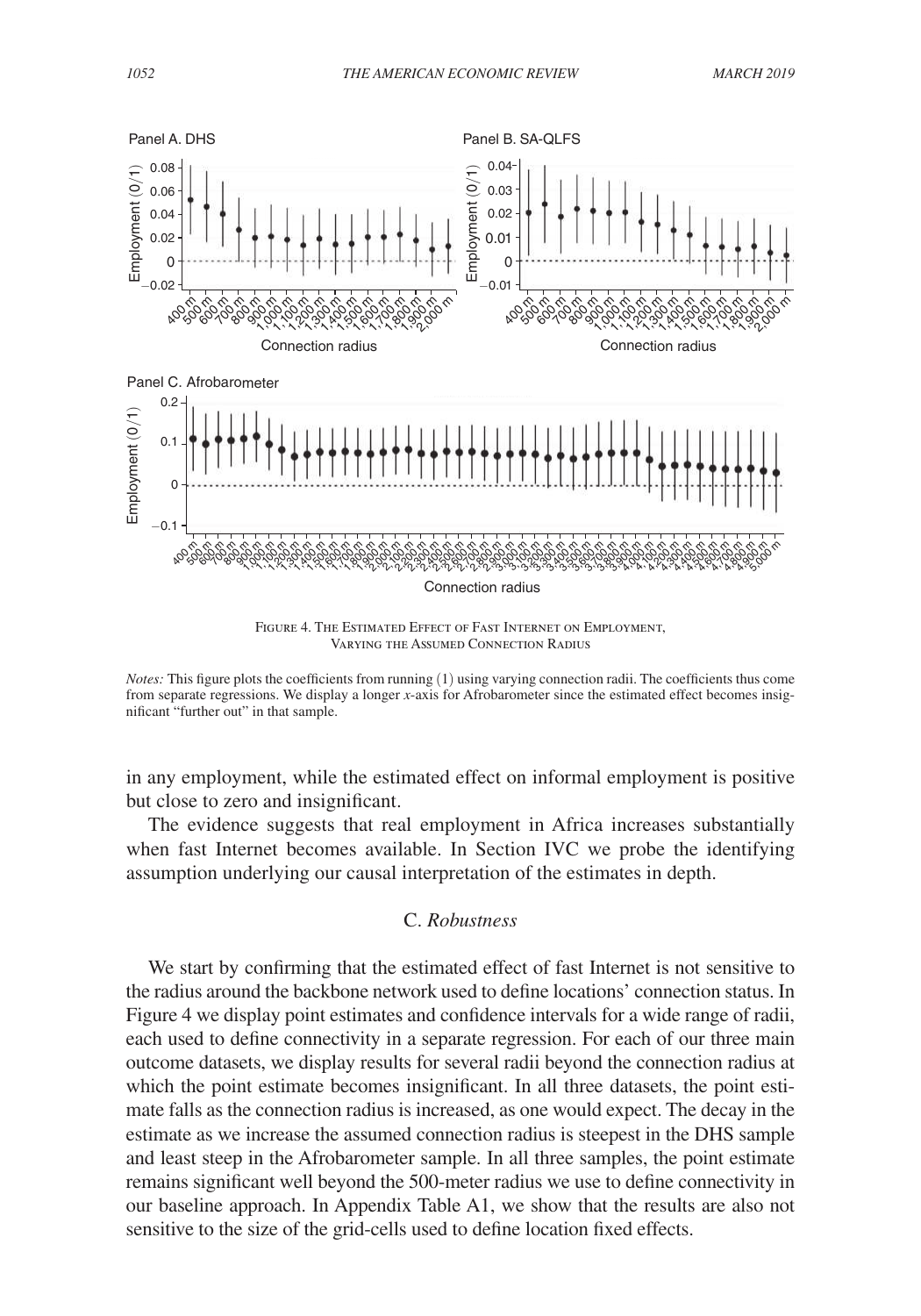

*Notes:* This figure plots the coefficients from running (1) using varying connection radii. The coefficients thus come from separate regressions. We display a longer *x*-axis for Afrobarometer since the estimated effect becomes insignificant "further out" in that sample.

in any employment, while the estimated effect on informal employment is positive but close to zero and insignificant.

The evidence suggests that real employment in Africa increases substantially when fast Internet becomes available. In Section IVC we probe the identifying assumption underlying our causal interpretation of the estimates in depth.

# C. *Robustness*

We start by confirming that the estimated effect of fast Internet is not sensitive to the radius around the backbone network used to define locations' connection status. In Figure 4 we display point estimates and confidence intervals for a wide range of radii, each used to define connectivity in a separate regression. For each of our three main outcome datasets, we display results for several radii beyond the connection radius at which the point estimate becomes insignificant. In all three datasets, the point estimate falls as the connection radius is increased, as one would expect. The decay in the estimate as we increase the assumed connection radius is steepest in the DHS sample and least steep in the Afrobarometer sample. In all three samples, the point estimate remains significant well beyond the 500-meter radius we use to define connectivity in our baseline approach. In Appendix Table A1, we show that the results are also not sensitive to the size of the grid-cells used to define location fixed effects.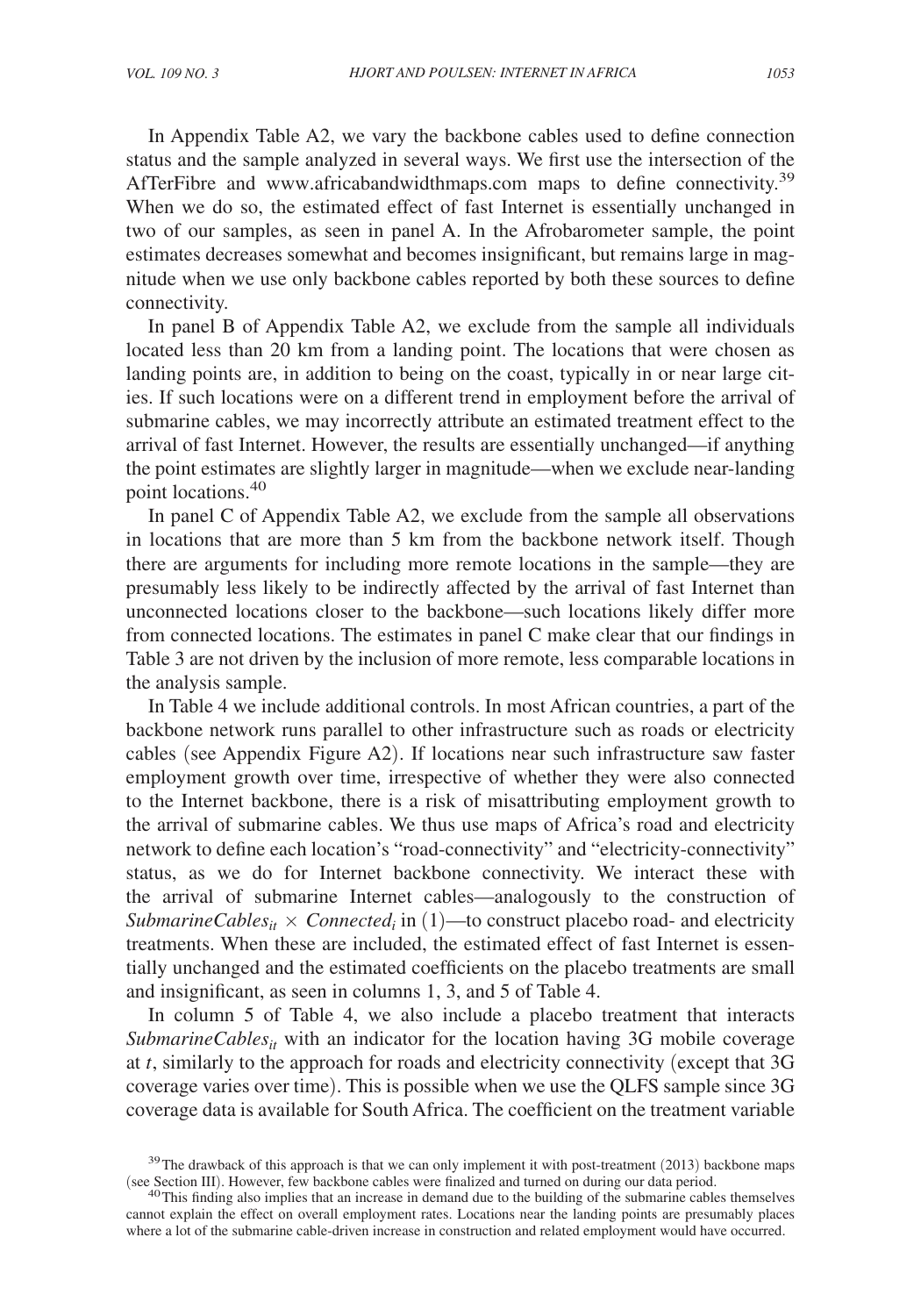In Appendix Table A2, we vary the backbone cables used to define connection status and the sample analyzed in several ways. We first use the intersection of the AfTerFibre and www.africabandwidthmaps.com maps to define connectivity.<sup>39</sup> When we do so, the estimated effect of fast Internet is essentially unchanged in two of our samples, as seen in panel A. In the Afrobarometer sample, the point estimates decreases somewhat and becomes insignificant, but remains large in magnitude when we use only backbone cables reported by both these sources to define connectivity.

In panel B of Appendix Table A2, we exclude from the sample all individuals located less than 20 km from a landing point. The locations that were chosen as landing points are, in addition to being on the coast, typically in or near large cities. If such locations were on a different trend in employment before the arrival of submarine cables, we may incorrectly attribute an estimated treatment effect to the arrival of fast Internet. However, the results are essentially unchanged—if anything the point estimates are slightly larger in magnitude—when we exclude near-landing point locations.<sup>40</sup>

In panel C of Appendix Table A2, we exclude from the sample all observations in locations that are more than 5 km from the backbone network itself. Though there are arguments for including more remote locations in the sample—they are presumably less likely to be indirectly affected by the arrival of fast Internet than unconnected locations closer to the backbone—such locations likely differ more from connected locations. The estimates in panel C make clear that our findings in Table 3 are not driven by the inclusion of more remote, less comparable locations in the analysis sample.

In Table 4 we include additional controls. In most African countries, a part of the backbone network runs parallel to other infrastructure such as roads or electricity cables (see Appendix Figure A2). If locations near such infrastructure saw faster employment growth over time, irrespective of whether they were also connected to the Internet backbone, there is a risk of misattributing employment growth to the arrival of submarine cables. We thus use maps of Africa's road and electricity network to define each location's "road-connectivity" and "electricity-connectivity" status, as we do for Internet backbone connectivity. We interact these with the arrival of submarine Internet cables—analogously to the construction of *SubmarineCables*<sub>*it*</sub>  $\times$  *Connected*<sup>*i*</sup> in (1)—to construct placebo road- and electricity treatments. When these are included, the estimated effect of fast Internet is essentially unchanged and the estimated coefficients on the placebo treatments are small and insignificant, as seen in columns 1, 3, and 5 of Table 4.

In column 5 of Table 4, we also include a placebo treatment that interacts *SubmarineCables<sub>it</sub>* with an indicator for the location having 3G mobile coverage at *t* , similarly to the approach for roads and electricity connectivity (except that 3G coverage varies over time). This is possible when we use the QLFS sample since 3G coverage data is available for South Africa. The coefficient on the treatment variable

 $39$ The drawback of this approach is that we can only implement it with post-treatment (2013) backbone maps (see Section III). However, few backbone cables were finalized and turned on during our data period.

<sup>&</sup>lt;sup>40</sup>This finding also implies that an increase in demand due to the building of the submarine cables themselves cannot explain the effect on overall employment rates. Locations near the landing points are presumably places where a lot of the submarine cable-driven increase in construction and related employment would have occurred.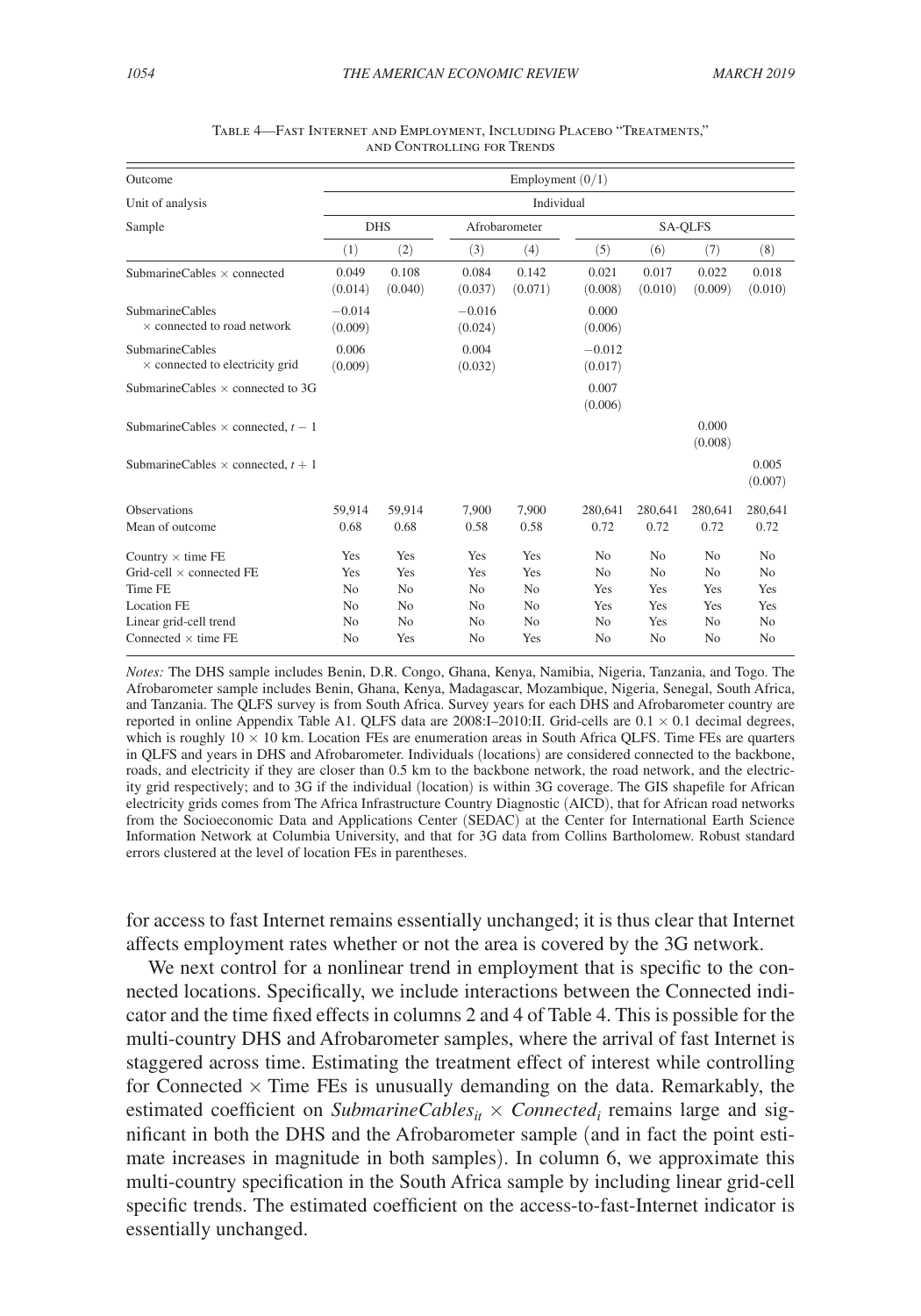| Outcome                                                          | Employment $(0/1)$  |                  |                     |                  |                     |                  |                  |                  |  |  |  |  |
|------------------------------------------------------------------|---------------------|------------------|---------------------|------------------|---------------------|------------------|------------------|------------------|--|--|--|--|
| Unit of analysis                                                 |                     | Individual       |                     |                  |                     |                  |                  |                  |  |  |  |  |
| Sample                                                           | <b>DHS</b>          |                  | Afrobarometer       |                  |                     | <b>SA-QLFS</b>   |                  |                  |  |  |  |  |
|                                                                  | (1)                 | (2)              | (3)                 | (4)              | (5)                 | (6)              | (7)              | (8)              |  |  |  |  |
| SubmarineCables $\times$ connected                               | 0.049<br>(0.014)    | 0.108<br>(0.040) | 0.084<br>(0.037)    | 0.142<br>(0.071) | 0.021<br>(0.008)    | 0.017<br>(0.010) | 0.022<br>(0.009) | 0.018<br>(0.010) |  |  |  |  |
| SubmarineCables<br>$\times$ connected to road network            | $-0.014$<br>(0.009) |                  | $-0.016$<br>(0.024) |                  | 0.000<br>(0.006)    |                  |                  |                  |  |  |  |  |
| <b>SubmarineCables</b><br>$\times$ connected to electricity grid | 0.006<br>(0.009)    |                  | 0.004<br>(0.032)    |                  | $-0.012$<br>(0.017) |                  |                  |                  |  |  |  |  |
| SubmarineCables $\times$ connected to 3G                         |                     |                  |                     |                  | 0.007<br>(0.006)    |                  |                  |                  |  |  |  |  |
| SubmarineCables $\times$ connected, $t-1$                        |                     |                  |                     |                  |                     |                  | 0.000<br>(0.008) |                  |  |  |  |  |
| SubmarineCables $\times$ connected, $t + 1$                      |                     |                  |                     |                  |                     |                  |                  | 0.005<br>(0.007) |  |  |  |  |
| <b>Observations</b>                                              | 59,914              | 59,914           | 7,900               | 7,900            | 280,641             | 280,641          | 280,641          | 280,641          |  |  |  |  |
| Mean of outcome                                                  | 0.68                | 0.68             | 0.58                | 0.58             | 0.72                | 0.72             | 0.72             | 0.72             |  |  |  |  |
| Country $\times$ time FE                                         | Yes                 | Yes              | Yes                 | Yes              | N <sub>0</sub>      | No               | No               | N <sub>0</sub>   |  |  |  |  |
| Grid-cell $\times$ connected FE                                  | Yes                 | Yes              | Yes                 | Yes              | N <sub>0</sub>      | No               | No               | N <sub>0</sub>   |  |  |  |  |
| Time FE                                                          | N <sub>o</sub>      | N <sub>0</sub>   | N <sub>0</sub>      | N <sub>o</sub>   | Yes                 | Yes              | Yes              | Yes              |  |  |  |  |
| <b>Location FE</b>                                               | N <sub>0</sub>      | N <sub>o</sub>   | N <sub>0</sub>      | N <sub>0</sub>   | Yes                 | Yes              | Yes              | Yes              |  |  |  |  |
| Linear grid-cell trend                                           | N <sub>0</sub>      | N <sub>o</sub>   | N <sub>o</sub>      | N <sub>o</sub>   | N <sub>o</sub>      | Yes              | No               | N <sub>o</sub>   |  |  |  |  |
| Connected $\times$ time FE                                       | No                  | Yes              | N <sub>0</sub>      | Yes              | N <sub>0</sub>      | No               | N <sub>0</sub>   | No               |  |  |  |  |

#### Table 4—Fast Internet and Employment, Including Placebo "Treatments," and Controlling for Trends

*Notes:* The DHS sample includes Benin, D.R. Congo, Ghana, Kenya, Namibia, Nigeria, Tanzania, and Togo. The Afrobarometer sample includes Benin, Ghana, Kenya, Madagascar, Mozambique, Nigeria, Senegal, South Africa, and Tanzania. The QLFS survey is from South Africa. Survey years for each DHS and Afrobarometer country are reported in online Appendix Table A1. QLFS data are 2008:I-2010:II. Grid-cells are  $0.1 \times 0.1$  decimal degrees, which is roughly  $10 \times 10$  km. Location FEs are enumeration areas in South Africa QLFS. Time FEs are quarters in QLFS and years in DHS and Afrobarometer. Individuals (locations) are considered connected to the backbone, roads, and electricity if they are closer than 0.5 km to the backbone network, the road network, and the electricity grid respectively; and to 3G if the individual (location) is within 3G coverage. The GIS shapefile for African electricity grids comes from The Africa Infrastructure Country Diagnostic (AICD), that for African road networks from the Socioeconomic Data and Applications Center (SEDAC) at the Center for International Earth Science Information Network at Columbia University, and that for 3G data from Collins Bartholomew. Robust standard errors clustered at the level of location FEs in parentheses.

for access to fast Internet remains essentially unchanged; it is thus clear that Internet affects employment rates whether or not the area is covered by the 3G network.

We next control for a nonlinear trend in employment that is specific to the connected locations. Specifically, we include interactions between the Connected indicator and the time fixed effects in columns 2 and 4 of Table 4. This is possible for the multi-country DHS and Afrobarometer samples, where the arrival of fast Internet is staggered across time. Estimating the treatment effect of interest while controlling for Connected  $\times$  Time FEs is unusually demanding on the data. Remarkably, the estimated coefficient on *SubmarineCables*<sub>*it*</sub>  $\times$  *Connected*<sub>*i*</sub> remains large and significant in both the DHS and the Afrobarometer sample (and in fact the point estimate increases in magnitude in both samples). In column 6, we approximate this multi-country specification in the South Africa sample by including linear grid-cell specific trends. The estimated coefficient on the access-to-fast-Internet indicator is essentially unchanged.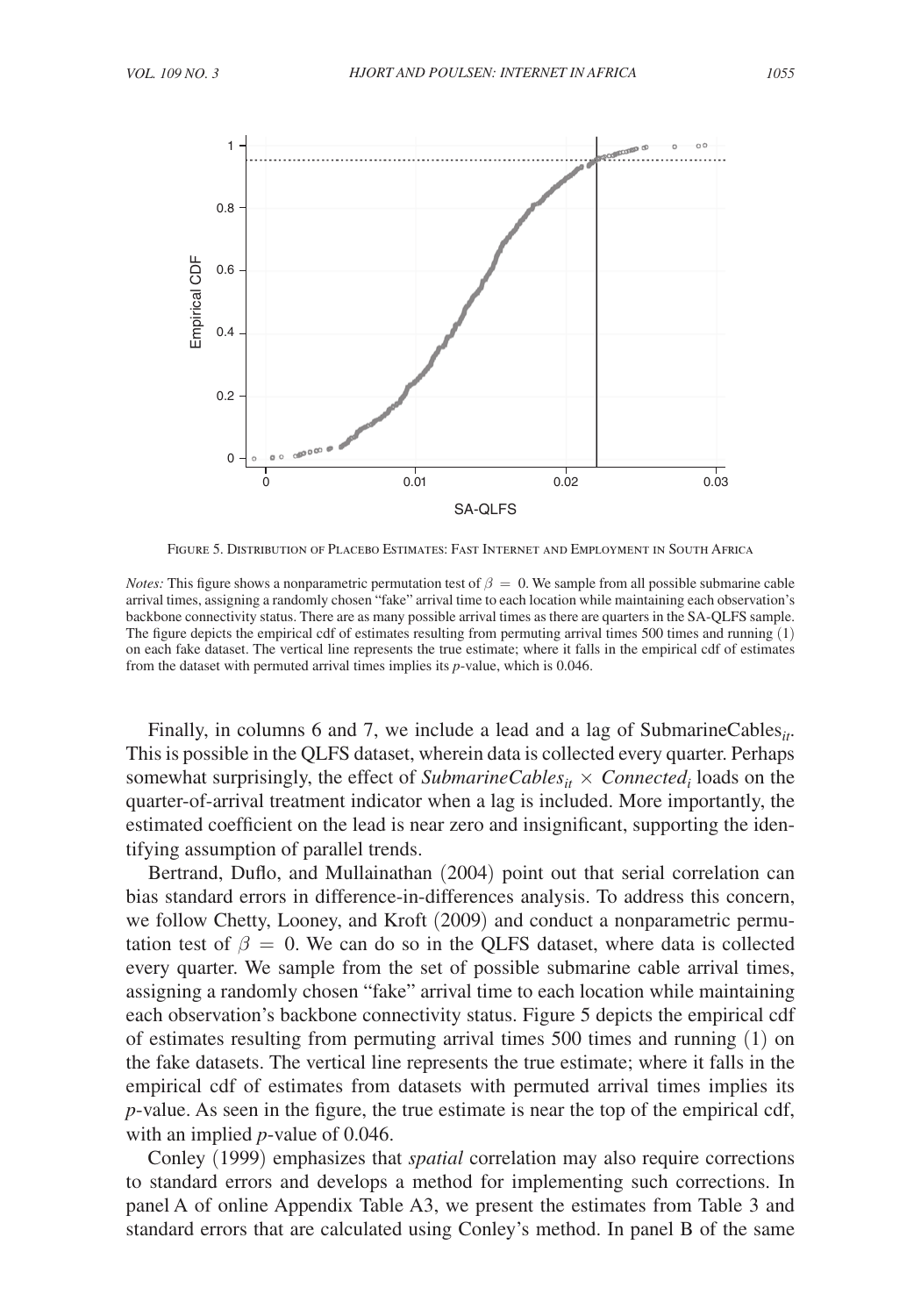

Figure 5. Distribution of Placebo Estimates: Fast Internet and Employment in South Africa

*Notes:* This figure shows a nonparametric permutation test of  $\beta = 0$ . We sample from all possible submarine cable arrival times, assigning a randomly chosen "fake" arrival time to each location while maintaining each observation's backbone connectivity status. There are as many possible arrival times as there are quarters in the SA-QLFS sample. The figure depicts the empirical cdf of estimates resulting from permuting arrival times 500 times and running  $(1)$ on each fake dataset. The vertical line represents the true estimate; where it falls in the empirical cdf of estimates from the dataset with permuted arrival times implies its *p*-value, which is 0.046.

Finally, in columns 6 and 7, we include a lead and a lag of SubmarineCables<sub>it</sub>. This is possible in the QLFS dataset, wherein data is collected every quarter. Perhaps somewhat surprisingly, the effect of *SubmarineCables*<sub>*it*</sub>  $\times$  *Connected*<sub>*i*</sub> loads on the quarter-of-arrival treatment indicator when a lag is included. More importantly, the estimated coefficient on the lead is near zero and insignificant, supporting the identifying assumption of parallel trends.

Bertrand, Duflo, and Mullainathan (2004) point out that serial correlation can bias standard errors in difference-in-differences analysis. To address this concern, we follow Chetty, Looney, and Kroft (2009) and conduct a nonparametric permutation test of  $\beta = 0$ . We can do so in the QLFS dataset, where data is collected every quarter. We sample from the set of possible submarine cable arrival times, assigning a randomly chosen "fake" arrival time to each location while maintaining each observation's backbone connectivity status. Figure 5 depicts the empirical cdf of estimates resulting from permuting arrival times 500 times and running (1) on the fake datasets. The vertical line represents the true estimate; where it falls in the empirical cdf of estimates from datasets with permuted arrival times implies its *p*-value. As seen in the figure, the true estimate is near the top of the empirical cdf, with an implied *p*-value of 0.046.

Conley (1999) emphasizes that *spatial* correlation may also require corrections to standard errors and develops a method for implementing such corrections. In panel A of online Appendix Table A3, we present the estimates from Table 3 and standard errors that are calculated using Conley's method. In panel B of the same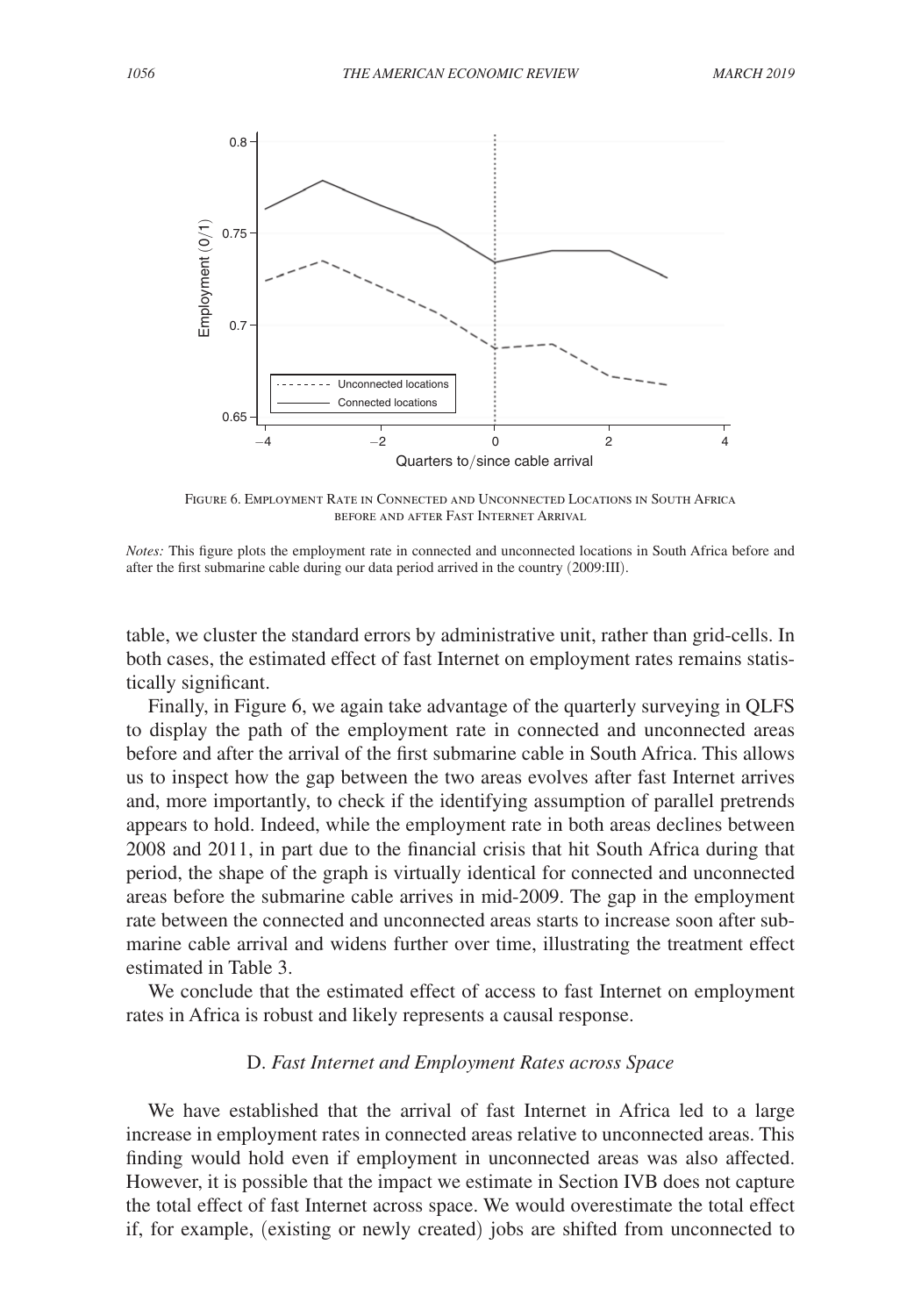

Figure 6. Employment Rate in Connected and Unconnected Locations in South Africa before and after Fast Internet Arrival

*Notes:* This figure plots the employment rate in connected and unconnected locations in South Africa before and after the first submarine cable during our data period arrived in the country (2009:III).

table, we cluster the standard errors by administrative unit, rather than grid-cells. In both cases, the estimated effect of fast Internet on employment rates remains statistically significant.

Finally, in Figure 6, we again take advantage of the quarterly surveying in QLFS to display the path of the employment rate in connected and unconnected areas before and after the arrival of the first submarine cable in South Africa. This allows us to inspect how the gap between the two areas evolves after fast Internet arrives and, more importantly, to check if the identifying assumption of parallel pretrends appears to hold. Indeed, while the employment rate in both areas declines between 2008 and 2011, in part due to the financial crisis that hit South Africa during that period, the shape of the graph is virtually identical for connected and unconnected areas before the submarine cable arrives in mid-2009. The gap in the employment rate between the connected and unconnected areas starts to increase soon after submarine cable arrival and widens further over time, illustrating the treatment effect estimated in Table 3.

We conclude that the estimated effect of access to fast Internet on employment rates in Africa is robust and likely represents a causal response.

#### D. *Fast Internet and Employment Rates across Space*

We have established that the arrival of fast Internet in Africa led to a large increase in employment rates in connected areas relative to unconnected areas. This finding would hold even if employment in unconnected areas was also affected. However, it is possible that the impact we estimate in Section IVB does not capture the total effect of fast Internet across space. We would overestimate the total effect if, for example, (existing or newly created) jobs are shifted from unconnected to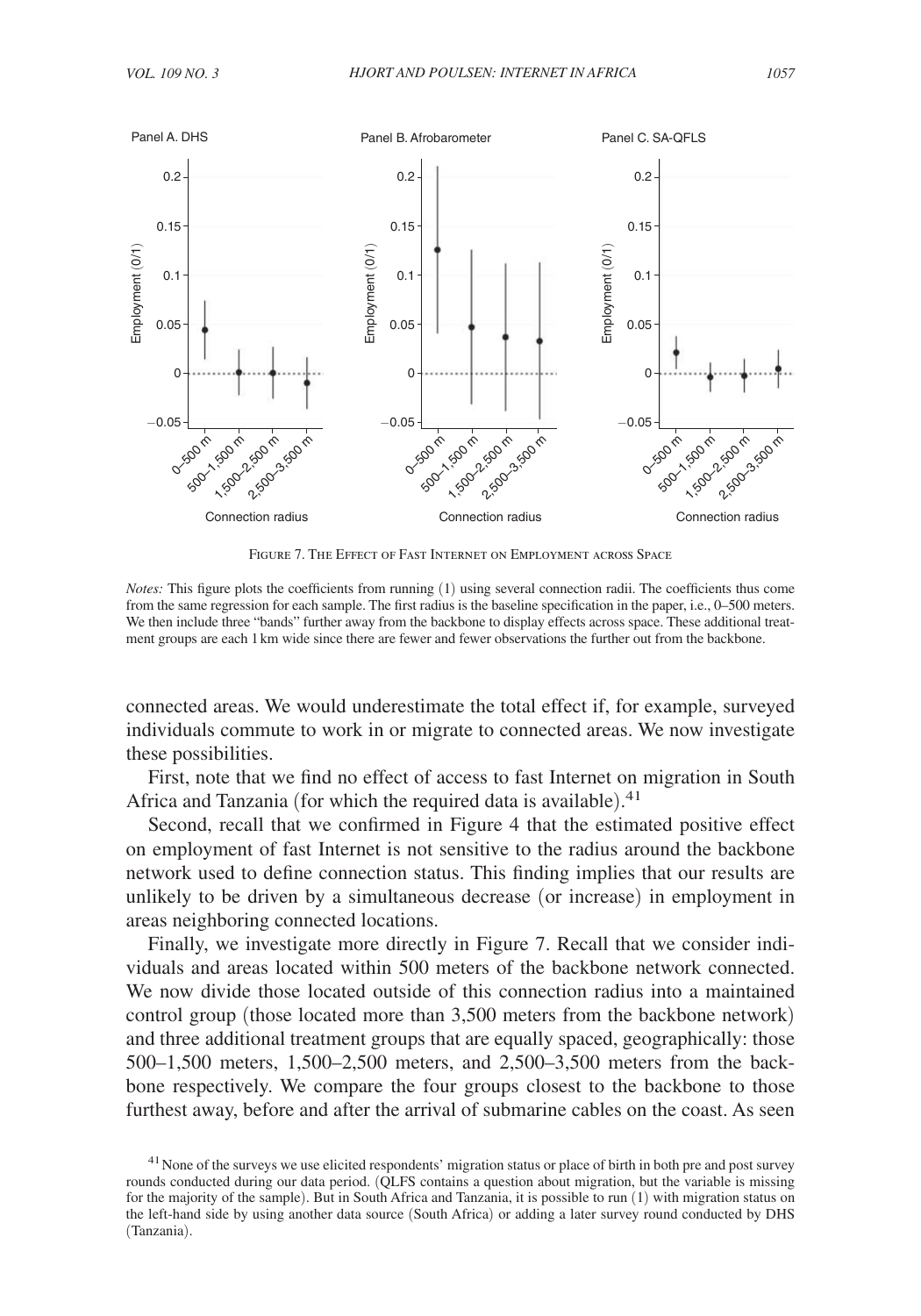

Figure 7. The Effect of Fast Internet on Employment across Space

*Notes:* This figure plots the coefficients from running (1) using several connection radii. The coefficients thus come from the same regression for each sample. The first radius is the baseline specification in the paper, i.e., 0–500 meters. We then include three "bands" further away from the backbone to display effects across space. These additional treatment groups are each 1 km wide since there are fewer and fewer observations the further out from the backbone.

 connected areas. We would underestimate the total effect if, for example, surveyed individuals commute to work in or migrate to connected areas. We now investigate these possibilities.

First, note that we find no effect of access to fast Internet on migration in South Africa and Tanzania (for which the required data is available).<sup>41</sup>

Second, recall that we confirmed in Figure 4 that the estimated positive effect on employment of fast Internet is not sensitive to the radius around the backbone network used to define connection status. This finding implies that our results are unlikely to be driven by a simultaneous decrease (or increase) in employment in areas neighboring connected locations.

Finally, we investigate more directly in Figure 7. Recall that we consider individuals and areas located within 500 meters of the backbone network connected. We now divide those located outside of this connection radius into a maintained control group (those located more than 3,500 meters from the backbone network) and three additional treatment groups that are equally spaced, geographically: those 500–1,500 meters, 1,500–2,500 meters, and 2,500–3,500 meters from the backbone respectively. We compare the four groups closest to the backbone to those furthest away, before and after the arrival of submarine cables on the coast. As seen

<sup>&</sup>lt;sup>41</sup> None of the surveys we use elicited respondents' migration status or place of birth in both pre and post survey rounds conducted during our data period. (QLFS contains a question about migration, but the variable is missing for the majority of the sample). But in South Africa and Tanzania, it is possible to run (1) with migration status on the left-hand side by using another data source (South Africa) or adding a later survey round conducted by DHS (Tanzania).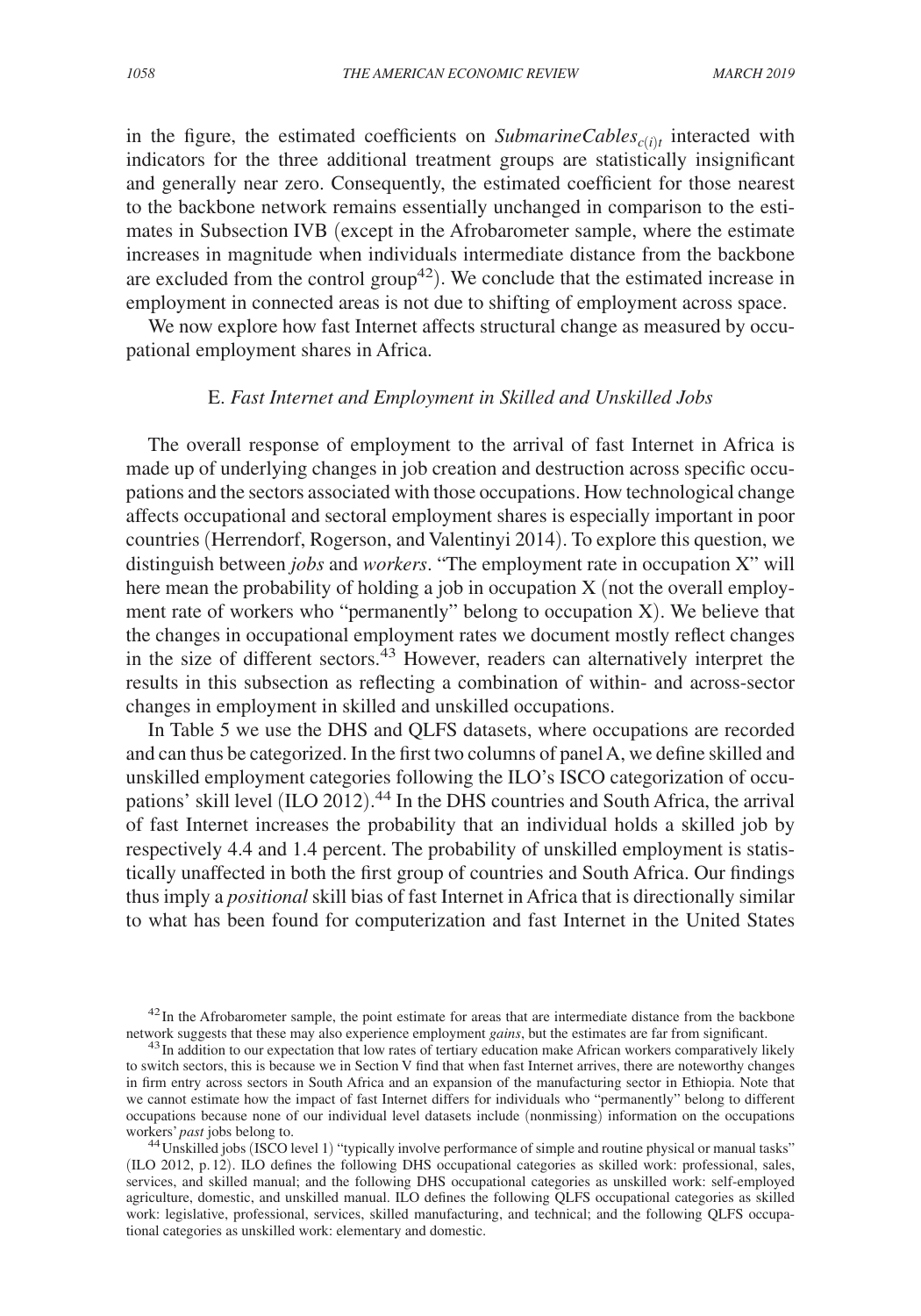in the figure, the estimated coefficients on *SubmarineCables*<sub> $c(i)t$ </sub> interacted with indicators for the three additional treatment groups are statistically insignificant and generally near zero. Consequently, the estimated coefficient for those nearest to the backbone network remains essentially unchanged in comparison to the estimates in Subsection IVB (except in the Afrobarometer sample, where the estimate increases in magnitude when individuals intermediate distance from the backbone are excluded from the control group<sup>42</sup>). We conclude that the estimated increase in employment in connected areas is not due to shifting of employment across space.

We now explore how fast Internet affects structural change as measured by occupational employment shares in Africa.

#### E. *Fast Internet and Employment in Skilled and Unskilled Jobs*

The overall response of employment to the arrival of fast Internet in Africa is made up of underlying changes in job creation and destruction across specific occupations and the sectors associated with those occupations. How technological change affects occupational and sectoral employment shares is especially important in poor countries (Herrendorf, Rogerson, and Valentinyi 2014). To explore this question, we distinguish between *jobs* and *workers*. "The employment rate in occupation X" will here mean the probability of holding a job in occupation X (not the overall employment rate of workers who "permanently" belong to occupation X). We believe that the changes in occupational employment rates we document mostly reflect changes in the size of different sectors. $43$  However, readers can alternatively interpret the results in this subsection as reflecting a combination of within- and across-sector changes in employment in skilled and unskilled occupations.

In Table 5 we use the DHS and QLFS datasets, where occupations are recorded and can thus be categorized. In the first two columns of panel A, we define skilled and unskilled employment categories following the ILO's ISCO categorization of occupations' skill level (ILO 2012). <sup>44</sup> In the DHS countries and South Africa, the arrival of fast Internet increases the probability that an individual holds a skilled job by respectively 4.4 and 1.4 percent. The probability of unskilled employment is statistically unaffected in both the first group of countries and South Africa. Our findings thus imply a *positional* skill bias of fast Internet in Africa that is directionally similar to what has been found for computerization and fast Internet in the United States

<sup>42</sup>In the Afrobarometer sample, the point estimate for areas that are intermediate distance from the backbone network suggests that these may also experience employment *gains*, but the estimates are far from significant.

<sup>&</sup>lt;sup>43</sup>In addition to our expectation that low rates of tertiary education make African workers comparatively likely to switch sectors, this is because we in Section V find that when fast Internet arrives, there are noteworthy changes in firm entry across sectors in South Africa and an expansion of the manufacturing sector in Ethiopia. Note that we cannot estimate how the impact of fast Internet differs for individuals who "permanently" belong to different occupations because none of our individual level datasets include (nonmissing) information on the occupations workers' *past* jobs belong to.

<sup>&</sup>lt;sup>44</sup> Unskilled jobs (ISCO level 1) "typically involve performance of simple and routine physical or manual tasks" (ILO 2012, p. 12). ILO defines the following DHS occupational categories as skilled work: professional, sales, services, and skilled manual; and the following DHS occupational categories as unskilled work: self-employed agriculture, domestic, and unskilled manual. ILO defines the following QLFS occupational categories as skilled work: legislative, professional, services, skilled manufacturing, and technical; and the following QLFS occupational categories as unskilled work: elementary and domestic.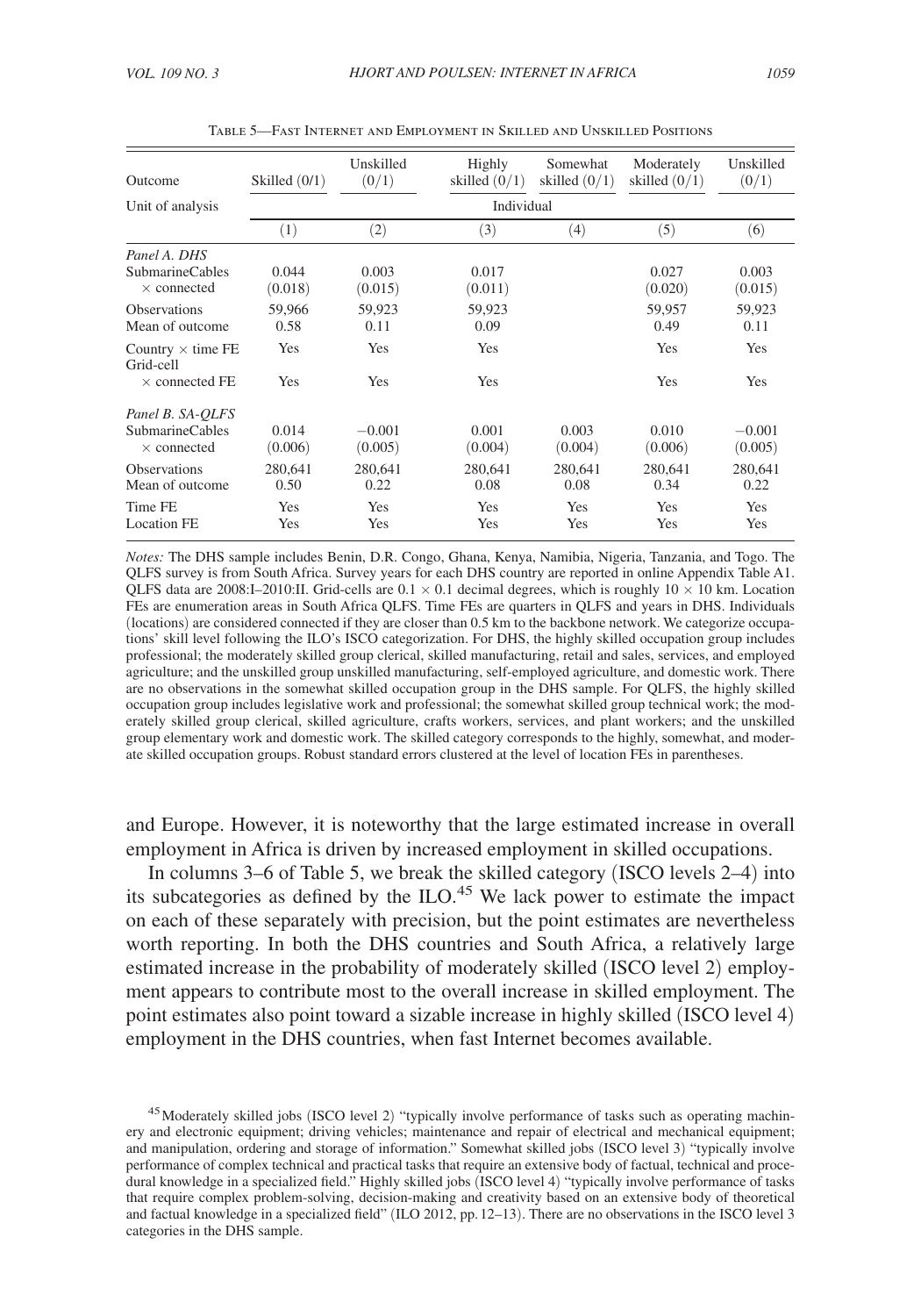| Outcome                                                   | Skilled $(0/1)$   | Unskilled<br>(0/1)  | Highly<br>skilled $(0/1)$ | Somewhat<br>skilled $(0/1)$ | Moderately<br>skilled $(0/1)$ | Unskilled<br>(0/1)  |
|-----------------------------------------------------------|-------------------|---------------------|---------------------------|-----------------------------|-------------------------------|---------------------|
| Unit of analysis                                          |                   |                     | Individual                |                             |                               |                     |
|                                                           | (1)               | (2)                 | (3)                       | (4)                         | (5)                           | (6)                 |
| Panel A. DHS<br>SubmarineCables<br>$\times$ connected     | 0.044<br>(0.018)  | 0.003<br>(0.015)    | 0.017<br>(0.011)          |                             | 0.027<br>(0.020)              | 0.003<br>(0.015)    |
| <b>Observations</b><br>Mean of outcome                    | 59,966<br>0.58    | 59,923<br>0.11      | 59,923<br>0.09            |                             | 59,957<br>0.49                | 59,923<br>0.11      |
| Country $\times$ time FE<br>Grid-cell                     | Yes               | Yes                 | Yes                       |                             | <b>Yes</b>                    | <b>Yes</b>          |
| $\times$ connected FE                                     | Yes               | Yes                 | Yes                       |                             | Yes                           | Yes                 |
| Panel B. SA-OLFS<br>SubmarineCables<br>$\times$ connected | 0.014<br>(0.006)  | $-0.001$<br>(0.005) | 0.001<br>(0.004)          | 0.003<br>(0.004)            | 0.010<br>(0.006)              | $-0.001$<br>(0.005) |
| <b>Observations</b><br>Mean of outcome                    | 280,641<br>0.50   | 280,641<br>0.22     | 280,641<br>0.08           | 280,641<br>0.08             | 280,641<br>0.34               | 280,641<br>0.22     |
| Time FE<br><b>Location FE</b>                             | <b>Yes</b><br>Yes | Yes<br>Yes          | <b>Yes</b><br>Yes         | <b>Yes</b><br>Yes           | <b>Yes</b><br>Yes             | <b>Yes</b><br>Yes   |

Table 5—Fast Internet and Employment in Skilled and Unskilled Positions

*Notes:* The DHS sample includes Benin, D.R. Congo, Ghana, Kenya, Namibia, Nigeria, Tanzania, and Togo. The QLFS survey is from South Africa. Survey years for each DHS country are reported in online Appendix Table A1. QLFS data are 2008:I-2010:II. Grid-cells are  $0.1 \times 0.1$  decimal degrees, which is roughly  $10 \times 10$  km. Location FEs are enumeration areas in South Africa QLFS. Time FEs are quarters in QLFS and years in DHS. Individuals (locations) are considered connected if they are closer than 0.5 km to the backbone network. We categorize occupations' skill level following the ILO's ISCO categorization. For DHS, the highly skilled occupation group includes professional; the moderately skilled group clerical, skilled manufacturing, retail and sales, services, and employed agriculture; and the unskilled group unskilled manufacturing, self-employed agriculture, and domestic work. There are no observations in the somewhat skilled occupation group in the DHS sample. For QLFS, the highly skilled occupation group includes legislative work and professional; the somewhat skilled group technical work; the moderately skilled group clerical, skilled agriculture, crafts workers, services, and plant workers; and the unskilled group elementary work and domestic work. The skilled category corresponds to the highly, somewhat, and moderate skilled occupation groups. Robust standard errors clustered at the level of location FEs in parentheses.

and Europe. However, it is noteworthy that the large estimated increase in overall employment in Africa is driven by increased employment in skilled occupations.

In columns 3–6 of Table 5, we break the skilled category (ISCO levels 2–4) into its subcategories as defined by the  $\text{ILO.}^{45}$  We lack power to estimate the impact on each of these separately with precision, but the point estimates are nevertheless worth reporting. In both the DHS countries and South Africa, a relatively large estimated increase in the probability of moderately skilled (ISCO level 2) employment appears to contribute most to the overall increase in skilled employment. The point estimates also point toward a sizable increase in highly skilled (ISCO level 4) employment in the DHS countries, when fast Internet becomes available.

<sup>&</sup>lt;sup>45</sup>Moderately skilled jobs (ISCO level 2) "typically involve performance of tasks such as operating machinery and electronic equipment; driving vehicles; maintenance and repair of electrical and mechanical equipment; and manipulation, ordering and storage of information." Somewhat skilled jobs (ISCO level 3) "typically involve performance of complex technical and practical tasks that require an extensive body of factual, technical and procedural knowledge in a specialized field." Highly skilled jobs (ISCO level 4) "typically involve performance of tasks that require complex problem-solving, decision-making and creativity based on an extensive body of theoretical and factual knowledge in a specialized field" (ILO 2012, pp. 12–13). There are no observations in the ISCO level 3 categories in the DHS sample.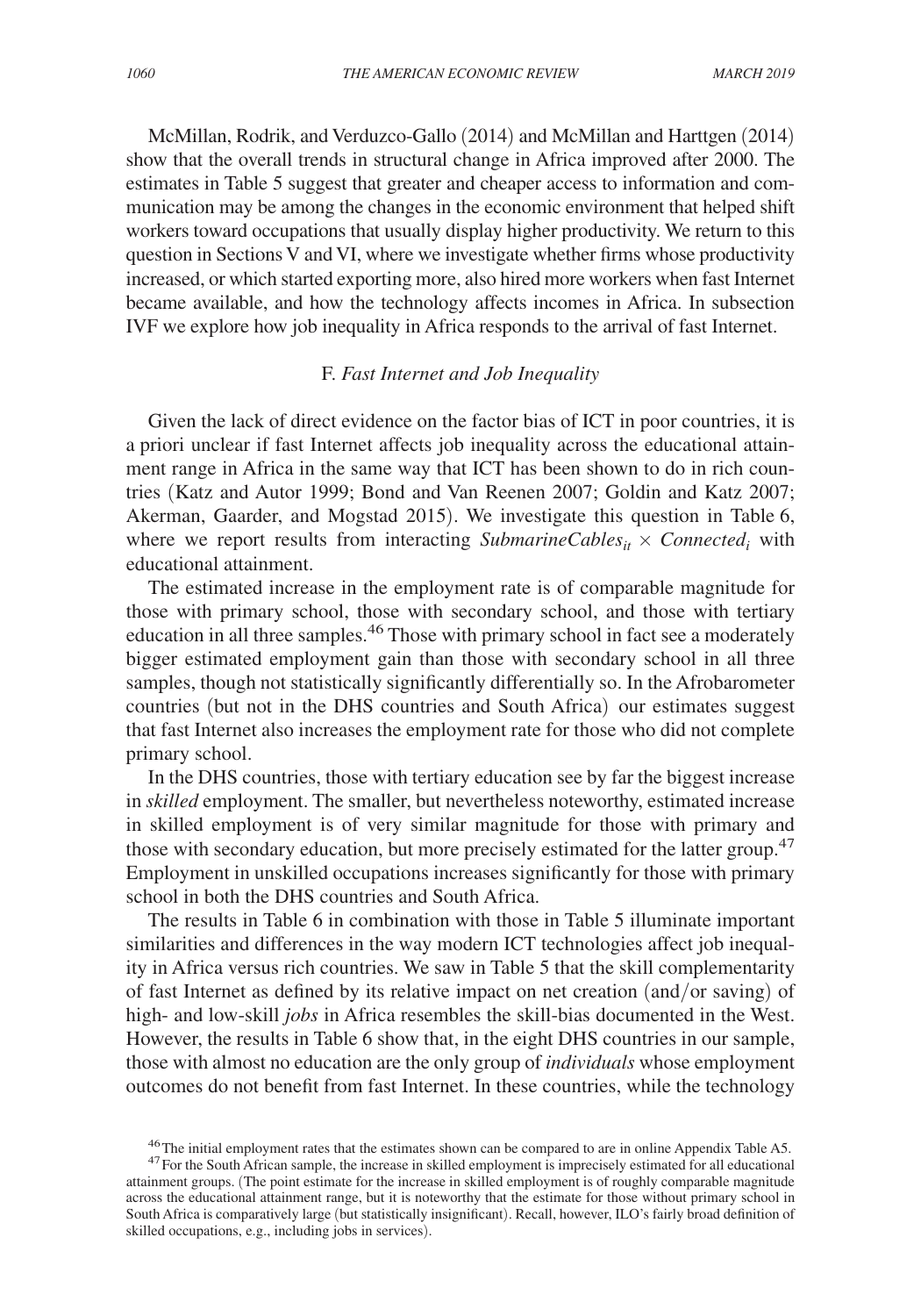McMillan, Rodrik, and Verduzco-Gallo (2014) and McMillan and Harttgen (2014) show that the overall trends in structural change in Africa improved after 2000. The estimates in Table 5 suggest that greater and cheaper access to information and communication may be among the changes in the economic environment that helped shift workers toward occupations that usually display higher productivity. We return to this question in Sections V and VI, where we investigate whether firms whose productivity increased, or which started exporting more, also hired more workers when fast Internet became available, and how the technology affects incomes in Africa. In subsection IVF we explore how job inequality in Africa responds to the arrival of fast Internet.

# F. *Fast Internet and Job Inequality*

Given the lack of direct evidence on the factor bias of ICT in poor countries, it is a priori unclear if fast Internet affects job inequality across the educational attainment range in Africa in the same way that ICT has been shown to do in rich countries (Katz and Autor 1999; Bond and Van Reenen 2007; Goldin and Katz 2007; Akerman, Gaarder, and Mogstad 2015). We investigate this question in Table 6, where we report results from interacting *SubmarineCables*<sub>*it*</sub>  $\times$  *Connected<sub>i</sub>* with educational attainment.

The estimated increase in the employment rate is of comparable magnitude for those with primary school, those with secondary school, and those with tertiary education in all three samples.<sup>46</sup> Those with primary school in fact see a moderately bigger estimated employment gain than those with secondary school in all three samples, though not statistically significantly differentially so. In the Afrobarometer countries (but not in the DHS countries and South Africa) our estimates suggest that fast Internet also increases the employment rate for those who did not complete primary school.

In the DHS countries, those with tertiary education see by far the biggest increase in *skilled* employment. The smaller, but nevertheless noteworthy, estimated increase in skilled employment is of very similar magnitude for those with primary and those with secondary education, but more precisely estimated for the latter group.<sup>47</sup> Employment in unskilled occupations increases significantly for those with primary school in both the DHS countries and South Africa.

The results in Table 6 in combination with those in Table 5 illuminate important similarities and differences in the way modern ICT technologies affect job inequality in Africa versus rich countries. We saw in Table 5 that the skill complementarity of fast Internet as defined by its relative impact on net creation (and/or saving) of high- and low-skill *jobs* in Africa resembles the skill-bias documented in the West. However, the results in Table 6 show that, in the eight DHS countries in our sample, those with almost no education are the only group of *individuals* whose employment outcomes do not benefit from fast Internet. In these countries, while the technology

<sup>46</sup>The initial employment rates that the estimates shown can be compared to are in online Appendix Table A5. <sup>47</sup>For the South African sample, the increase in skilled employment is imprecisely estimated for all educational attainment groups. (The point estimate for the increase in skilled employment is of roughly comparable magnitude across the educational attainment range, but it is noteworthy that the estimate for those without primary school in South Africa is comparatively large (but statistically insignificant). Recall, however, ILO's fairly broad definition of skilled occupations, e.g., including jobs in services).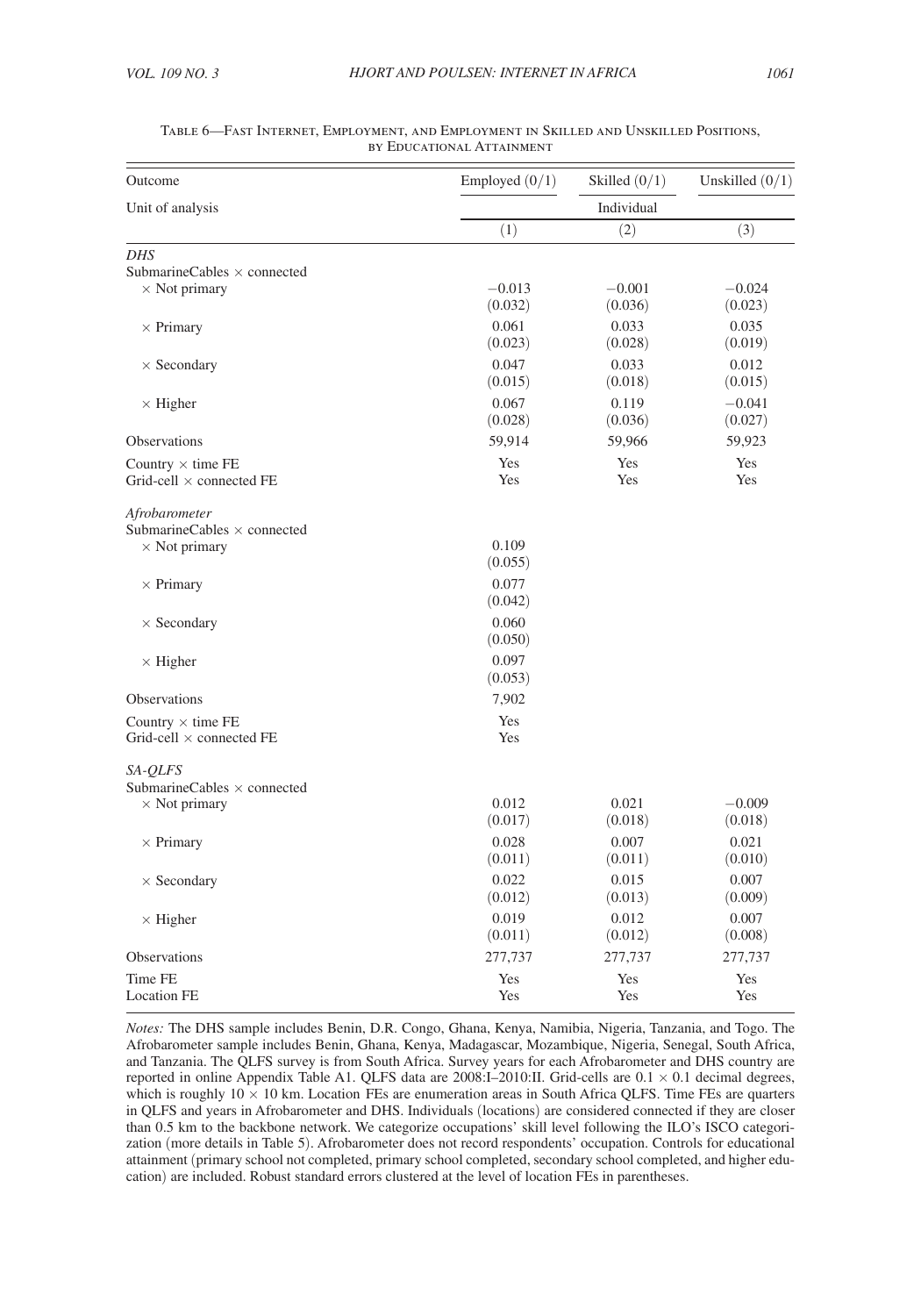| Outcome                                                     | Employed $(0/1)$    | Skilled $(0/1)$     | Unskilled $(0/1)$   |  |  |  |  |  |
|-------------------------------------------------------------|---------------------|---------------------|---------------------|--|--|--|--|--|
| Unit of analysis                                            |                     | Individual          |                     |  |  |  |  |  |
|                                                             | (1)                 | (2)                 | (3)                 |  |  |  |  |  |
| <b>DHS</b>                                                  |                     |                     |                     |  |  |  |  |  |
| SubmarineCables $\times$ connected                          |                     |                     |                     |  |  |  |  |  |
| $\times$ Not primary                                        | $-0.013$<br>(0.032) | $-0.001$<br>(0.036) | $-0.024$<br>(0.023) |  |  |  |  |  |
| $\times$ Primary                                            | 0.061<br>(0.023)    | 0.033<br>(0.028)    | 0.035<br>(0.019)    |  |  |  |  |  |
| $\times$ Secondary                                          | 0.047<br>(0.015)    | 0.033<br>(0.018)    | 0.012<br>(0.015)    |  |  |  |  |  |
| $\times$ Higher                                             | 0.067<br>(0.028)    | 0.119<br>(0.036)    | $-0.041$<br>(0.027) |  |  |  |  |  |
| Observations                                                | 59,914              | 59,966              | 59,923              |  |  |  |  |  |
| Country $\times$ time FE<br>Grid-cell $\times$ connected FE | Yes<br>Yes          | Yes<br>Yes          | Yes<br>Yes          |  |  |  |  |  |
| Afrobarometer<br>SubmarineCables × connected                |                     |                     |                     |  |  |  |  |  |
| $\times$ Not primary                                        | 0.109<br>(0.055)    |                     |                     |  |  |  |  |  |
| $\times$ Primary                                            | 0.077<br>(0.042)    |                     |                     |  |  |  |  |  |
| $\times$ Secondary                                          | 0.060<br>(0.050)    |                     |                     |  |  |  |  |  |
| $\times$ Higher                                             | 0.097<br>(0.053)    |                     |                     |  |  |  |  |  |
| <b>Observations</b>                                         | 7,902               |                     |                     |  |  |  |  |  |
| Country $\times$ time FE<br>Grid-cell $\times$ connected FE | Yes<br>Yes          |                     |                     |  |  |  |  |  |
| SA-OLFS<br>SubmarineCables $\times$ connected               |                     |                     |                     |  |  |  |  |  |
| $\times$ Not primary                                        | 0.012<br>(0.017)    | 0.021<br>(0.018)    | $-0.009$<br>(0.018) |  |  |  |  |  |
| $\times$ Primary                                            | 0.028<br>(0.011)    | 0.007<br>(0.011)    | 0.021<br>(0.010)    |  |  |  |  |  |
| $\times$ Secondary                                          | 0.022<br>(0.012)    | 0.015<br>(0.013)    | 0.007<br>(0.009)    |  |  |  |  |  |
| $\times$ Higher                                             | 0.019<br>(0.011)    | 0.012<br>(0.012)    | 0.007<br>(0.008)    |  |  |  |  |  |
| Observations                                                | 277,737             | 277,737             | 277,737             |  |  |  |  |  |
| Time FE<br><b>Location FE</b>                               | Yes<br>Yes          | Yes<br>Yes          | Yes<br>Yes          |  |  |  |  |  |

Table 6—Fast Internet, Employment, and Employment in Skilled and Unskilled Positions, by Educational Attainment

*Notes:* The DHS sample includes Benin, D.R. Congo, Ghana, Kenya, Namibia, Nigeria, Tanzania, and Togo. The Afrobarometer sample includes Benin, Ghana, Kenya, Madagascar, Mozambique, Nigeria, Senegal, South Africa, and Tanzania. The QLFS survey is from South Africa. Survey years for each Afrobarometer and DHS country are reported in online Appendix Table A1. QLFS data are  $2008:I-2010:II$ . Grid-cells are  $0.1 \times 0.1$  decimal degrees, which is roughly  $10 \times 10$  km. Location FEs are enumeration areas in South Africa QLFS. Time FEs are quarters in QLFS and years in Afrobarometer and DHS. Individuals (locations) are considered connected if they are closer than 0.5 km to the backbone network. We categorize occupations' skill level following the ILO's ISCO categorization (more details in Table 5). Afrobarometer does not record respondents' occupation. Controls for educational attainment (primary school not completed, primary school completed, secondary school completed, and higher education) are included. Robust standard errors clustered at the level of location FEs in parentheses.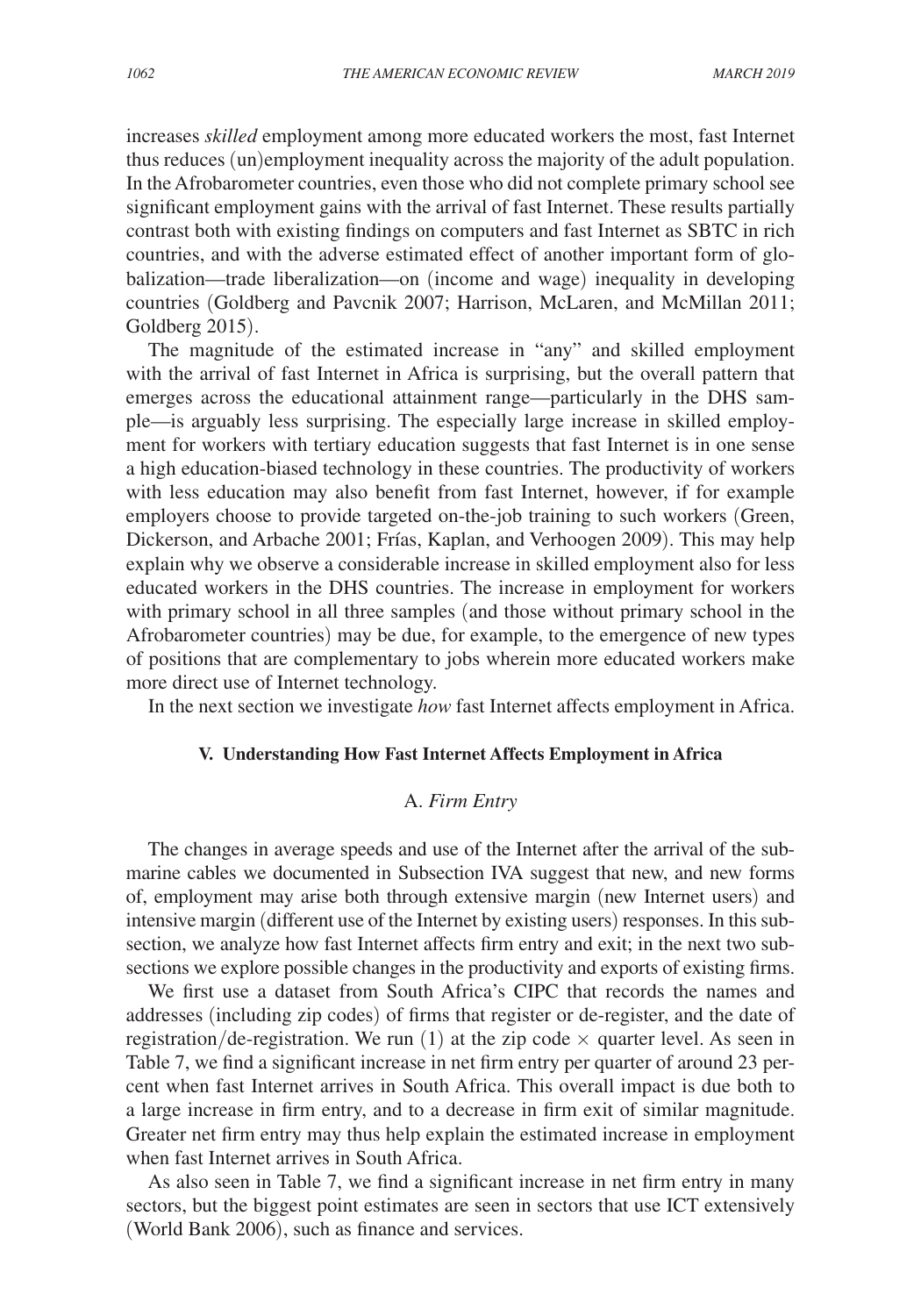increases *skilled* employment among more educated workers the most, fast Internet thus reduces (un)employment inequality across the majority of the adult population. In the Afrobarometer countries, even those who did not complete primary school see significant employment gains with the arrival of fast Internet. These results partially contrast both with existing findings on computers and fast Internet as SBTC in rich countries, and with the adverse estimated effect of another important form of globalization—trade liberalization—on (income and wage) inequality in developing countries (Goldberg and Pavcnik 2007; Harrison, McLaren, and McMillan 2011; Goldberg 2015).

The magnitude of the estimated increase in "any" and skilled employment with the arrival of fast Internet in Africa is surprising, but the overall pattern that emerges across the educational attainment range—particularly in the DHS sample—is arguably less surprising. The especially large increase in skilled employment for workers with tertiary education suggests that fast Internet is in one sense a high education-biased technology in these countries. The productivity of workers with less education may also benefit from fast Internet, however, if for example employers choose to provide targeted on-the-job training to such workers (Green, Dickerson, and Arbache 2001; Frías, Kaplan, and Verhoogen 2009). This may help explain why we observe a considerable increase in skilled employment also for less educated workers in the DHS countries. The increase in employment for workers with primary school in all three samples (and those without primary school in the Afrobarometer countries) may be due, for example, to the emergence of new types of positions that are complementary to jobs wherein more educated workers make more direct use of Internet technology.

In the next section we investigate *how* fast Internet affects employment in Africa.

### **V. Understanding How Fast Internet Affects Employment in Africa**

## A. *Firm Entry*

The changes in average speeds and use of the Internet after the arrival of the submarine cables we documented in Subsection IVA suggest that new, and new forms of, employment may arise both through extensive margin (new Internet users) and intensive margin (different use of the Internet by existing users) responses. In this subsection, we analyze how fast Internet affects firm entry and exit; in the next two subsections we explore possible changes in the productivity and exports of existing firms.

We first use a dataset from South Africa's CIPC that records the names and addresses (including zip codes) of firms that register or de-register, and the date of registration/de-registration. We run (1) at the zip code  $\times$  quarter level. As seen in Table 7, we find a significant increase in net firm entry per quarter of around 23 percent when fast Internet arrives in South Africa. This overall impact is due both to a large increase in firm entry, and to a decrease in firm exit of similar magnitude. Greater net firm entry may thus help explain the estimated increase in employment when fast Internet arrives in South Africa.

As also seen in Table 7, we find a significant increase in net firm entry in many sectors, but the biggest point estimates are seen in sectors that use ICT extensively (World Bank 2006), such as finance and services.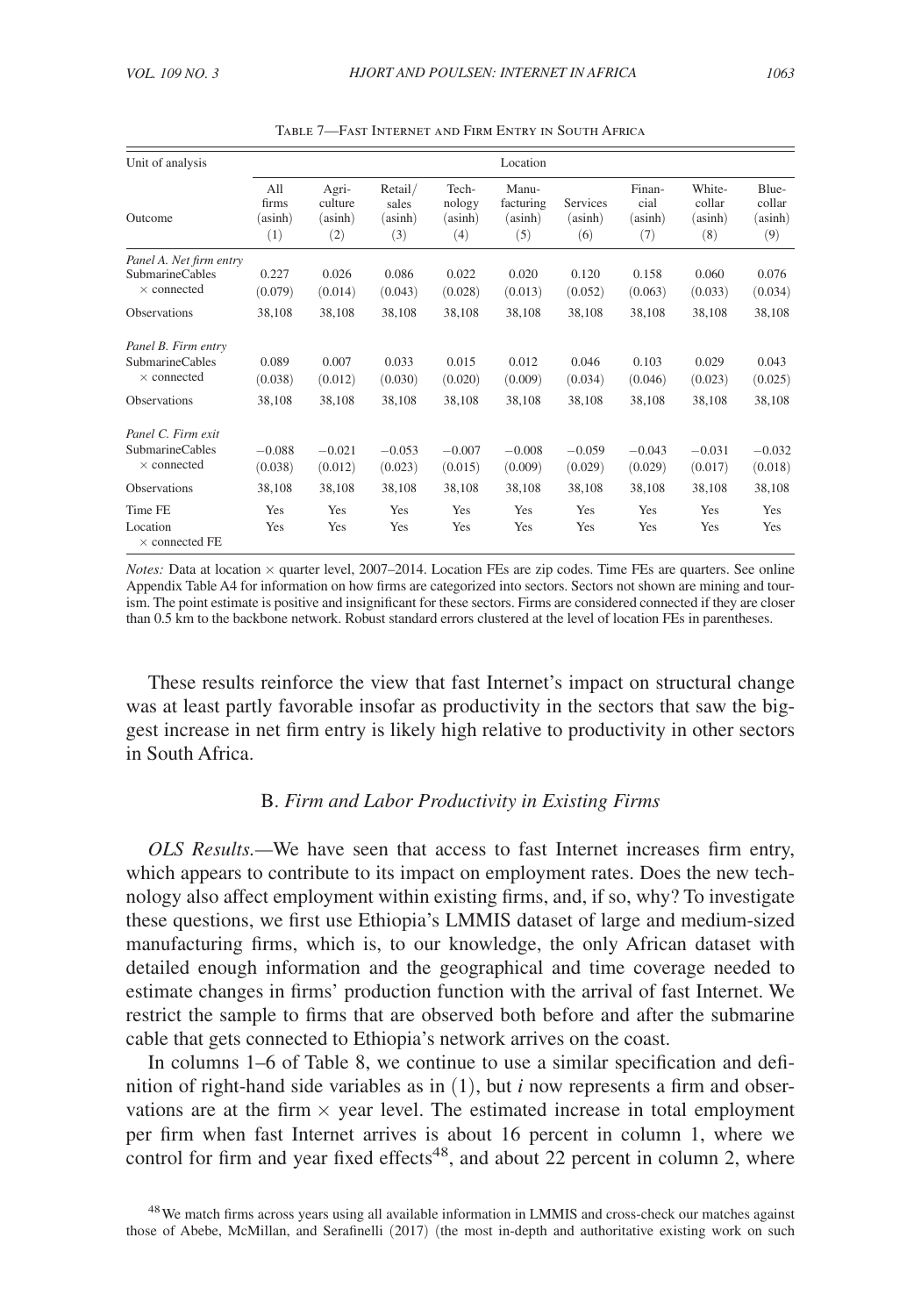| Unit of analysis                                                                    |                                |                                    |                                    |                                   | Location                             |                                   |                                  |                                    |                                   |
|-------------------------------------------------------------------------------------|--------------------------------|------------------------------------|------------------------------------|-----------------------------------|--------------------------------------|-----------------------------------|----------------------------------|------------------------------------|-----------------------------------|
| Outcome                                                                             | All<br>firms<br>(asinh)<br>(1) | Agri-<br>culture<br>(asinh)<br>(2) | Retail/<br>sales<br>(asinh)<br>(3) | Tech-<br>nology<br>(asinh)<br>(4) | Manu-<br>facturing<br>(asinh)<br>(5) | <b>Services</b><br>(asinh)<br>(6) | Finan-<br>cial<br>(asinh)<br>(7) | White-<br>collar<br>(asinh)<br>(8) | Blue-<br>collar<br>(asinh)<br>(9) |
| Panel A. Net firm entry<br>SubmarineCables<br>$\times$ connected                    | 0.227<br>(0.079)               | 0.026<br>(0.014)                   | 0.086<br>(0.043)                   | 0.022<br>(0.028)                  | 0.020<br>(0.013)                     | 0.120<br>(0.052)                  | 0.158<br>(0.063)                 | 0.060<br>(0.033)                   | 0.076<br>(0.034)                  |
| <b>Observations</b>                                                                 | 38,108                         | 38,108                             | 38,108                             | 38,108                            | 38,108                               | 38,108                            | 38,108                           | 38,108                             | 38,108                            |
| Panel B. Firm entry<br>SubmarineCables<br>$\times$ connected<br><b>Observations</b> | 0.089<br>(0.038)<br>38,108     | 0.007<br>(0.012)<br>38,108         | 0.033<br>(0.030)<br>38,108         | 0.015<br>(0.020)<br>38,108        | 0.012<br>(0.009)<br>38,108           | 0.046<br>(0.034)<br>38,108        | 0.103<br>(0.046)<br>38,108       | 0.029<br>(0.023)<br>38,108         | 0.043<br>(0.025)<br>38,108        |
| Panel C. Firm exit<br>SubmarineCables<br>$\times$ connected<br><b>Observations</b>  | $-0.088$<br>(0.038)<br>38,108  | $-0.021$<br>(0.012)<br>38,108      | $-0.053$<br>(0.023)<br>38,108      | $-0.007$<br>(0.015)<br>38,108     | $-0.008$<br>(0.009)<br>38,108        | $-0.059$<br>(0.029)<br>38,108     | $-0.043$<br>(0.029)<br>38,108    | $-0.031$<br>(0.017)<br>38,108      | $-0.032$<br>(0.018)<br>38,108     |
| Time FE<br>Location<br>$\times$ connected FE                                        | Yes<br>Yes                     | Yes<br>Yes                         | Yes<br>Yes                         | Yes<br>Yes                        | Yes<br>Yes                           | Yes<br>Yes                        | Yes<br>Yes                       | Yes<br><b>Yes</b>                  | Yes<br>Yes                        |

Table 7—Fast Internet and Firm Entry in South Africa

*Notes:* Data at location  $\times$  quarter level, 2007–2014. Location FEs are zip codes. Time FEs are quarters. See online Appendix Table A4 for information on how firms are categorized into sectors. Sectors not shown are mining and tourism. The point estimate is positive and insignificant for these sectors. Firms are considered connected if they are closer than 0.5 km to the backbone network. Robust standard errors clustered at the level of location FEs in parentheses.

These results reinforce the view that fast Internet's impact on structural change was at least partly favorable insofar as productivity in the sectors that saw the biggest increase in net firm entry is likely high relative to productivity in other sectors in South Africa.

#### B. *Firm and Labor Productivity in Existing Firms*

*OLS Results.—*We have seen that access to fast Internet increases firm entry, which appears to contribute to its impact on employment rates. Does the new technology also affect employment within existing firms, and, if so, why? To investigate these questions, we first use Ethiopia's LMMIS dataset of large and medium-sized manufacturing firms, which is, to our knowledge, the only African dataset with detailed enough information and the geographical and time coverage needed to estimate changes in firms' production function with the arrival of fast Internet. We restrict the sample to firms that are observed both before and after the submarine cable that gets connected to Ethiopia's network arrives on the coast.

In columns 1–6 of Table 8, we continue to use a similar specification and definition of right-hand side variables as in (1), but *i* now represents a firm and observations are at the firm  $\times$  year level. The estimated increase in total employment per firm when fast Internet arrives is about 16 percent in column 1, where we control for firm and year fixed effects<sup>48</sup>, and about 22 percent in column 2, where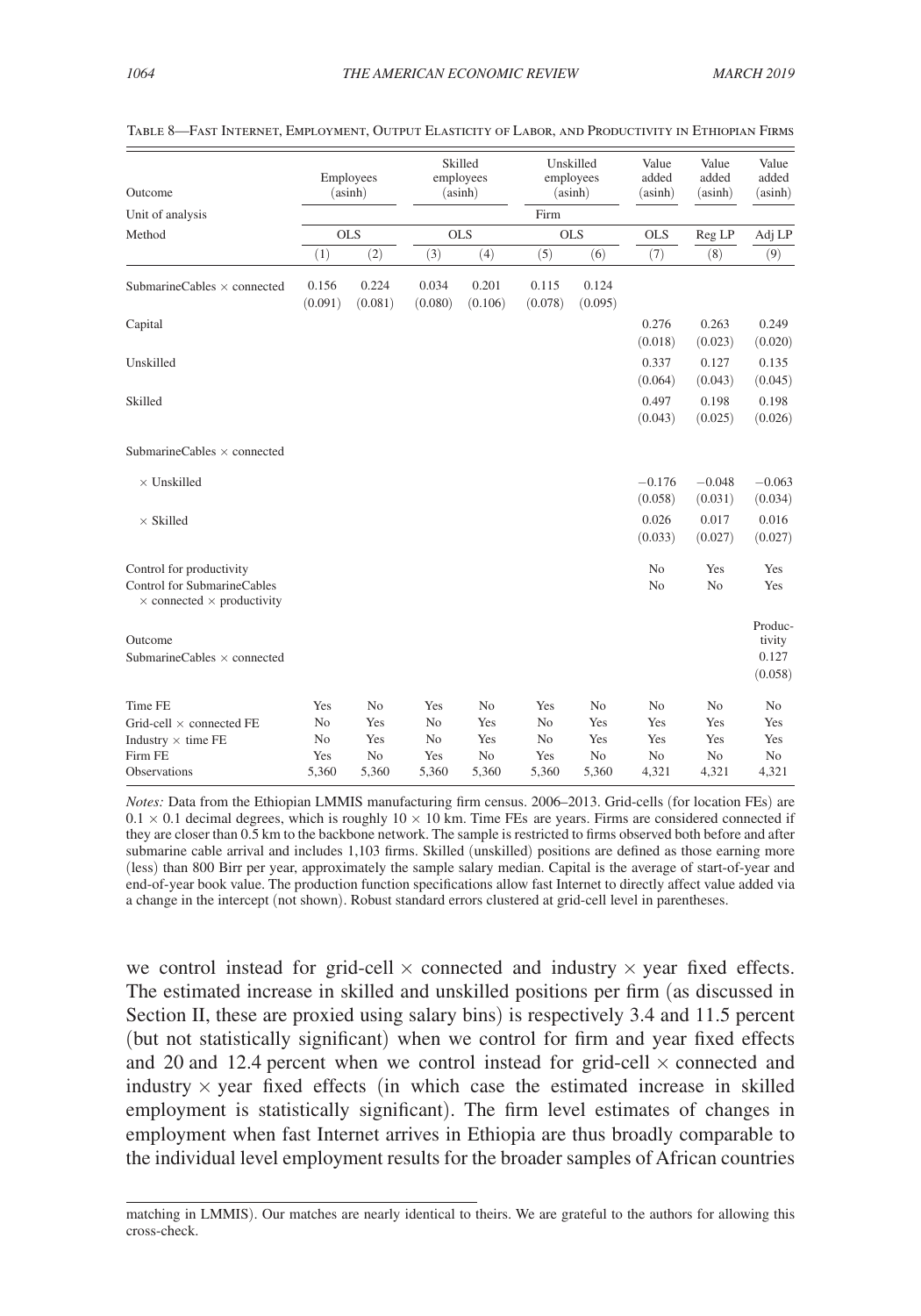| Outcome                                                                                             |                    | Employees<br>(a sinh)          |                                | Skilled<br>employees<br>(a sinh) |                                | Unskilled<br>employees<br>(a sinh) | Value<br>added<br>(a sinh) | Value<br>added<br>(asinh)      | Value<br>added<br>(a sinh)            |
|-----------------------------------------------------------------------------------------------------|--------------------|--------------------------------|--------------------------------|----------------------------------|--------------------------------|------------------------------------|----------------------------|--------------------------------|---------------------------------------|
| Unit of analysis                                                                                    |                    |                                |                                |                                  | Firm                           |                                    |                            |                                |                                       |
| Method                                                                                              |                    | <b>OLS</b>                     |                                | <b>OLS</b>                       |                                | <b>OLS</b>                         | <b>OLS</b>                 | Reg LP                         | Adj LP                                |
|                                                                                                     | (1)                | (2)                            | (3)                            | (4)                              | (5)                            | (6)                                | (7)                        | (8)                            | (9)                                   |
| SubmarineCables $\times$ connected                                                                  | 0.156<br>(0.091)   | 0.224<br>(0.081)               | 0.034<br>(0.080)               | 0.201<br>(0.106)                 | 0.115<br>(0.078)               | 0.124<br>(0.095)                   |                            |                                |                                       |
| Capital                                                                                             |                    |                                |                                |                                  |                                |                                    | 0.276<br>(0.018)           | 0.263<br>(0.023)               | 0.249<br>(0.020)                      |
| Unskilled                                                                                           |                    |                                |                                |                                  |                                |                                    | 0.337<br>(0.064)           | 0.127<br>(0.043)               | 0.135<br>(0.045)                      |
| Skilled                                                                                             |                    |                                |                                |                                  |                                |                                    | 0.497<br>(0.043)           | 0.198<br>(0.025)               | 0.198<br>(0.026)                      |
| SubmarineCables $\times$ connected                                                                  |                    |                                |                                |                                  |                                |                                    |                            |                                |                                       |
| $\times$ Unskilled                                                                                  |                    |                                |                                |                                  |                                |                                    | $-0.176$<br>(0.058)        | $-0.048$<br>(0.031)            | $-0.063$<br>(0.034)                   |
| $\times$ Skilled                                                                                    |                    |                                |                                |                                  |                                |                                    | 0.026<br>(0.033)           | 0.017<br>(0.027)               | 0.016<br>(0.027)                      |
| Control for productivity<br>Control for SubmarineCables<br>$\times$ connected $\times$ productivity |                    |                                |                                |                                  |                                |                                    | N <sub>o</sub><br>No       | Yes<br>No                      | Yes<br>Yes                            |
| Outcome<br>SubmarineCables × connected                                                              |                    |                                |                                |                                  |                                |                                    |                            |                                | Produc-<br>tivity<br>0.127<br>(0.058) |
| <b>Time FE</b><br>Grid-cell $\times$ connected FE                                                   | Yes<br>No          | N <sub>o</sub><br>Yes          | Yes<br>N <sub>o</sub>          | N <sub>o</sub><br>Yes            | Yes<br>N <sub>0</sub>          | N <sub>o</sub><br>Yes              | N <sub>o</sub><br>Yes      | N <sub>o</sub><br>Yes          | N <sub>o</sub><br>Yes                 |
| Industry $\times$ time FE<br>Firm FE<br><b>Observations</b>                                         | No<br>Yes<br>5,360 | Yes<br>N <sub>o</sub><br>5,360 | N <sub>o</sub><br>Yes<br>5,360 | Yes<br>No<br>5,360               | N <sub>o</sub><br>Yes<br>5,360 | Yes<br>N <sub>o</sub><br>5,360     | Yes<br>No<br>4,321         | Yes<br>N <sub>o</sub><br>4,321 | Yes<br>No<br>4,321                    |

#### Table 8—Fast Internet, Employment, Output Elasticity of Labor, and Productivity in Ethiopian Firms

*Notes:* Data from the Ethiopian LMMIS manufacturing firm census. 2006–2013. Grid-cells (for location FEs) are  $0.1 \times 0.1$  decimal degrees, which is roughly  $10 \times 10$  km. Time FEs are years. Firms are considered connected if they are closer than 0.5 km to the backbone network. The sample is restricted to firms observed both before and after submarine cable arrival and includes 1,103 firms. Skilled (unskilled) positions are defined as those earning more (less) than 800 Birr per year, approximately the sample salary median. Capital is the average of start-of-year and end-of-year book value. The production function specifications allow fast Internet to directly affect value added via a change in the intercept (not shown). Robust standard errors clustered at grid-cell level in parentheses.

we control instead for grid-cell  $\times$  connected and industry  $\times$  year fixed effects. The estimated increase in skilled and unskilled positions per firm (as discussed in Section II, these are proxied using salary bins) is respectively 3.4 and 11.5 percent (but not statistically significant) when we control for firm and year fixed effects and 20 and 12.4 percent when we control instead for grid-cell  $\times$  connected and industry  $\times$  year fixed effects (in which case the estimated increase in skilled employment is statistically significant). The firm level estimates of changes in employment when fast Internet arrives in Ethiopia are thus broadly comparable to the individual level employment results for the broader samples of African countries

matching in LMMIS). Our matches are nearly identical to theirs. We are grateful to the authors for allowing this cross-check.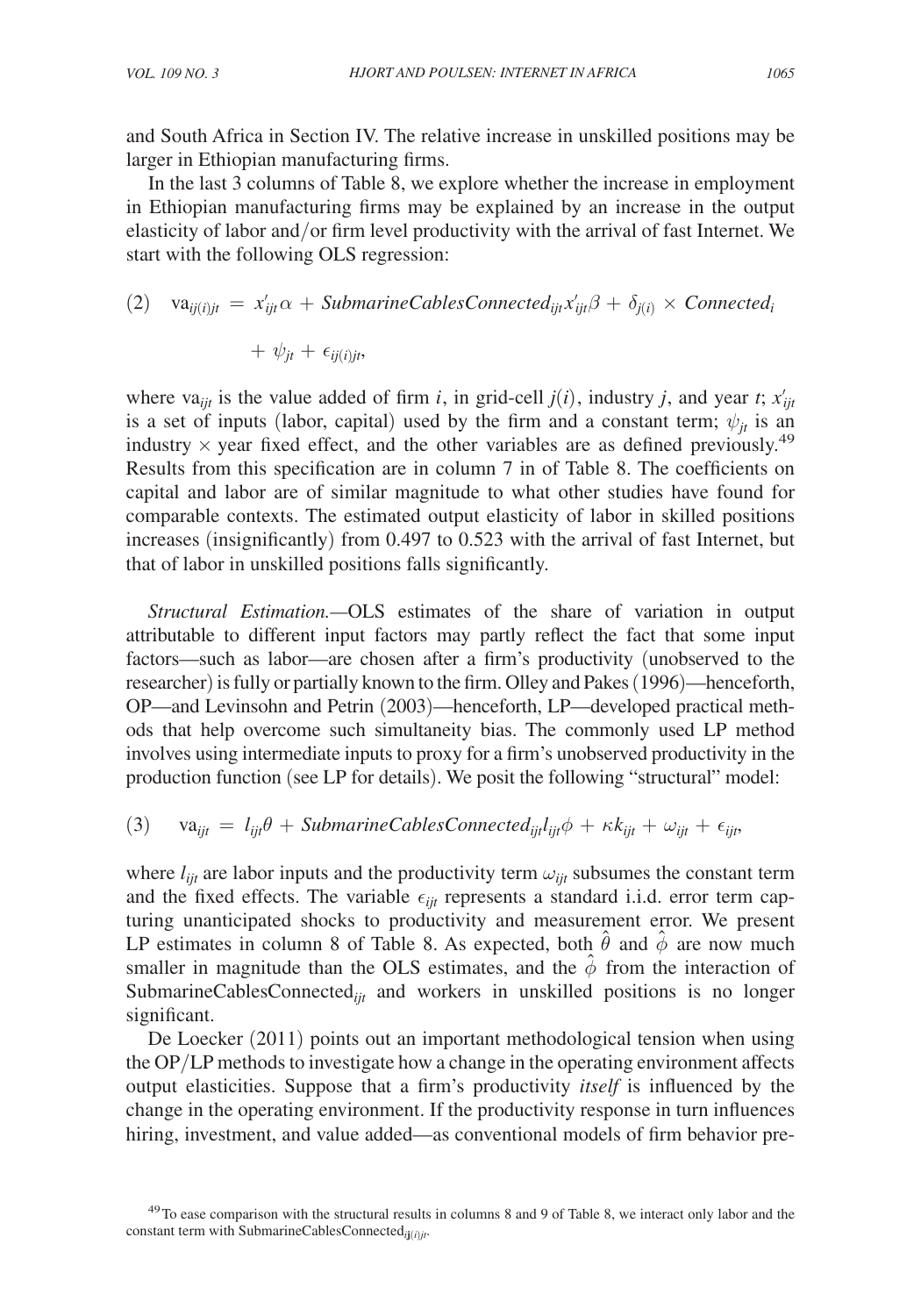and South Africa in Section IV. The relative increase in unskilled positions may be larger in Ethiopian manufacturing firms.

In the last 3 columns of Table 8, we explore whether the increase in employment in Ethiopian manufacturing firms may be explained by an increase in the output elasticity of labor and/or firm level productivity with the arrival of fast Internet. We start with the following OLS regression:

(2) 
$$
\text{va}_{ij(i)jt} = x'_{ijt} \alpha + \text{SubmarineCablesConnected}_{ijt} x'_{ijt} \beta + \delta_{j(i)} \times \text{Connected}_{i}
$$

$$
+ \psi_{jt} + \epsilon_{ij(i)jt},
$$

where va<sub>ijt</sub> is the value added of firm *i*, in grid-cell  $j(i)$ , industry *j*, and year *t*;  $x'_{ijt}$ is a set of inputs (labor, capital) used by the firm and a constant term;  $\psi_{it}$  is an industry  $\times$  year fixed effect, and the other variables are as defined previously.<sup>49</sup> Results from this specification are in column 7 in of Table 8. The coefficients on capital and labor are of similar magnitude to what other studies have found for comparable contexts. The estimated output elasticity of labor in skilled positions increases (insignificantly) from 0.497 to 0.523 with the arrival of fast Internet, but that of labor in unskilled positions falls significantly.

*Structural Estimation.—*OLS estimates of the share of variation in output attributable to different input factors may partly reflect the fact that some input factors—such as labor—are chosen after a firm's productivity (unobserved to the researcher) is fully or partially known to the firm. Olley and Pakes (1996)— henceforth, OP—and Levinsohn and Petrin (2003)—henceforth, LP—developed practical methods that help overcome such simultaneity bias. The commonly used LP method involves using intermediate inputs to proxy for a firm's unobserved productivity in the production function (see LP for details). We posit the following "structural" model:

(3) 
$$
\mathbf{v} \mathbf{a}_{ijt} = l_{ijt} \theta + \text{SubmarineCablesConnected}_{ijt} l_{ijt} \phi + \kappa k_{ijt} + \omega_{ijt} + \epsilon_{ijt},
$$

where  $l_{\text{int}}$  are labor inputs and the productivity term  $\omega_{\text{int}}$  subsumes the constant term and the fixed effects. The variable  $\epsilon_{\text{ijt}}$  represents a standard i.i.d. error term capturing unanticipated shocks to productivity and measurement error. We present LP estimates in column 8 of Table 8. As expected, both  $\hat{\theta}$  and  $\hat{\phi}$  are now much smaller in magnitude than the OLS estimates, and the  $\hat{\phi}$  from the interaction of SubmarineCablesConnected*ijt* and workers in unskilled positions is no longer significant.

De Loecker (2011) points out an important methodological tension when using the OP/LP methods to investigate how a change in the operating environment affects output elasticities. Suppose that a firm's productivity *itself* is influenced by the change in the operating environment. If the productivity response in turn influences hiring, investment, and value added—as conventional models of firm behavior pre-

<sup>&</sup>lt;sup>49</sup>To ease comparison with the structural results in columns 8 and 9 of Table 8, we interact only labor and the constant term with SubmarineCablesConnected*i***j**(*i*)*jt* .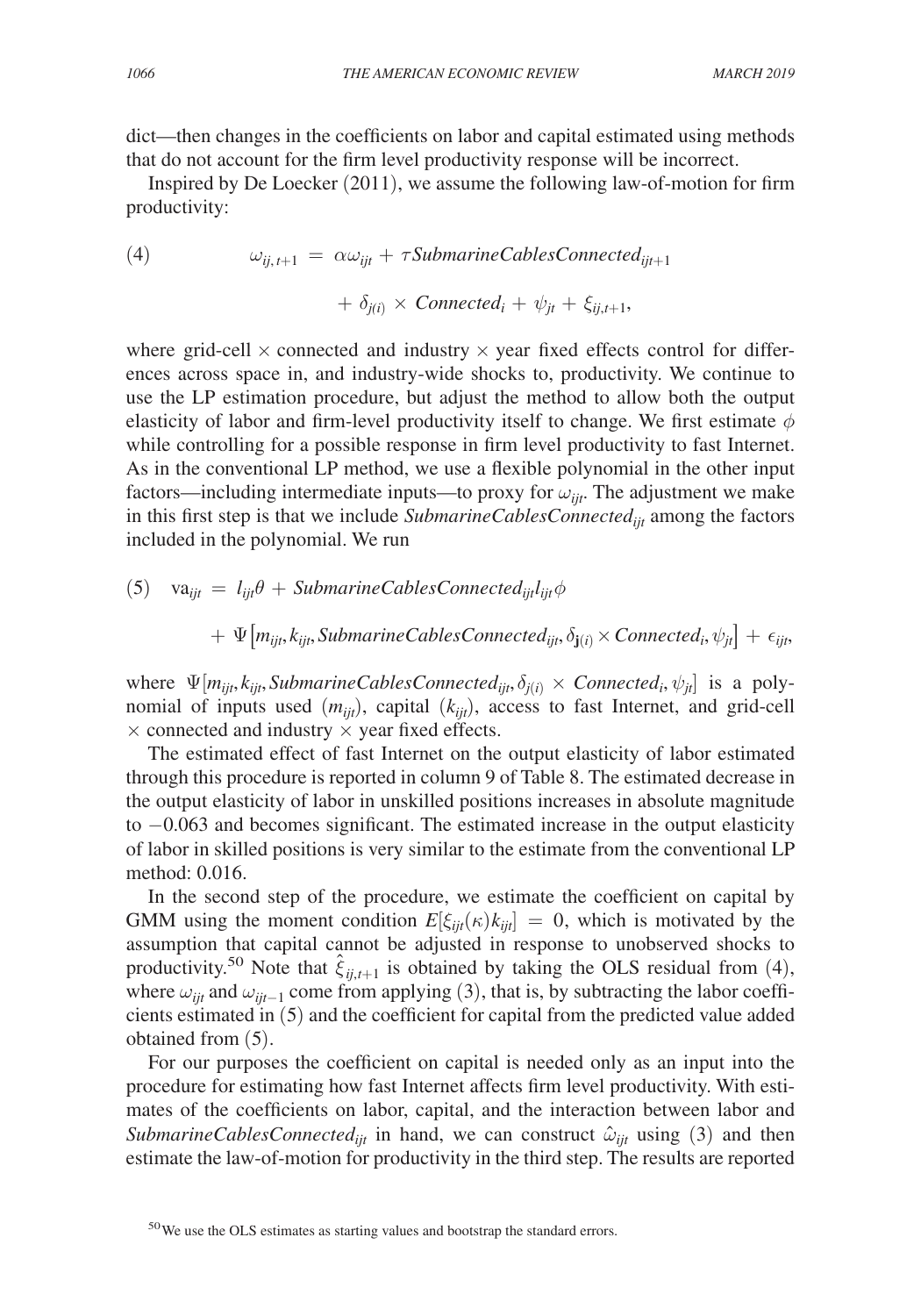dict—then changes in the coefficients on labor and capital estimated using methods that do not account for the firm level productivity response will be incorrect.

Inspired by De Loecker (2011), we assume the following law-of-motion for firm productivity:

(4) 
$$
\omega_{ij,t+1} = \alpha \omega_{ijt} + \tau \text{SubmarineCablesConnected}_{ijt+1} + \delta_{j(i)} \times \text{Connected}_{i} + \psi_{jt} + \xi_{ij,t+1},
$$

where grid-cell  $\times$  connected and industry  $\times$  year fixed effects control for differences across space in, and industry-wide shocks to, productivity. We continue to use the LP estimation procedure, but adjust the method to allow both the output elasticity of labor and firm-level productivity itself to change. We first estimate  $\phi$ while controlling for a possible response in firm level productivity to fast Internet. As in the conventional LP method, we use a flexible polynomial in the other input factors—including intermediate inputs—to proxy for  $\omega_{\text{iii}}$ . The adjustment we make in this first step is that we include *SubmarineCablesConnected<sub>iit</sub>* among the factors included in the polynomial. We run

(5) 
$$
va_{ijt} = l_{ijt} \theta + SubmarineCablesConnected_{ijt}l_{ijt} \phi
$$
  
+  $\Psi [m_{ijt}, k_{ijt}, SubmarineCablesConnected_{ijt}, \delta_{j(i)} \times Connected_i, \psi_{jt}] + \epsilon_{ijt}$ ,

where  $\Psi[m_{ijt}, k_{ijt},$  *SubmarineCablesConnected*<sub>*ijt</sub>*,  $\delta_{j(i)} \times Connected_i$ ,  $\psi_{jt}$  is a poly-</sub> nomial of inputs used  $(m_{ijt})$ , capital  $(k_{ijt})$ , access to fast Internet, and grid-cell  $\times$  connected and industry  $\times$  year fixed effects.

The estimated effect of fast Internet on the output elasticity of labor estimated through this procedure is reported in column 9 of Table 8. The estimated decrease in the output elasticity of labor in unskilled positions increases in absolute magnitude to −0.063 and becomes significant. The estimated increase in the output elasticity of labor in skilled positions is very similar to the estimate from the conventional LP method: 0.016.

In the second step of the procedure, we estimate the coefficient on capital by GMM using the moment condition  $E[\xi_{ijt}(\kappa) k_{ijt}] = 0$ , which is motivated by the assumption that capital cannot be adjusted in response to unobserved shocks to productivity.<sup>50</sup> Note that  $\hat{\xi}_{ij,t+1}$  is obtained by taking the OLS residual from (4), where  $\omega_{ijt}$  and  $\omega_{ijt-1}$  come from applying (3), that is, by subtracting the labor coefficients estimated in (5) and the coefficient for capital from the predicted value added obtained from (5).

For our purposes the coefficient on capital is needed only as an input into the procedure for estimating how fast Internet affects firm level productivity. With estimates of the coefficients on labor, capital, and the interaction between labor and *SubmarineCablesConnected*<sub>*iit*</sub> in hand, we can construct  $\hat{\omega}_{\text{ijt}}$  using (3) and then estimate the law-of-motion for productivity in the third step. The results are reported

<sup>50</sup>We use the OLS estimates as starting values and bootstrap the standard errors.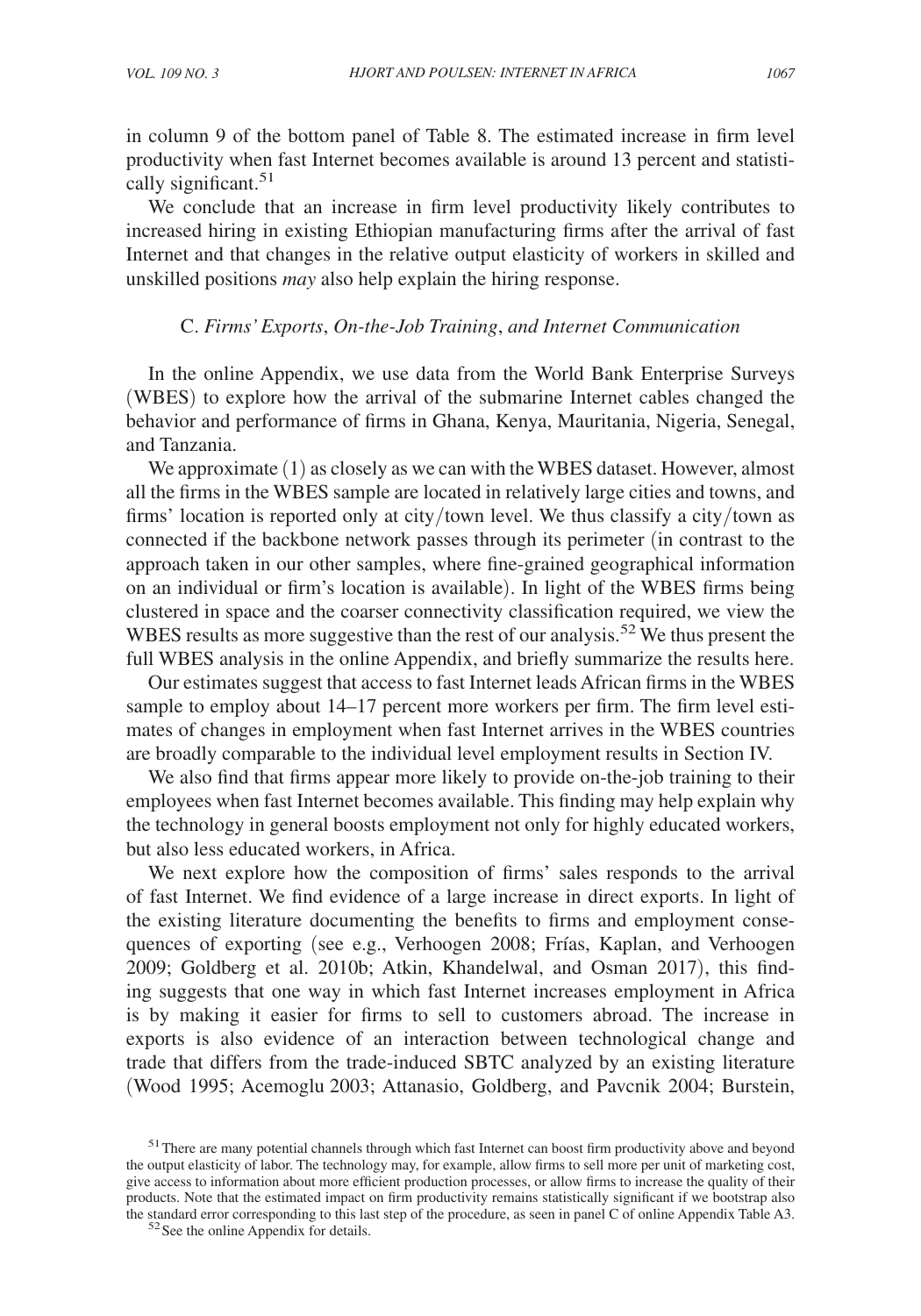in column 9 of the bottom panel of Table 8. The estimated increase in firm level productivity when fast Internet becomes available is around 13 percent and statistically significant.<sup>51</sup>

We conclude that an increase in firm level productivity likely contributes to increased hiring in existing Ethiopian manufacturing firms after the arrival of fast Internet and that changes in the relative output elasticity of workers in skilled and unskilled positions *may* also help explain the hiring response.

## C. *Firms' Exports*, *On-the-Job Training*, *and Internet Communication*

In the online Appendix, we use data from the World Bank Enterprise Surveys (WBES) to explore how the arrival of the submarine Internet cables changed the behavior and performance of firms in Ghana, Kenya, Mauritania, Nigeria, Senegal, and Tanzania.

We approximate (1) as closely as we can with the WBES dataset. However, almost all the firms in the WBES sample are located in relatively large cities and towns, and firms' location is reported only at city/town level. We thus classify a city/town as connected if the backbone network passes through its perimeter (in contrast to the approach taken in our other samples, where fine-grained geographical information on an individual or firm's location is available). In light of the WBES firms being clustered in space and the coarser connectivity classification required, we view the WBES results as more suggestive than the rest of our analysis.<sup>52</sup> We thus present the full WBES analysis in the online Appendix, and briefly summarize the results here.

Our estimates suggest that access to fast Internet leads African firms in the WBES sample to employ about 14–17 percent more workers per firm. The firm level estimates of changes in employment when fast Internet arrives in the WBES countries are broadly comparable to the individual level employment results in Section IV.

We also find that firms appear more likely to provide on-the-job training to their employees when fast Internet becomes available. This finding may help explain why the technology in general boosts employment not only for highly educated workers, but also less educated workers, in Africa.

We next explore how the composition of firms' sales responds to the arrival of fast Internet. We find evidence of a large increase in direct exports. In light of the existing literature documenting the benefits to firms and employment consequences of exporting (see e.g., Verhoogen 2008; Frías, Kaplan, and Verhoogen 2009; Goldberg et al. 2010b; Atkin, Khandelwal, and Osman 2017), this finding suggests that one way in which fast Internet increases employment in Africa is by making it easier for firms to sell to customers abroad. The increase in exports is also evidence of an interaction between technological change and trade that differs from the trade-induced SBTC analyzed by an existing literature (Wood 1995; Acemoglu 2003; Attanasio, Goldberg, and Pavcnik 2004; Burstein,

<sup>&</sup>lt;sup>51</sup> There are many potential channels through which fast Internet can boost firm productivity above and beyond the output elasticity of labor. The technology may, for example, allow firms to sell more per unit of marketing cost, give access to information about more efficient production processes, or allow firms to increase the quality of their products. Note that the estimated impact on firm productivity remains statistically significant if we bootstrap also the standard error corresponding to this last step of the procedure, as seen in panel C of online Appendix Table A3.

<sup>52</sup>See the online Appendix for details.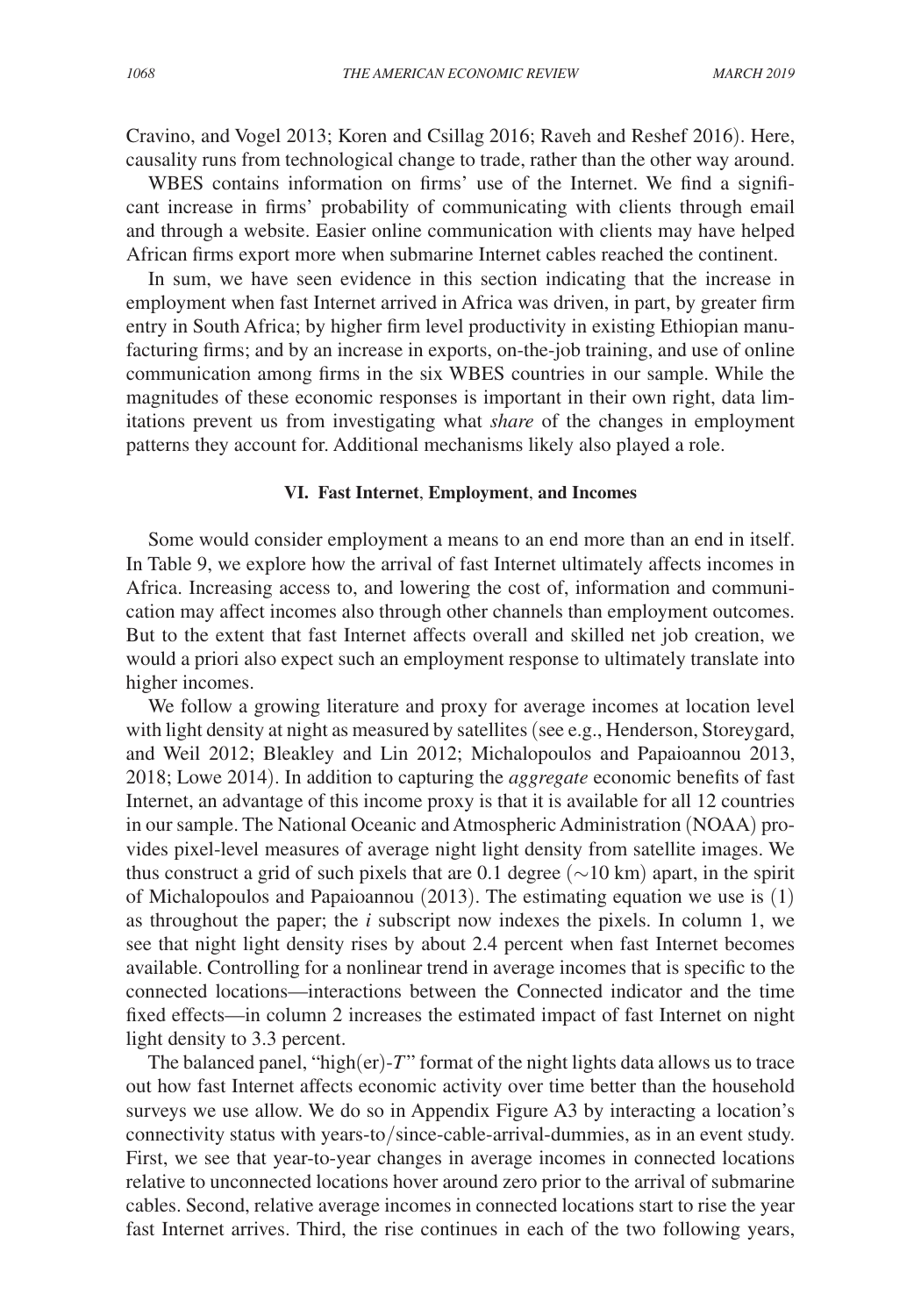Cravino, and Vogel 2013; Koren and Csillag 2016; Raveh and Reshef 2016). Here, causality runs from technological change to trade, rather than the other way around.

WBES contains information on firms' use of the Internet. We find a significant increase in firms' probability of communicating with clients through email and through a website. Easier online communication with clients may have helped African firms export more when submarine Internet cables reached the continent.

In sum, we have seen evidence in this section indicating that the increase in employment when fast Internet arrived in Africa was driven, in part, by greater firm entry in South Africa; by higher firm level productivity in existing Ethiopian manufacturing firms; and by an increase in exports, on-the-job training, and use of online communication among firms in the six WBES countries in our sample. While the magnitudes of these economic responses is important in their own right, data limitations prevent us from investigating what *share* of the changes in employment patterns they account for. Additional mechanisms likely also played a role.

#### **VI. Fast Internet**, **Employment**, **and Incomes**

Some would consider employment a means to an end more than an end in itself. In Table 9, we explore how the arrival of fast Internet ultimately affects incomes in Africa. Increasing access to, and lowering the cost of, information and communication may affect incomes also through other channels than employment outcomes. But to the extent that fast Internet affects overall and skilled net job creation, we would a priori also expect such an employment response to ultimately translate into higher incomes.

We follow a growing literature and proxy for average incomes at location level with light density at night as measured by satellites (see e.g., Henderson, Storeygard, and Weil 2012; Bleakley and Lin 2012; Michalopoulos and Papaioannou 2013, 2018; Lowe 2014). In addition to capturing the *aggregate* economic benefits of fast Internet, an advantage of this income proxy is that it is available for all 12 countries in our sample. The National Oceanic and Atmospheric Administration (NOAA) provides pixel-level measures of average night light density from satellite images. We thus construct a grid of such pixels that are 0.1 degree ( $\sim$ 10 km) apart, in the spirit of Michalopoulos and Papaioannou  $(2013)$ . The estimating equation we use is  $(1)$ as throughout the paper; the *i* subscript now indexes the pixels. In column 1, we see that night light density rises by about 2.4 percent when fast Internet becomes available. Controlling for a nonlinear trend in average incomes that is specific to the connected locations—interactions between the Connected indicator and the time fixed effects—in column 2 increases the estimated impact of fast Internet on night light density to 3.3 percent.

The balanced panel, "high(er)- $T$ " format of the night lights data allows us to trace out how fast Internet affects economic activity over time better than the household surveys we use allow. We do so in Appendix Figure A3 by interacting a location's connectivity status with years-to/since-cable-arrival-dummies, as in an event study. First, we see that year-to-year changes in average incomes in connected locations relative to unconnected locations hover around zero prior to the arrival of submarine cables. Second, relative average incomes in connected locations start to rise the year fast Internet arrives. Third, the rise continues in each of the two following years,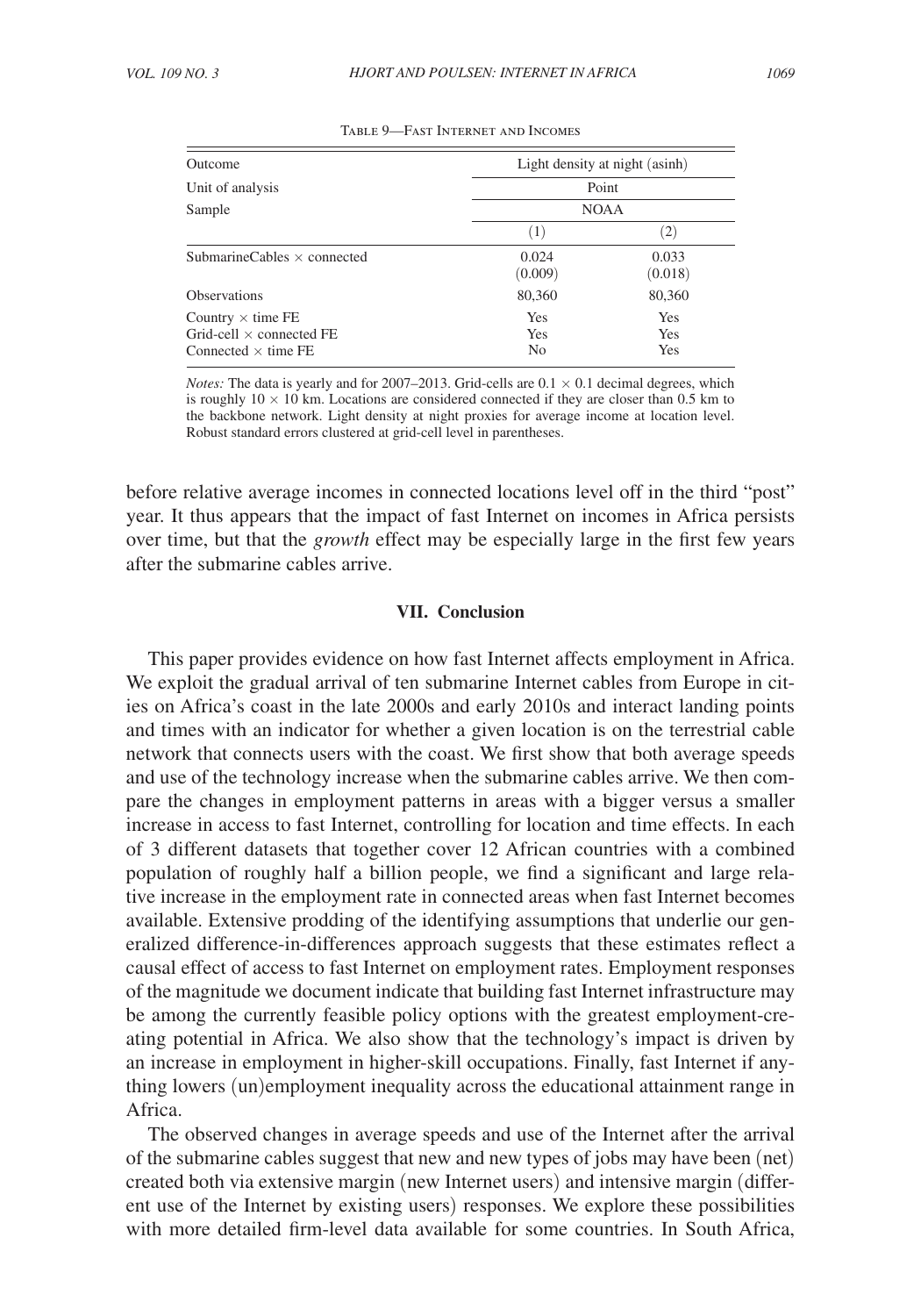| Outcome                                                                                   |                         | Light density at night (asinh) |  |  |  |
|-------------------------------------------------------------------------------------------|-------------------------|--------------------------------|--|--|--|
| Unit of analysis                                                                          |                         | Point                          |  |  |  |
| Sample                                                                                    | <b>NOAA</b>             |                                |  |  |  |
|                                                                                           | (1)                     | $\left( 2\right)$              |  |  |  |
| SubmarineCables $\times$ connected                                                        | 0.024<br>(0.009)        | 0.033<br>(0.018)               |  |  |  |
| <b>Observations</b>                                                                       | 80,360                  | 80,360                         |  |  |  |
| Country $\times$ time FE<br>Grid-cell $\times$ connected FE<br>Connected $\times$ time FE | <b>Yes</b><br>Yes<br>No | Yes<br><b>Yes</b><br>Yes       |  |  |  |

Table 9—Fast Internet and Incomes

*Notes:* The data is yearly and for 2007–2013. Grid-cells are  $0.1 \times 0.1$  decimal degrees, which is roughly  $10 \times 10$  km. Locations are considered connected if they are closer than 0.5 km to the backbone network. Light density at night proxies for average income at location level. Robust standard errors clustered at grid-cell level in parentheses.

before relative average incomes in connected locations level off in the third "post" year. It thus appears that the impact of fast Internet on incomes in Africa persists over time, but that the *growth* effect may be especially large in the first few years after the submarine cables arrive.

## **VII. Conclusion**

This paper provides evidence on how fast Internet affects employment in Africa. We exploit the gradual arrival of ten submarine Internet cables from Europe in cities on Africa's coast in the late 2000s and early 2010s and interact landing points and times with an indicator for whether a given location is on the terrestrial cable network that connects users with the coast. We first show that both average speeds and use of the technology increase when the submarine cables arrive. We then compare the changes in employment patterns in areas with a bigger versus a smaller increase in access to fast Internet, controlling for location and time effects. In each of 3 different datasets that together cover 12 African countries with a combined population of roughly half a billion people, we find a significant and large relative increase in the employment rate in connected areas when fast Internet becomes available. Extensive prodding of the identifying assumptions that underlie our generalized difference-in-differences approach suggests that these estimates reflect a causal effect of access to fast Internet on employment rates. Employment responses of the magnitude we document indicate that building fast Internet infrastructure may be among the currently feasible policy options with the greatest employment-creating potential in Africa. We also show that the technology's impact is driven by an increase in employment in higher-skill occupations. Finally, fast Internet if anything lowers (un)employment inequality across the educational attainment range in Africa.

The observed changes in average speeds and use of the Internet after the arrival of the submarine cables suggest that new and new types of jobs may have been (net) created both via extensive margin (new Internet users) and intensive margin (different use of the Internet by existing users) responses. We explore these possibilities with more detailed firm-level data available for some countries. In South Africa,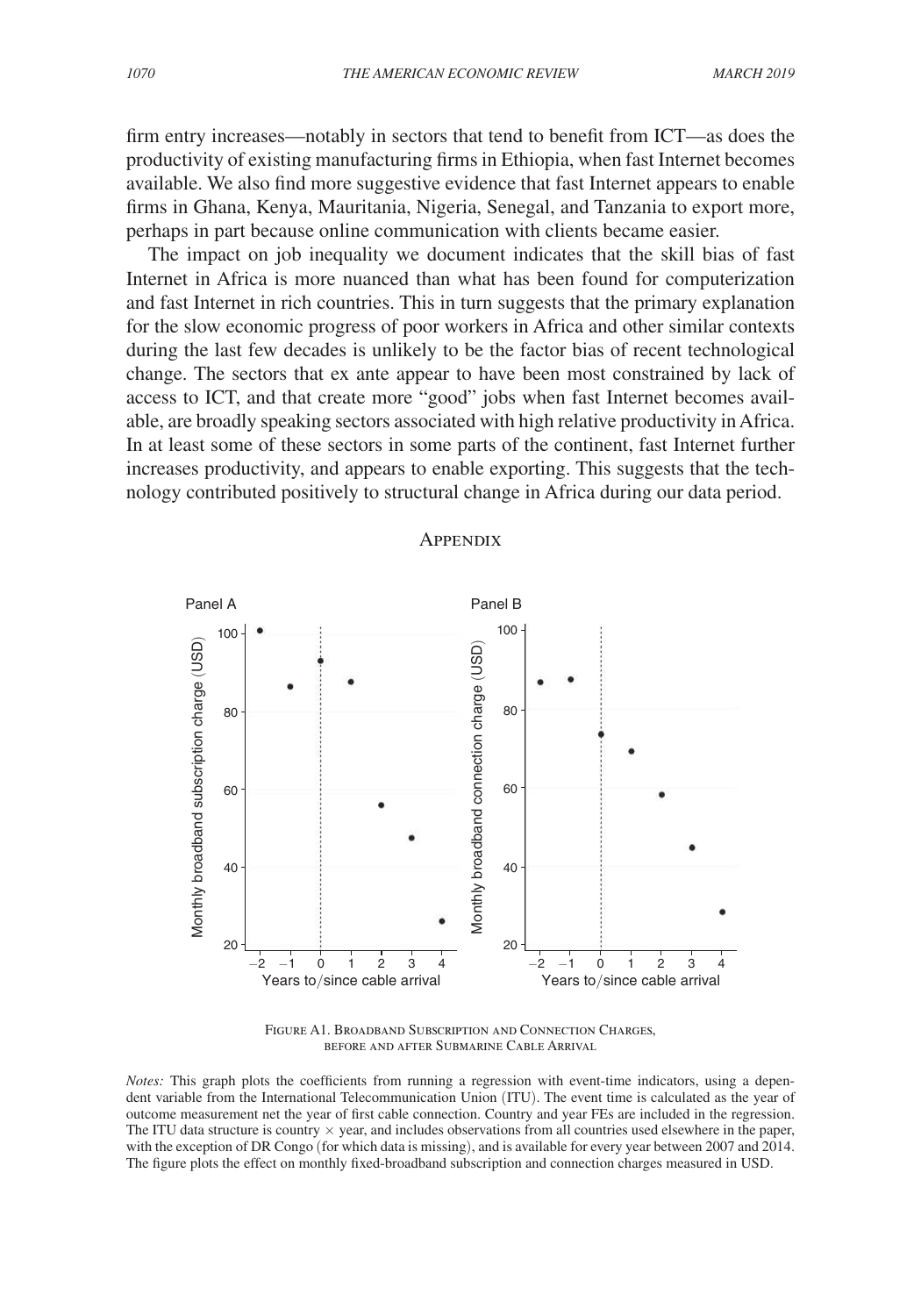firm entry increases—notably in sectors that tend to benefit from ICT—as does the productivity of existing manufacturing firms in Ethiopia, when fast Internet becomes available. We also find more suggestive evidence that fast Internet appears to enable firms in Ghana, Kenya, Mauritania, Nigeria, Senegal, and Tanzania to export more, perhaps in part because online communication with clients became easier.

The impact on job inequality we document indicates that the skill bias of fast Internet in Africa is more nuanced than what has been found for computerization and fast Internet in rich countries. This in turn suggests that the primary explanation for the slow economic progress of poor workers in Africa and other similar contexts during the last few decades is unlikely to be the factor bias of recent technological change. The sectors that ex ante appear to have been most constrained by lack of access to ICT, and that create more "good" jobs when fast Internet becomes available, are broadly speaking sectors associated with high relative productivity in Africa. In at least some of these sectors in some parts of the continent, fast Internet further increases productivity, and appears to enable exporting. This suggests that the technology contributed positively to structural change in Africa during our data period.



#### **APPENDIX**

Figure A1. Broadband Subscription and Connection Charges, before and after Submarine Cable Arrival

*Notes:* This graph plots the coefficients from running a regression with event-time indicators, using a dependent variable from the International Telecommunication Union (ITU). The event time is calculated as the year of outcome measurement net the year of first cable connection. Country and year FEs are included in the regression. The ITU data structure is country  $\times$  year, and includes observations from all countries used elsewhere in the paper, with the exception of DR Congo (for which data is missing), and is available for every year between 2007 and 2014. The figure plots the effect on monthly fixed-broadband subscription and connection charges measured in USD.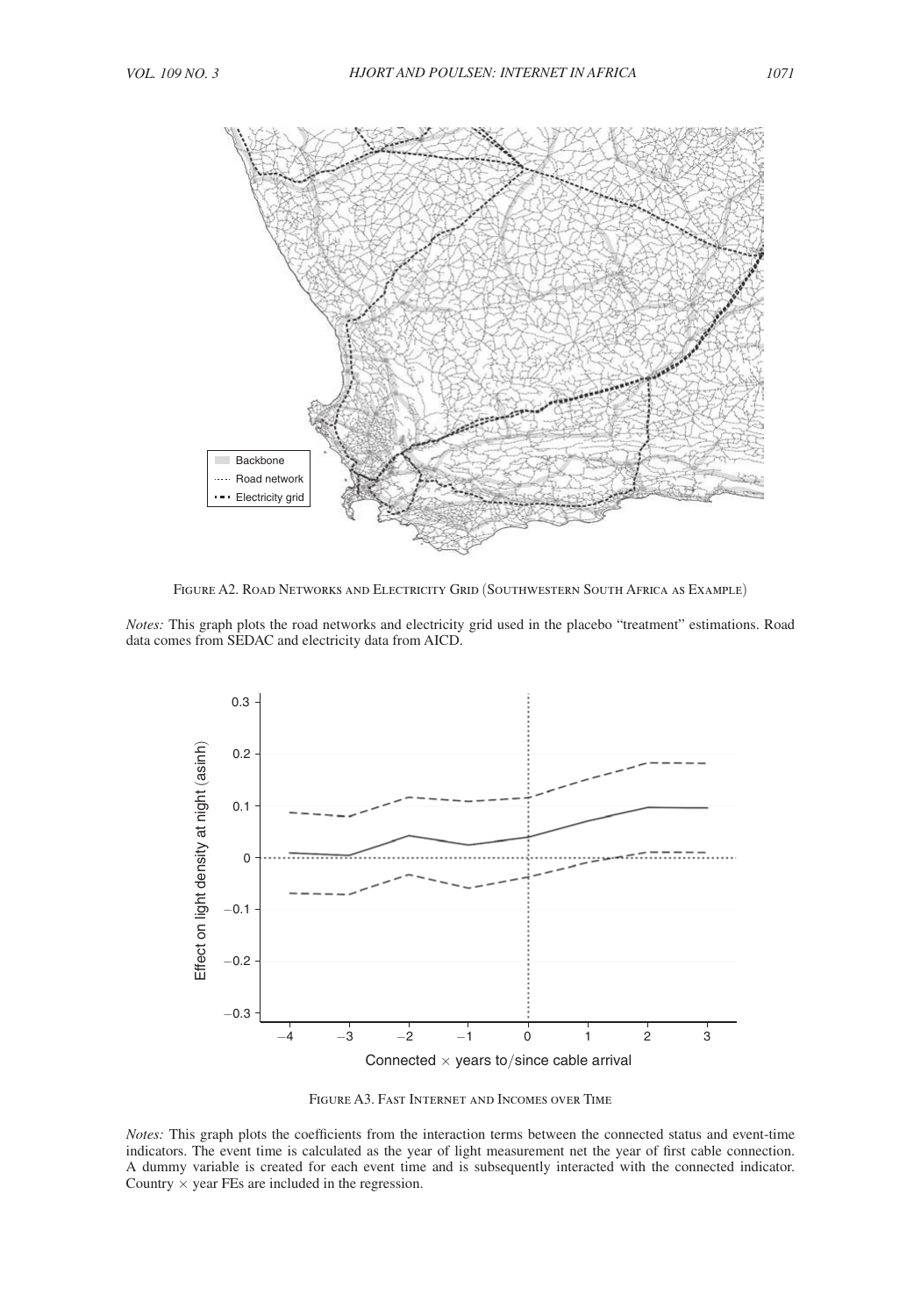

Figure A2. Road Networks and Electricity Grid (Southwestern South Africa as Example)

*Notes:* This graph plots the road networks and electricity grid used in the placebo "treatment" estimations. Road data comes from SEDAC and electricity data from AICD.



Figure A3. Fast Internet and Incomes over Time

*Notes:* This graph plots the coefficients from the interaction terms between the connected status and event-time indicators. The event time is calculated as the year of light measurement net the year of first cable connection. A dummy variable is created for each event time and is subsequently interacted with the connected indicator. Country  $\times$  year FEs are included in the regression.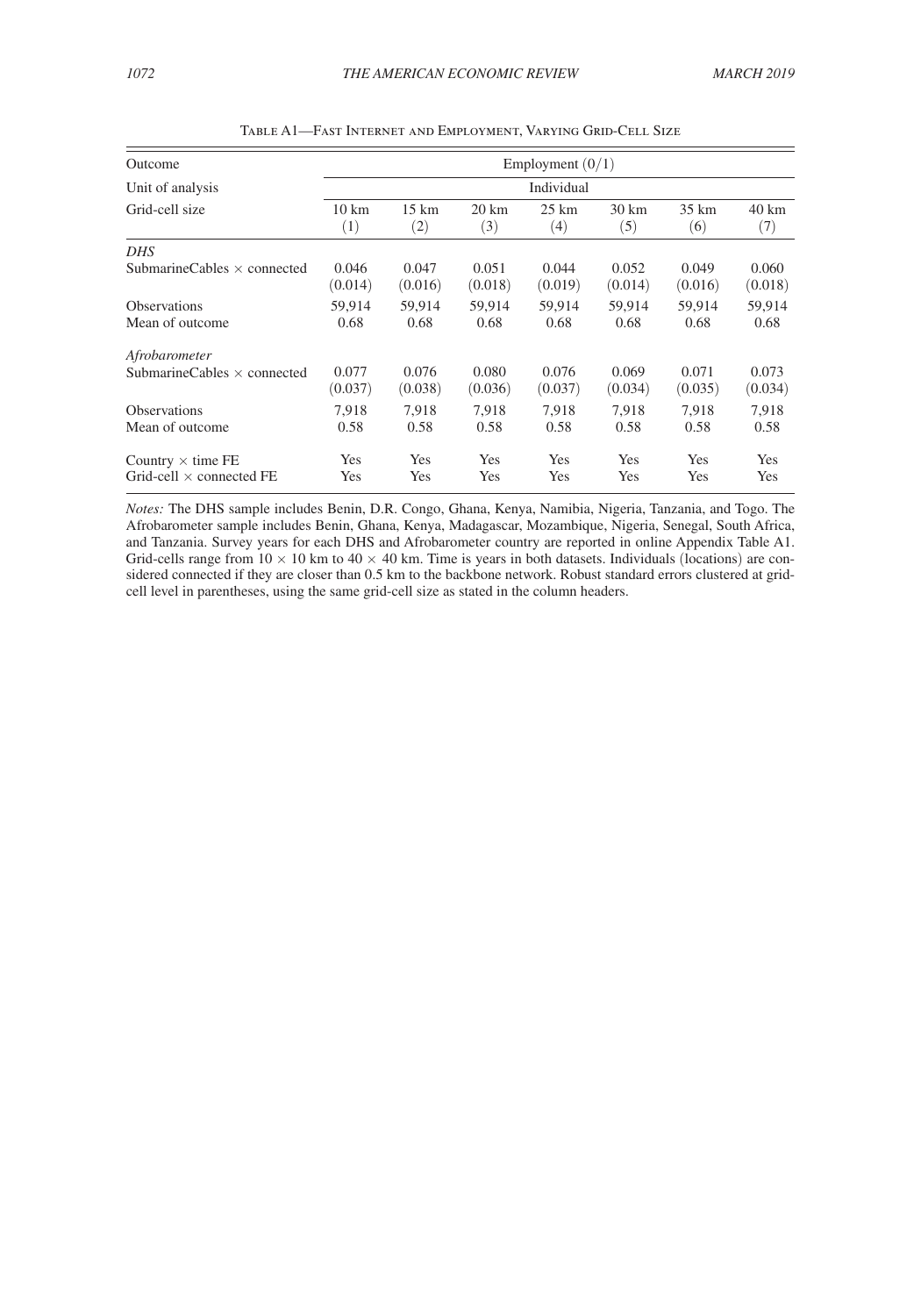| Outcome                            | Employment $(0/1)$<br>Individual |                 |                  |                  |                  |                 |         |  |  |  |
|------------------------------------|----------------------------------|-----------------|------------------|------------------|------------------|-----------------|---------|--|--|--|
| Unit of analysis                   |                                  |                 |                  |                  |                  |                 |         |  |  |  |
| Grid-cell size                     | $10 \text{ km}$                  | $15 \text{ km}$ | $20 \mathrm{km}$ | $25 \text{ km}$  | $30 \mathrm{km}$ | $35 \text{ km}$ | 40 km   |  |  |  |
|                                    | (1)                              | (2)             | (3)              | $\left(4\right)$ | (5)              | (6)             | (7)     |  |  |  |
| <b>DHS</b>                         |                                  |                 |                  |                  |                  |                 |         |  |  |  |
| SubmarineCables $\times$ connected | 0.046                            | 0.047           | 0.051            | 0.044            | 0.052            | 0.049           | 0.060   |  |  |  |
|                                    | (0.014)                          | (0.016)         | (0.018)          | (0.019)          | (0.014)          | (0.016)         | (0.018) |  |  |  |
| <b>Observations</b>                | 59.914                           | 59.914          | 59.914           | 59.914           | 59.914           | 59.914          | 59.914  |  |  |  |
| Mean of outcome                    | 0.68                             | 0.68            | 0.68             | 0.68             | 0.68             | 0.68            | 0.68    |  |  |  |
| Afrobarometer                      |                                  |                 |                  |                  |                  |                 |         |  |  |  |
| SubmarineCables $\times$ connected | 0.077                            | 0.076           | 0.080            | 0.076            | 0.069            | 0.071           | 0.073   |  |  |  |
|                                    | (0.037)                          | (0.038)         | (0.036)          | (0.037)          | (0.034)          | (0.035)         | (0.034) |  |  |  |
| <b>Observations</b>                | 7.918                            | 7,918           | 7,918            | 7.918            | 7.918            | 7.918           | 7.918   |  |  |  |
| Mean of outcome                    | 0.58                             | 0.58            | 0.58             | 0.58             | 0.58             | 0.58            | 0.58    |  |  |  |
| Country $\times$ time FE           | Yes                              | Yes             | Yes              | Yes              | Yes              | Yes             | Yes     |  |  |  |
| Grid-cell $\times$ connected FE    | Yes                              | Yes             | Yes              | Yes              | Yes              | Yes             | Yes     |  |  |  |

Table A1—Fast Internet and Employment, Varying Grid-Cell Size

*Notes:* The DHS sample includes Benin, D.R. Congo, Ghana, Kenya, Namibia, Nigeria, Tanzania, and Togo. The Afrobarometer sample includes Benin, Ghana, Kenya, Madagascar, Mozambique, Nigeria, Senegal, South Africa, and Tanzania. Survey years for each DHS and Afrobarometer country are reported in online Appendix Table A1. Grid-cells range from  $10 \times 10$  km to  $40 \times 40$  km. Time is years in both datasets. Individuals (locations) are considered connected if they are closer than 0.5 km to the backbone network. Robust standard errors clustered at gridcell level in parentheses, using the same grid-cell size as stated in the column headers.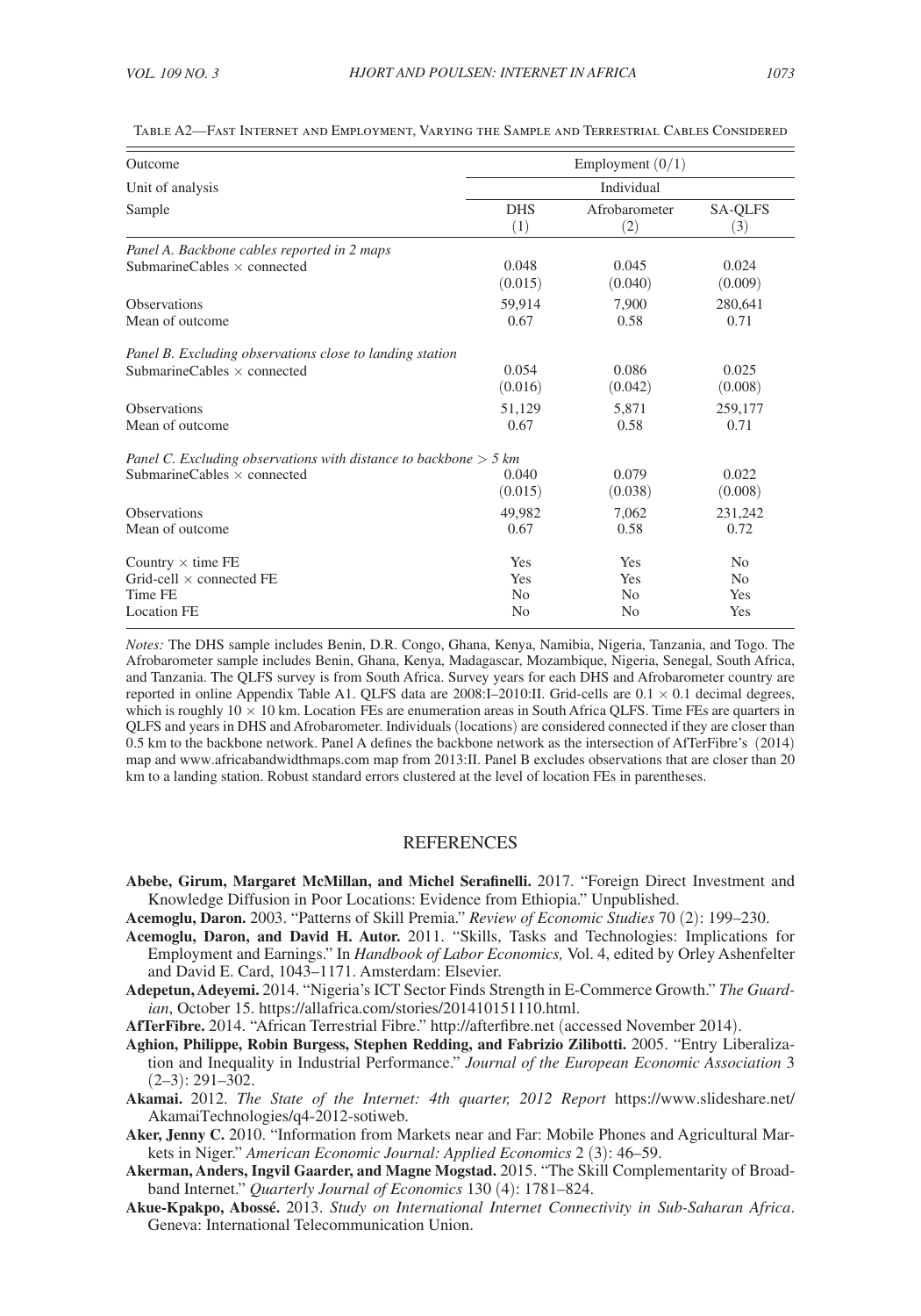Table A2—Fast Internet and Employment, Varying the Sample and Terrestrial Cables Considered

| Outcome                                                                | Employment $(0/1)$           |                                  |                                         |  |  |  |
|------------------------------------------------------------------------|------------------------------|----------------------------------|-----------------------------------------|--|--|--|
| Unit of analysis                                                       | Individual                   |                                  |                                         |  |  |  |
| Sample                                                                 | <b>DHS</b>                   | Afrobarometer                    | SA-QLFS                                 |  |  |  |
|                                                                        | (1)                          | (2)                              | (3)                                     |  |  |  |
| Panel A. Backbone cables reported in 2 maps                            |                              |                                  |                                         |  |  |  |
| SubmarineCables $\times$ connected                                     | 0.048                        | 0.045                            | 0.024                                   |  |  |  |
|                                                                        | (0.015)                      | (0.040)                          | (0.009)                                 |  |  |  |
| <b>Observations</b>                                                    | 59.914                       | 7.900                            | 280,641                                 |  |  |  |
| Mean of outcome                                                        | 0.67                         | 0.58                             | 0.71                                    |  |  |  |
| Panel B. Excluding observations close to landing station               |                              |                                  |                                         |  |  |  |
| SubmarineCables $\times$ connected                                     | 0.054                        | 0.086                            | 0.025                                   |  |  |  |
|                                                                        | (0.016)                      | (0.042)                          | (0.008)                                 |  |  |  |
| <b>Observations</b>                                                    | 51,129                       | 5,871                            | 259,177                                 |  |  |  |
| Mean of outcome                                                        | 0.67                         | 0.58                             | 0.71                                    |  |  |  |
| Panel C. Excluding observations with distance to backbone $> 5$ km     |                              |                                  |                                         |  |  |  |
| SubmarineCables $\times$ connected                                     | 0.040                        | 0.079                            | 0.022                                   |  |  |  |
|                                                                        | (0.015)                      | (0.038)                          | (0.008)                                 |  |  |  |
| <b>Observations</b>                                                    | 49.982                       | 7.062                            | 231,242                                 |  |  |  |
| Mean of outcome                                                        | 0.67                         | 0.58                             | 0.72                                    |  |  |  |
| Country $\times$ time FE<br>Grid-cell $\times$ connected FE<br>Time FE | Yes<br>Yes<br>N <sub>0</sub> | Yes<br>Yes                       | N <sub>0</sub><br>N <sub>0</sub><br>Yes |  |  |  |
| <b>Location FE</b>                                                     | No                           | N <sub>0</sub><br>N <sub>0</sub> | Yes                                     |  |  |  |

*Notes:* The DHS sample includes Benin, D.R. Congo, Ghana, Kenya, Namibia, Nigeria, Tanzania, and Togo. The Afrobarometer sample includes Benin, Ghana, Kenya, Madagascar, Mozambique, Nigeria, Senegal, South Africa, and Tanzania. The QLFS survey is from South Africa. Survey years for each DHS and Afrobarometer country are reported in online Appendix Table A1. QLFS data are  $2008:I-2010:II$ . Grid-cells are  $0.1 \times 0.1$  decimal degrees, which is roughly  $10 \times 10$  km. Location FEs are enumeration areas in South Africa QLFS. Time FEs are quarters in QLFS and years in DHS and Afrobarometer. Individuals (locations) are considered connected if they are closer than 0.5 km to the backbone network. Panel A defines the backbone network as the intersection of AfTerFibre's (2014) map and www.africabandwidthmaps.com map from 2013:II. Panel B excludes observations that are closer than 20 km to a landing station. Robust standard errors clustered at the level of location FEs in parentheses.

#### REFERENCES

**Abebe, Girum, Margaret McMillan, and Michel Serafinelli.** 2017. "Foreign Direct Investment and Knowledge Diffusion in Poor Locations: Evidence from Ethiopia." Unpublished.

**Acemoglu, Daron.** 2003. "Patterns of Skill Premia." *Review of Economic Studies* 70 (2): 199–230.

- **Acemoglu, Daron, and David H. Autor.** 2011. "Skills, Tasks and Technologies: Implications for Employment and Earnings." In *Handbook of Labor Economics,* Vol. 4, edited by Orley Ashenfelter and David E. Card, 1043–1171. Amsterdam: Elsevier.
- **Adepetun, Adeyemi.** 2014. "Nigeria's ICT Sector Finds Strength in E-Commerce Growth." *The Guardian*, October 15. https://allafrica.com/stories/201410151110.html.

**AfTerFibre.** 2014. "African Terrestrial Fibre." http://afterfibre.net (accessed November 2014).

- **Aghion, Philippe, Robin Burgess, Stephen Redding, and Fabrizio Zilibotti.** 2005. "Entry Liberalization and Inequality in Industrial Performance." *Journal of the European Economic Association* 3  $(2-3)$ : 291-302.
- **Akamai.** 2012. *The State of the Internet: 4th quarter, 2012 Report* https://www.slideshare.net/ AkamaiTechnologies/q4-2012-sotiweb.
- **Aker, Jenny C.** 2010. "Information from Markets near and Far: Mobile Phones and Agricultural Markets in Niger." *American Economic Journal: Applied Economics* 2 (3): 46–59.
- **Akerman, Anders, Ingvil Gaarder, and Magne Mogstad.** 2015. "The Skill Complementarity of Broadband Internet." *Quarterly Journal of Economics* 130 (4): 1781–824.
- **Akue-Kpakpo, Abossé.** 2013. *Study on International Internet Connectivity in Sub-Saharan Africa*. Geneva: International Telecommunication Union.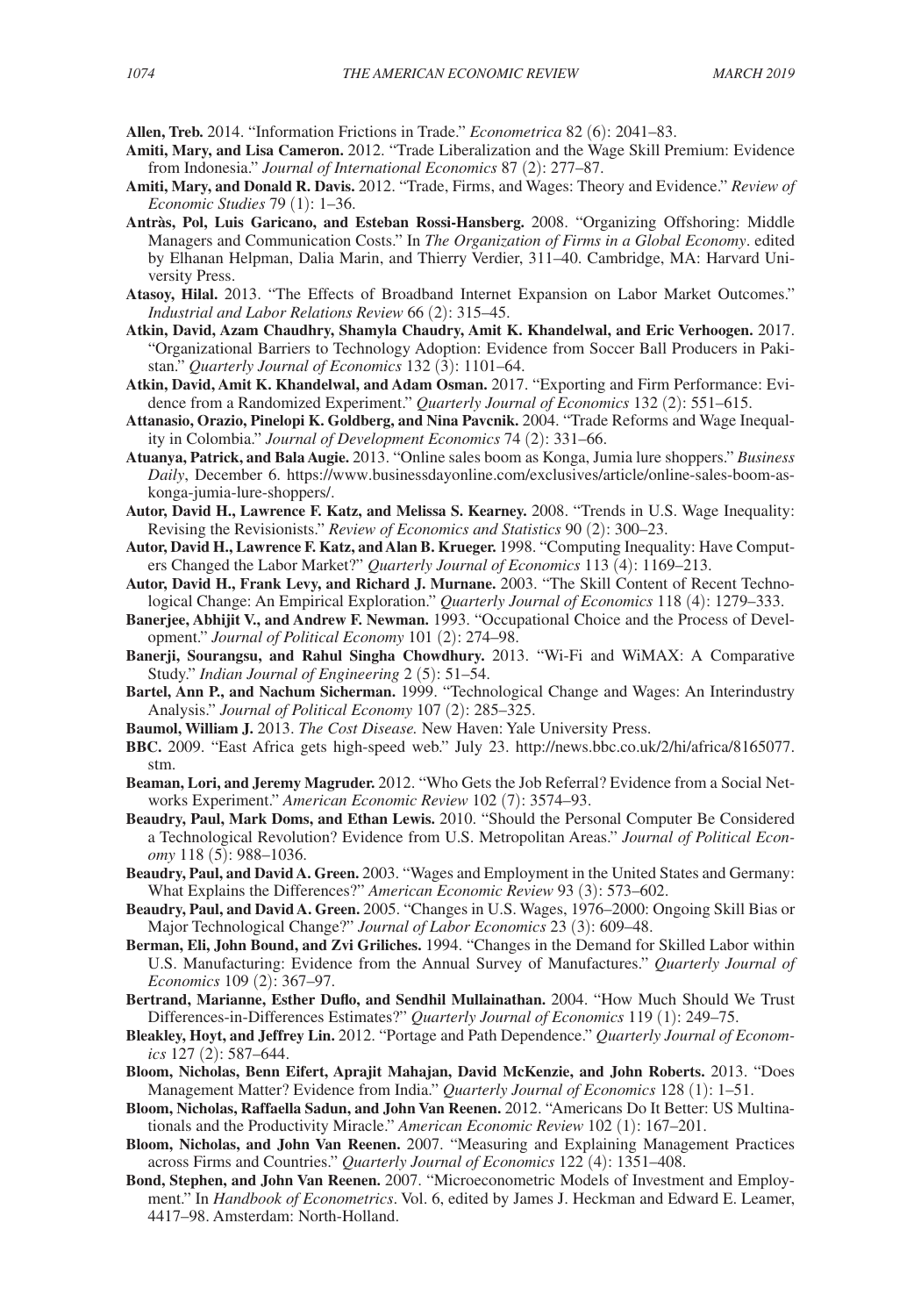**Allen, Treb.** 2014. "Information Frictions in Trade." *Econometrica* 82 (6): 2041–83.

- **Amiti, Mary, and Lisa Cameron.** 2012. "Trade Liberalization and the Wage Skill Premium: Evidence from Indonesia." *Journal of International Economics* 87 (2): 277–87.
- **Amiti, Mary, and Donald R. Davis.** 2012. "Trade, Firms, and Wages: Theory and Evidence." *Review of Economic Studies* 79 (1): 1–36.
- **Antràs, Pol, Luis Garicano, and Esteban Rossi-Hansberg.** 2008. "Organizing Offshoring: Middle Managers and Communication Costs." In *The Organization of Firms in a Global Economy*. edited by Elhanan Helpman, Dalia Marin, and Thierry Verdier, 311–40. Cambridge, MA: Harvard University Press.
- **Atasoy, Hilal.** 2013. "The Effects of Broadband Internet Expansion on Labor Market Outcomes." *Industrial and Labor Relations Review* 66 (2): 315–45.
- **Atkin, David, Azam Chaudhry, Shamyla Chaudry, Amit K. Khandelwal, and Eric Verhoogen.** 2017. "Organizational Barriers to Technology Adoption: Evidence from Soccer Ball Producers in Pakistan." *Quarterly Journal of Economics* 132 (3): 1101–64.
- **Atkin, David, Amit K. Khandelwal, and Adam Osman.** 2017. "Exporting and Firm Performance: Evidence from a Randomized Experiment." *Quarterly Journal of Economics* 132 (2): 551–615.
- **Attanasio, Orazio, Pinelopi K. Goldberg, and Nina Pavcnik.** 2004. "Trade Reforms and Wage Inequality in Colombia." *Journal of Development Economics* 74 (2): 331–66.
- **Atuanya, Patrick, and Bala Augie.** 2013. "Online sales boom as Konga, Jumia lure shoppers." *Business Daily*, December 6. https://www.businessdayonline.com/exclusives/article/online-sales-boom-askonga-jumia-lure-shoppers/.
- **Autor, David H., Lawrence F. Katz, and Melissa S. Kearney.** 2008. "Trends in U.S. Wage Inequality: Revising the Revisionists." *Review of Economics and Statistics* 90 (2): 300–23.
- **Autor, David H., Lawrence F. Katz, and Alan B. Krueger.** 1998. "Computing Inequality: Have Computers Changed the Labor Market?" *Quarterly Journal of Economics* 113 (4): 1169–213.
- **Autor, David H., Frank Levy, and Richard J. Murnane.** 2003. "The Skill Content of Recent Technological Change: An Empirical Exploration." *Quarterly Journal of Economics* 118 (4): 1279–333.
- **Banerjee, Abhijit V., and Andrew F. Newman.** 1993. "Occupational Choice and the Process of Development." *Journal of Political Economy* 101 (2): 274–98.
- **Banerji, Sourangsu, and Rahul Singha Chowdhury.** 2013. "Wi-Fi and WiMAX: A Comparative Study." *Indian Journal of Engineering* 2 (5): 51–54.
- **Bartel, Ann P., and Nachum Sicherman.** 1999. "Technological Change and Wages: An Interindustry Analysis." *Journal of Political Economy* 107 (2): 285–325.
- **Baumol, William J.** 2013. *The Cost Disease.* New Haven: Yale University Press.
- **BBC.** 2009. "East Africa gets high-speed web." July 23. http://news.bbc.co.uk/2/hi/africa/8165077. stm.
- **Beaman, Lori, and Jeremy Magruder.** 2012. "Who Gets the Job Referral? Evidence from a Social Networks Experiment." *American Economic Review* 102 (7): 3574–93.
- **Beaudry, Paul, Mark Doms, and Ethan Lewis.** 2010. "Should the Personal Computer Be Considered a Technological Revolution? Evidence from U.S. Metropolitan Areas." *Journal of Political Economy* 118 (5): 988–1036.
- **Beaudry, Paul, and David A. Green.** 2003. "Wages and Employment in the United States and Germany: What Explains the Differences?" *American Economic Review* 93 (3): 573–602.
- **Beaudry, Paul, and David A. Green.** 2005. "Changes in U.S. Wages, 1976–2000: Ongoing Skill Bias or Major Technological Change?" *Journal of Labor Economics* 23 (3): 609–48.
- **Berman, Eli, John Bound, and Zvi Griliches.** 1994. "Changes in the Demand for Skilled Labor within U.S. Manufacturing: Evidence from the Annual Survey of Manufactures." *Quarterly Journal of Economics* 109 (2): 367–97.
- **Bertrand, Marianne, Esther Duflo, and Sendhil Mullainathan.** 2004. "How Much Should We Trust Differences-in-Differences Estimates?" *Quarterly Journal of Economics* 119 (1): 249–75.
- **Bleakley, Hoyt, and Jeffrey Lin.** 2012. "Portage and Path Dependence." *Quarterly Journal of Economics* 127 (2): 587–644.
- **Bloom, Nicholas, Benn Eifert, Aprajit Mahajan, David McKenzie, and John Roberts.** 2013. "Does Management Matter? Evidence from India." *Quarterly Journal of Economics* 128 (1): 1–51.
- **Bloom, Nicholas, Raffaella Sadun, and John Van Reenen.** 2012. "Americans Do It Better: US Multinationals and the Productivity Miracle." *American Economic Review* 102 (1): 167–201.
- **Bloom, Nicholas, and John Van Reenen.** 2007. "Measuring and Explaining Management Practices across Firms and Countries." *Quarterly Journal of Economics* 122 (4): 1351–408.
- **Bond, Stephen, and John Van Reenen.** 2007. "Microeconometric Models of Investment and Employment." In *Handbook of Econometrics*. Vol. 6, edited by James J. Heckman and Edward E. Leamer, 4417–98. Amsterdam: North-Holland.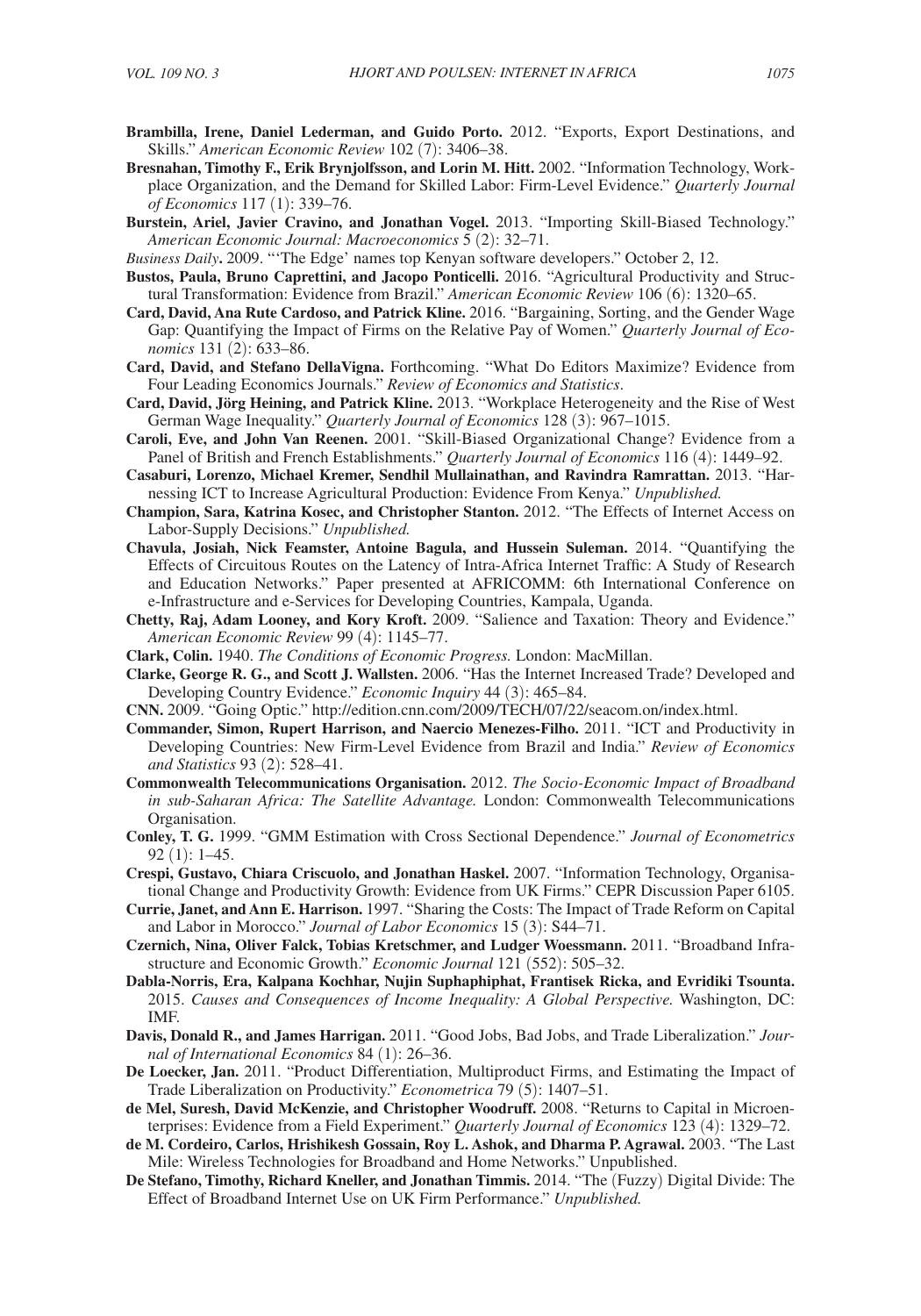- **Brambilla, Irene, Daniel Lederman, and Guido Porto.** 2012. "Exports, Export Destinations, and Skills." *American Economic Review* 102 (7): 3406–38.
- **Bresnahan, Timothy F., Erik Brynjolfsson, and Lorin M. Hitt.** 2002. "Information Technology, Workplace Organization, and the Demand for Skilled Labor: Firm-Level Evidence." *Quarterly Journal of Economics* 117 (1): 339–76.
- **Burstein, Ariel, Javier Cravino, and Jonathan Vogel.** 2013. "Importing Skill-Biased Technology." *American Economic Journal: Macroeconomics* 5 (2): 32–71.
- *Business Daily***.** 2009. "'The Edge' names top Kenyan software developers." October 2, 12.
- **Bustos, Paula, Bruno Caprettini, and Jacopo Ponticelli.** 2016. "Agricultural Productivity and Structural Transformation: Evidence from Brazil." *American Economic Review* 106 (6): 1320–65.
- **Card, David, Ana Rute Cardoso, and Patrick Kline.** 2016. "Bargaining, Sorting, and the Gender Wage Gap: Quantifying the Impact of Firms on the Relative Pay of Women." *Quarterly Journal of Economics* 131 (2): 633–86.
- **Card, David, and Stefano DellaVigna.** Forthcoming. "What Do Editors Maximize? Evidence from Four Leading Economics Journals." *Review of Economics and Statistics*.
- **Card, David, Jörg Heining, and Patrick Kline.** 2013. "Workplace Heterogeneity and the Rise of West German Wage Inequality." *Quarterly Journal of Economics* 128 (3): 967–1015.
- **Caroli, Eve, and John Van Reenen.** 2001. "Skill-Biased Organizational Change? Evidence from a Panel of British and French Establishments." *Quarterly Journal of Economics* 116 (4): 1449–92.
- **Casaburi, Lorenzo, Michael Kremer, Sendhil Mullainathan, and Ravindra Ramrattan.** 2013. "Harnessing ICT to Increase Agricultural Production: Evidence From Kenya." *Unpublished.*
- **Champion, Sara, Katrina Kosec, and Christopher Stanton.** 2012. "The Effects of Internet Access on Labor-Supply Decisions." *Unpublished.*
- **Chavula, Josiah, Nick Feamster, Antoine Bagula, and Hussein Suleman.** 2014. "Quantifying the Effects of Circuitous Routes on the Latency of Intra-Africa Internet Traffic: A Study of Research and Education Networks." Paper presented at AFRICOMM: 6th International Conference on e-Infrastructure and e-Services for Developing Countries, Kampala, Uganda.
- **Chetty, Raj, Adam Looney, and Kory Kroft.** 2009. "Salience and Taxation: Theory and Evidence." *American Economic Review* 99 (4): 1145–77.
- **Clark, Colin.** 1940. *The Conditions of Economic Progress.* London: MacMillan.
- **Clarke, George R. G., and Scott J. Wallsten.** 2006. "Has the Internet Increased Trade? Developed and Developing Country Evidence." *Economic Inquiry* 44 (3): 465–84.
- **CNN.** 2009. "Going Optic." http://edition.cnn.com/2009/TECH/07/22/seacom.on/index.html.
- **Commander, Simon, Rupert Harrison, and Naercio Menezes-Filho.** 2011. "ICT and Productivity in Developing Countries: New Firm-Level Evidence from Brazil and India." *Review of Economics and Statistics* 93 (2): 528–41.
- **Commonwealth Telecommunications Organisation.** 2012. *The Socio-Economic Impact of Broadband in sub-Saharan Africa: The Satellite Advantage.* London: Commonwealth Telecommunications Organisation.
- **Conley, T. G.** 1999. "GMM Estimation with Cross Sectional Dependence." *Journal of Econometrics* 92 (1): 1–45.
- **Crespi, Gustavo, Chiara Criscuolo, and Jonathan Haskel.** 2007. "Information Technology, Organisational Change and Productivity Growth: Evidence from UK Firms." CEPR Discussion Paper 6105.
- **Currie, Janet, and Ann E. Harrison.** 1997. "Sharing the Costs: The Impact of Trade Reform on Capital and Labor in Morocco." *Journal of Labor Economics* 15 (3): S44–71.
- **Czernich, Nina, Oliver Falck, Tobias Kretschmer, and Ludger Woessmann.** 2011. "Broadband Infrastructure and Economic Growth." *Economic Journal* 121 (552): 505–32.
- **Dabla-Norris, Era, Kalpana Kochhar, Nujin Suphaphiphat, Frantisek Ricka, and Evridiki Tsounta.**  2015. *Causes and Consequences of Income Inequality: A Global Perspective.* Washington, DC: IMF.
- **Davis, Donald R., and James Harrigan.** 2011. "Good Jobs, Bad Jobs, and Trade Liberalization." *Journal of International Economics* 84 (1): 26–36.
- **De Loecker, Jan.** 2011. "Product Differentiation, Multiproduct Firms, and Estimating the Impact of Trade Liberalization on Productivity." *Econometrica* 79 (5): 1407–51.
- **de Mel, Suresh, David McKenzie, and Christopher Woodruff.** 2008. "Returns to Capital in Microenterprises: Evidence from a Field Experiment." *Quarterly Journal of Economics* 123 (4): 1329–72.
- **de M. Cordeiro, Carlos, Hrishikesh Gossain, Roy L. Ashok, and Dharma P. Agrawal.** 2003. "The Last Mile: Wireless Technologies for Broadband and Home Networks." Unpublished.
- **De Stefano, Timothy, Richard Kneller, and Jonathan Timmis.** 2014. "The (Fuzzy) Digital Divide: The Effect of Broadband Internet Use on UK Firm Performance." *Unpublished.*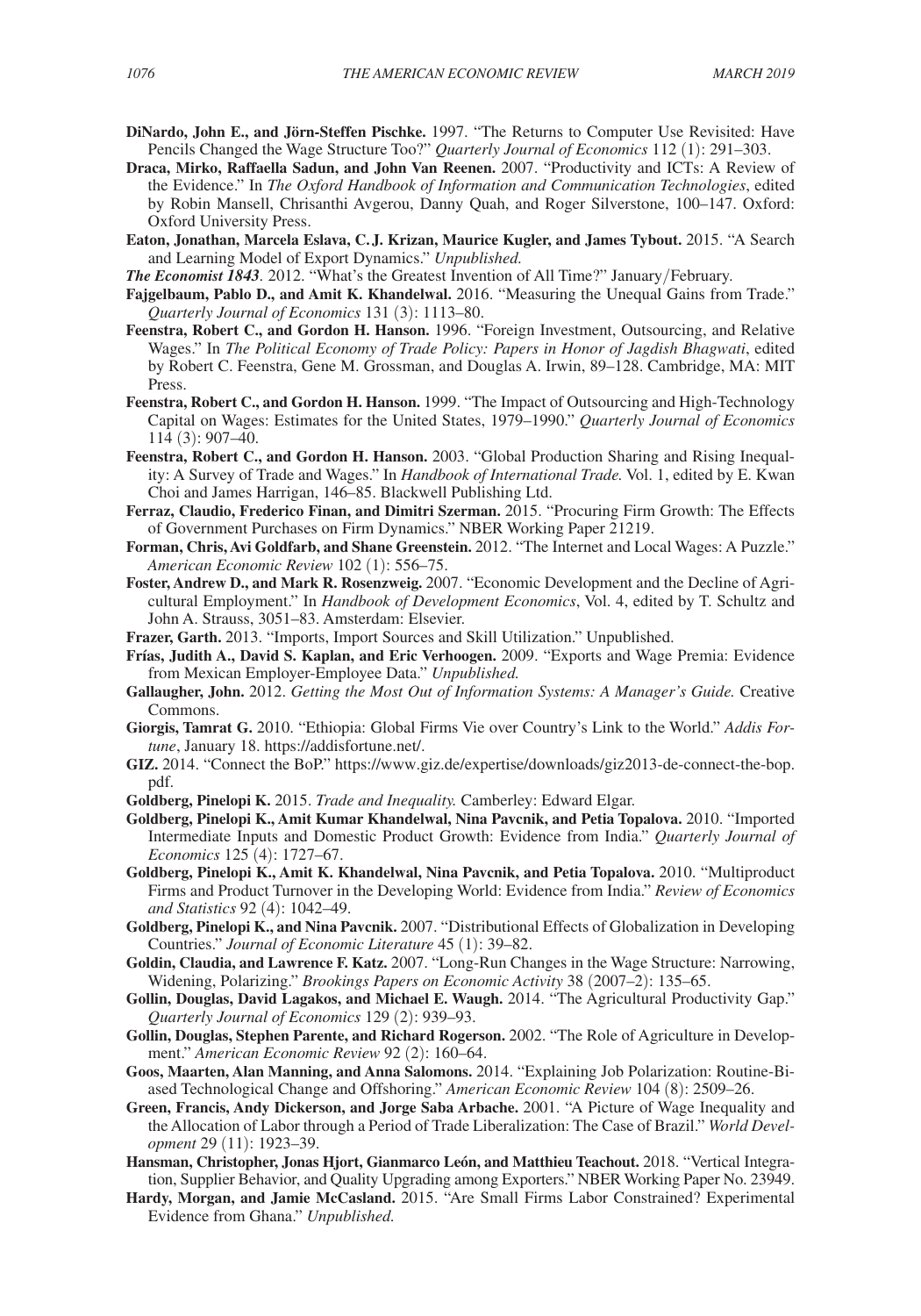- **DiNardo, John E., and Jörn-Steffen Pischke.** 1997. "The Returns to Computer Use Revisited: Have Pencils Changed the Wage Structure Too?" *Quarterly Journal of Economics* 112 (1): 291–303.
- **Draca, Mirko, Raffaella Sadun, and John Van Reenen.** 2007. "Productivity and ICTs: A Review of the Evidence." In *The Oxford Handbook of Information and Communication Technologies*, edited by Robin Mansell, Chrisanthi Avgerou, Danny Quah, and Roger Silverstone, 100–147. Oxford: Oxford University Press.
- **Eaton, Jonathan, Marcela Eslava, C. J. Krizan, Maurice Kugler, and James Tybout.** 2015. "A Search and Learning Model of Export Dynamics." *Unpublished.*
- *The Economist 1843.* 2012. "What's the Greatest Invention of All Time?" January/February.
- **Fajgelbaum, Pablo D., and Amit K. Khandelwal.** 2016. "Measuring the Unequal Gains from Trade." *Quarterly Journal of Economics* 131 (3): 1113–80.
- **Feenstra, Robert C., and Gordon H. Hanson.** 1996. "Foreign Investment, Outsourcing, and Relative Wages." In *The Political Economy of Trade Policy: Papers in Honor of Jagdish Bhagwati*, edited by Robert C. Feenstra, Gene M. Grossman, and Douglas A. Irwin, 89–128. Cambridge, MA: MIT Press.
- **Feenstra, Robert C., and Gordon H. Hanson.** 1999. "The Impact of Outsourcing and High-Technology Capital on Wages: Estimates for the United States, 1979–1990." *Quarterly Journal of Economics* 114 (3): 907–40.
- **Feenstra, Robert C., and Gordon H. Hanson.** 2003. "Global Production Sharing and Rising Inequality: A Survey of Trade and Wages." In *Handbook of International Trade.* Vol. 1, edited by E. Kwan Choi and James Harrigan, 146–85. Blackwell Publishing Ltd.
- **Ferraz, Claudio, Frederico Finan, and Dimitri Szerman.** 2015. "Procuring Firm Growth: The Effects of Government Purchases on Firm Dynamics." NBER Working Paper 21219.
- **Forman, Chris, Avi Goldfarb, and Shane Greenstein.** 2012. "The Internet and Local Wages: A Puzzle." *American Economic Review* 102 (1): 556–75.
- **Foster, Andrew D., and Mark R. Rosenzweig.** 2007. "Economic Development and the Decline of Agricultural Employment." In *Handbook of Development Economics*, Vol. 4, edited by T. Schultz and John A. Strauss, 3051–83. Amsterdam: Elsevier.
- **Frazer, Garth.** 2013. "Imports, Import Sources and Skill Utilization." Unpublished.
- **Frías, Judith A., David S. Kaplan, and Eric Verhoogen.** 2009. "Exports and Wage Premia: Evidence from Mexican Employer-Employee Data." *Unpublished.*
- **Gallaugher, John.** 2012. *Getting the Most Out of Information Systems: A Manager's Guide.* Creative Commons.
- **Giorgis, Tamrat G.** 2010. "Ethiopia: Global Firms Vie over Country's Link to the World." *Addis Fortune*, January 18. https://addisfortune.net/.
- **GIZ.** 2014. "Connect the BoP." https://www.giz.de/expertise/downloads/giz2013-de-connect-the-bop. pdf.
- **Goldberg, Pinelopi K.** 2015. *Trade and Inequality.* Camberley: Edward Elgar.
- **Goldberg, Pinelopi K., Amit Kumar Khandelwal, Nina Pavcnik, and Petia Topalova.** 2010. "Imported Intermediate Inputs and Domestic Product Growth: Evidence from India." *Quarterly Journal of Economics* 125 (4): 1727–67.
- **Goldberg, Pinelopi K., Amit K. Khandelwal, Nina Pavcnik, and Petia Topalova.** 2010. "Multiproduct Firms and Product Turnover in the Developing World: Evidence from India." *Review of Economics and Statistics* 92 (4): 1042–49.
- **Goldberg, Pinelopi K., and Nina Pavcnik.** 2007. "Distributional Effects of Globalization in Developing Countries." *Journal of Economic Literature* 45 (1): 39–82.
- **Goldin, Claudia, and Lawrence F. Katz.** 2007. "Long-Run Changes in the Wage Structure: Narrowing, Widening, Polarizing." *Brookings Papers on Economic Activity* 38 (2007–2): 135–65.
- **Gollin, Douglas, David Lagakos, and Michael E. Waugh.** 2014. "The Agricultural Productivity Gap." *Quarterly Journal of Economics* 129 (2): 939–93.
- **Gollin, Douglas, Stephen Parente, and Richard Rogerson.** 2002. "The Role of Agriculture in Development." *American Economic Review* 92 (2): 160–64.
- **Goos, Maarten, Alan Manning, and Anna Salomons.** 2014. "Explaining Job Polarization: Routine-Biased Technological Change and Offshoring." *American Economic Review* 104 (8): 2509–26.
- **Green, Francis, Andy Dickerson, and Jorge Saba Arbache.** 2001. "A Picture of Wage Inequality and the Allocation of Labor through a Period of Trade Liberalization: The Case of Brazil." *World Development* 29 (11): 1923–39.
- **Hansman, Christopher, Jonas Hjort, Gianmarco León, and Matthieu Teachout.** 2018. "Vertical Integration, Supplier Behavior, and Quality Upgrading among Exporters." NBER Working Paper No. 23949.
- **Hardy, Morgan, and Jamie McCasland.** 2015. "Are Small Firms Labor Constrained? Experimental Evidence from Ghana." *Unpublished.*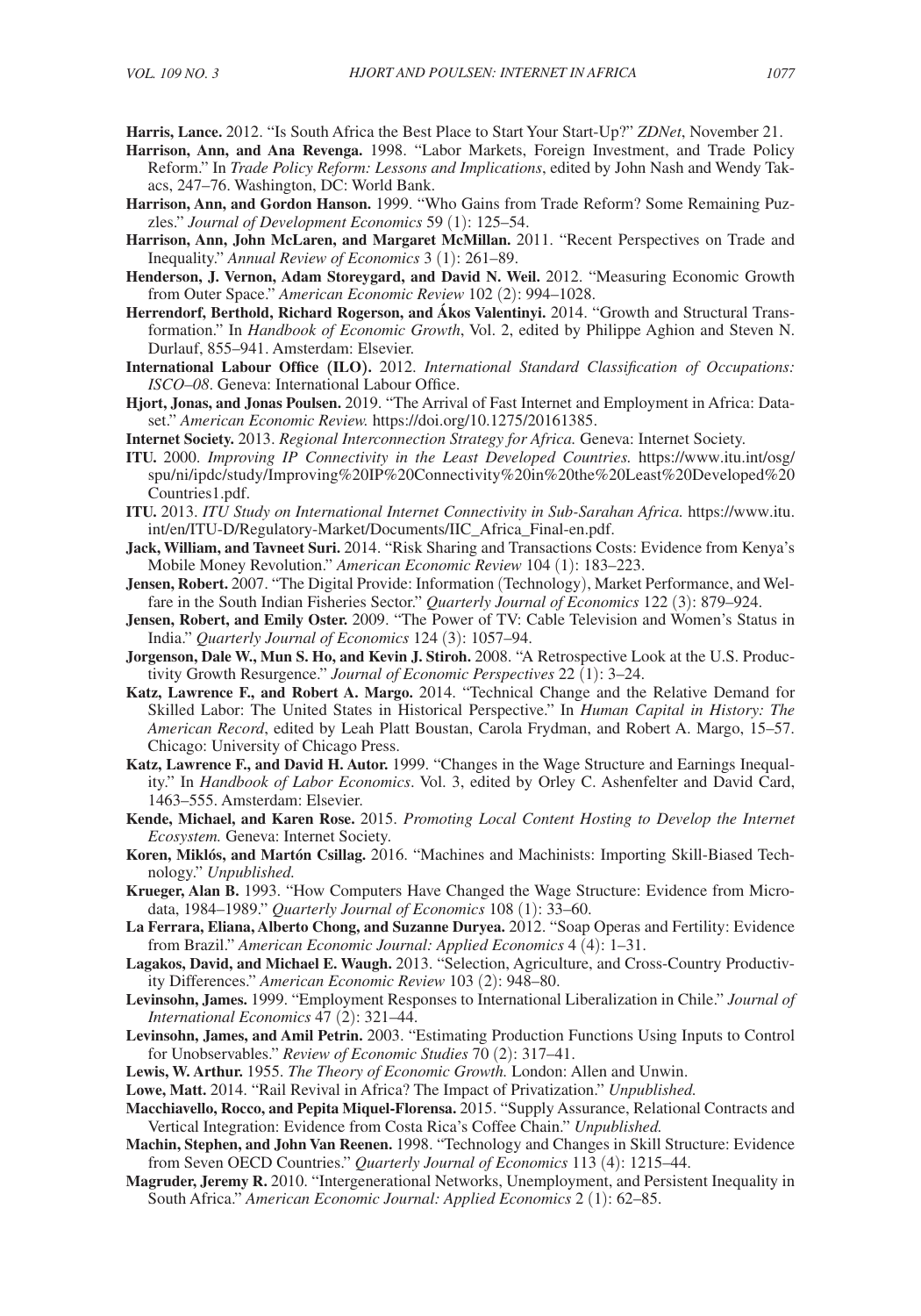**Harris, Lance.** 2012. "Is South Africa the Best Place to Start Your Start-Up?" *ZDNet*, November 21.

- **Harrison, Ann, and Ana Revenga.** 1998. "Labor Markets, Foreign Investment, and Trade Policy Reform." In *Trade Policy Reform: Lessons and Implications*, edited by John Nash and Wendy Takacs, 247–76. Washington, DC: World Bank.
- **Harrison, Ann, and Gordon Hanson.** 1999. "Who Gains from Trade Reform? Some Remaining Puzzles." *Journal of Development Economics* 59 (1): 125–54.
- **Harrison, Ann, John McLaren, and Margaret McMillan.** 2011. "Recent Perspectives on Trade and Inequality." *Annual Review of Economics* 3 (1): 261–89.
- **Henderson, J. Vernon, Adam Storeygard, and David N. Weil.** 2012. "Measuring Economic Growth from Outer Space." *American Economic Review* 102 (2): 994–1028.
- **Herrendorf, Berthold, Richard Rogerson, and Ákos Valentinyi.** 2014. "Growth and Structural Transformation." In *Handbook of Economic Growth*, Vol. 2, edited by Philippe Aghion and Steven N. Durlauf, 855–941. Amsterdam: Elsevier.
- **International Labour Office (ILO).** 2012. *International Standard Classification of Occupations: ISCO–08*. Geneva: International Labour Office.
- **Hjort, Jonas, and Jonas Poulsen.** 2019. "The Arrival of Fast Internet and Employment in Africa: Dataset." *American Economic Review.* https://doi.org/10.1275/20161385.
- **Internet Society.** 2013. *Regional Interconnection Strategy for Africa.* Geneva: Internet Society.
- **ITU.** 2000. *Improving IP Connectivity in the Least Developed Countries.* https://www.itu.int/osg/ spu/ni/ipdc/study/Improving%20IP%20Connectivity%20in%20the%20Least%20Developed%20 Countries1.pdf.
- **ITU.** 2013. *ITU Study on International Internet Connectivity in Sub-Sarahan Africa.* https://www.itu. int/en/ITU-D/Regulatory-Market/Documents/IIC\_Africa\_Final-en.pdf.
- **Jack, William, and Tavneet Suri.** 2014. "Risk Sharing and Transactions Costs: Evidence from Kenya's Mobile Money Revolution." *American Economic Review* 104 (1): 183–223.
- **Jensen, Robert.** 2007. "The Digital Provide: Information (Technology), Market Performance, and Welfare in the South Indian Fisheries Sector." *Quarterly Journal of Economics* 122 (3): 879–924.
- **Jensen, Robert, and Emily Oster.** 2009. "The Power of TV: Cable Television and Women's Status in India." *Quarterly Journal of Economics* 124 (3): 1057–94.
- **Jorgenson, Dale W., Mun S. Ho, and Kevin J. Stiroh.** 2008. "A Retrospective Look at the U.S. Productivity Growth Resurgence." *Journal of Economic Perspectives* 22 (1): 3–24.
- **Katz, Lawrence F., and Robert A. Margo.** 2014. "Technical Change and the Relative Demand for Skilled Labor: The United States in Historical Perspective." In *Human Capital in History: The American Record*, edited by Leah Platt Boustan, Carola Frydman, and Robert A. Margo, 15–57. Chicago: University of Chicago Press.
- **Katz, Lawrence F., and David H. Autor.** 1999. "Changes in the Wage Structure and Earnings Inequality." In *Handbook of Labor Economics*. Vol. 3, edited by Orley C. Ashenfelter and David Card, 1463–555. Amsterdam: Elsevier.
- **Kende, Michael, and Karen Rose.** 2015. *Promoting Local Content Hosting to Develop the Internet Ecosystem.* Geneva: Internet Society.
- **Koren, Miklós, and Martón Csillag.** 2016. "Machines and Machinists: Importing Skill-Biased Technology." *Unpublished.*
- **Krueger, Alan B.** 1993. "How Computers Have Changed the Wage Structure: Evidence from Microdata, 1984–1989." *Quarterly Journal of Economics* 108 (1): 33–60.
- **La Ferrara, Eliana, Alberto Chong, and Suzanne Duryea.** 2012. "Soap Operas and Fertility: Evidence from Brazil." *American Economic Journal: Applied Economics* 4 (4): 1–31.
- **Lagakos, David, and Michael E. Waugh.** 2013. "Selection, Agriculture, and Cross-Country Productivity Differences." *American Economic Review* 103 (2): 948–80.
- **Levinsohn, James.** 1999. "Employment Responses to International Liberalization in Chile." *Journal of International Economics* 47 (2): 321–44.
- **Levinsohn, James, and Amil Petrin.** 2003. "Estimating Production Functions Using Inputs to Control for Unobservables." *Review of Economic Studies* 70 (2): 317–41.
- **Lewis, W. Arthur.** 1955. *The Theory of Economic Growth.* London: Allen and Unwin.
- **Lowe, Matt.** 2014. "Rail Revival in Africa? The Impact of Privatization." *Unpublished.*
- **Macchiavello, Rocco, and Pepita Miquel-Florensa.** 2015. "Supply Assurance, Relational Contracts and Vertical Integration: Evidence from Costa Rica's Coffee Chain." *Unpublished.*
- **Machin, Stephen, and John Van Reenen.** 1998. "Technology and Changes in Skill Structure: Evidence from Seven OECD Countries." *Quarterly Journal of Economics* 113 (4): 1215–44.
- **Magruder, Jeremy R.** 2010. "Intergenerational Networks, Unemployment, and Persistent Inequality in South Africa." *American Economic Journal: Applied Economics* 2 (1): 62–85.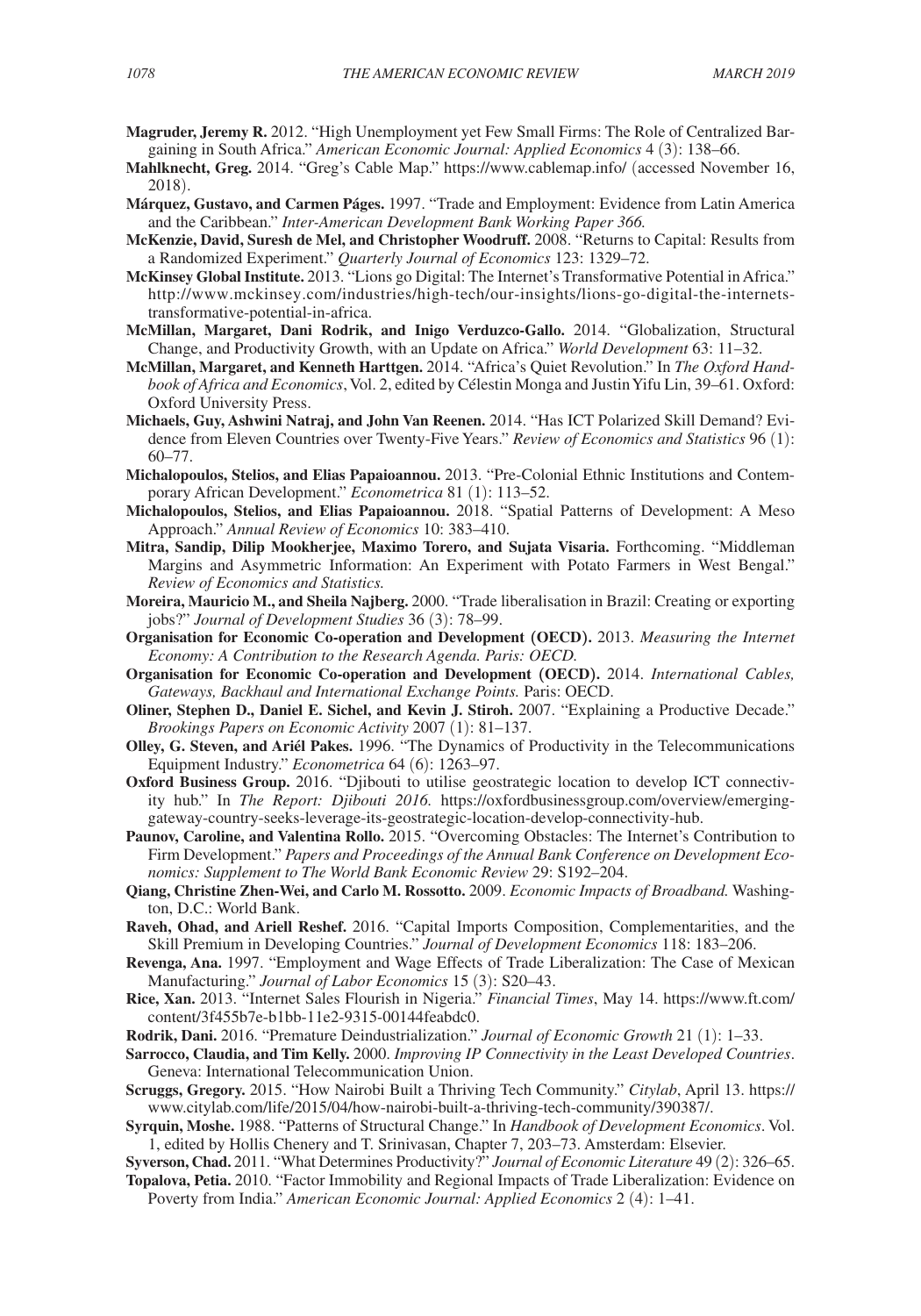- **Magruder, Jeremy R.** 2012. "High Unemployment yet Few Small Firms: The Role of Centralized Bargaining in South Africa." *American Economic Journal: Applied Economics* 4 (3): 138–66.
- **Mahlknecht, Greg.** 2014. "Greg's Cable Map." https://www.cablemap.info/ (accessed November 16, 2018).
- **Márquez, Gustavo, and Carmen Páges.** 1997. "Trade and Employment: Evidence from Latin America and the Caribbean." *Inter-American Development Bank Working Paper 366.*
- **McKenzie, David, Suresh de Mel, and Christopher Woodruff.** 2008. "Returns to Capital: Results from a Randomized Experiment." *Quarterly Journal of Economics* 123: 1329–72.
- **McKinsey Global Institute.** 2013. "Lions go Digital: The Internet's Transformative Potential in Africa." http://www.mckinsey.com/industries/high-tech/our-insights/lions-go-digital-the-internetstransformative-potential-in-africa.
- **McMillan, Margaret, Dani Rodrik, and Inigo Verduzco-Gallo.** 2014. "Globalization, Structural Change, and Productivity Growth, with an Update on Africa." *World Development* 63: 11–32.
- **McMillan, Margaret, and Kenneth Harttgen.** 2014. "Africa's Quiet Revolution." In *The Oxford Handbook of Africa and Economics*, Vol. 2, edited by Célestin Monga and Justin Yifu Lin, 39–61. Oxford: Oxford University Press.
- **Michaels, Guy, Ashwini Natraj, and John Van Reenen.** 2014. "Has ICT Polarized Skill Demand? Evidence from Eleven Countries over Twenty-Five Years." *Review of Economics and Statistics* 96 (1): 60–77.
- **Michalopoulos, Stelios, and Elias Papaioannou.** 2013. "Pre-Colonial Ethnic Institutions and Contemporary African Development." *Econometrica* 81 (1): 113–52.
- **Michalopoulos, Stelios, and Elias Papaioannou.** 2018. "Spatial Patterns of Development: A Meso Approach." *Annual Review of Economics* 10: 383–410.
- **Mitra, Sandip, Dilip Mookherjee, Maximo Torero, and Sujata Visaria.** Forthcoming. "Middleman Margins and Asymmetric Information: An Experiment with Potato Farmers in West Bengal." *Review of Economics and Statistics.*
- **Moreira, Mauricio M., and Sheila Najberg.** 2000. "Trade liberalisation in Brazil: Creating or exporting jobs?" *Journal of Development Studies* 36 (3): 78–99.
- **Organisation for Economic Co-operation and Development (OECD).** 2013. *Measuring the Internet Economy: A Contribution to the Research Agenda. Paris: OECD.*
- **Organisation for Economic Co-operation and Development (OECD).** 2014. *International Cables, Gateways, Backhaul and International Exchange Points.* Paris: OECD.
- **Oliner, Stephen D., Daniel E. Sichel, and Kevin J. Stiroh.** 2007. "Explaining a Productive Decade." *Brookings Papers on Economic Activity* 2007 (1): 81–137.
- **Olley, G. Steven, and Ariél Pakes.** 1996. "The Dynamics of Productivity in the Telecommunications Equipment Industry." *Econometrica* 64 (6): 1263–97.
- **Oxford Business Group.** 2016. "Djibouti to utilise geostrategic location to develop ICT connectivity hub." In *The Report: Djibouti 2016.* https://oxfordbusinessgroup.com/overview/emerginggateway-country-seeks-leverage-its-geostrategic-location-develop-connectivity-hub.
- **Paunov, Caroline, and Valentina Rollo.** 2015. "Overcoming Obstacles: The Internet's Contribution to Firm Development." *Papers and Proceedings of the Annual Bank Conference on Development Economics: Supplement to The World Bank Economic Review* 29: S192–204.
- **Qiang, Christine Zhen-Wei, and Carlo M. Rossotto.** 2009. *Economic Impacts of Broadband.* Washington, D.C.: World Bank.
- **Raveh, Ohad, and Ariell Reshef.** 2016. "Capital Imports Composition, Complementarities, and the Skill Premium in Developing Countries." *Journal of Development Economics* 118: 183–206.
- **Revenga, Ana.** 1997. "Employment and Wage Effects of Trade Liberalization: The Case of Mexican Manufacturing." *Journal of Labor Economics* 15 (3): S20–43.
- **Rice, Xan.** 2013. "Internet Sales Flourish in Nigeria." *Financial Times*, May 14. https://www.ft.com/ content/3f455b7e-b1bb-11e2-9315-00144feabdc0.
- **Rodrik, Dani.** 2016. "Premature Deindustrialization." *Journal of Economic Growth* 21 (1): 1–33.
- **Sarrocco, Claudia, and Tim Kelly.** 2000. *Improving IP Connectivity in the Least Developed Countries*. Geneva: International Telecommunication Union.
- **Scruggs, Gregory.** 2015. "How Nairobi Built a Thriving Tech Community." *Citylab*, April 13. https:// www.citylab.com/life/2015/04/how-nairobi-built-a-thriving-tech-community/390387/.
- **Syrquin, Moshe.** 1988. "Patterns of Structural Change." In *Handbook of Development Economics*. Vol. 1, edited by Hollis Chenery and T. Srinivasan, Chapter 7, 203–73. Amsterdam: Elsevier.
- **Syverson, Chad.** 2011. "What Determines Productivity?" *Journal of Economic Literature* 49 (2): 326–65. **Topalova, Petia.** 2010. "Factor Immobility and Regional Impacts of Trade Liberalization: Evidence on
- Poverty from India." *American Economic Journal: Applied Economics* 2 (4): 1–41.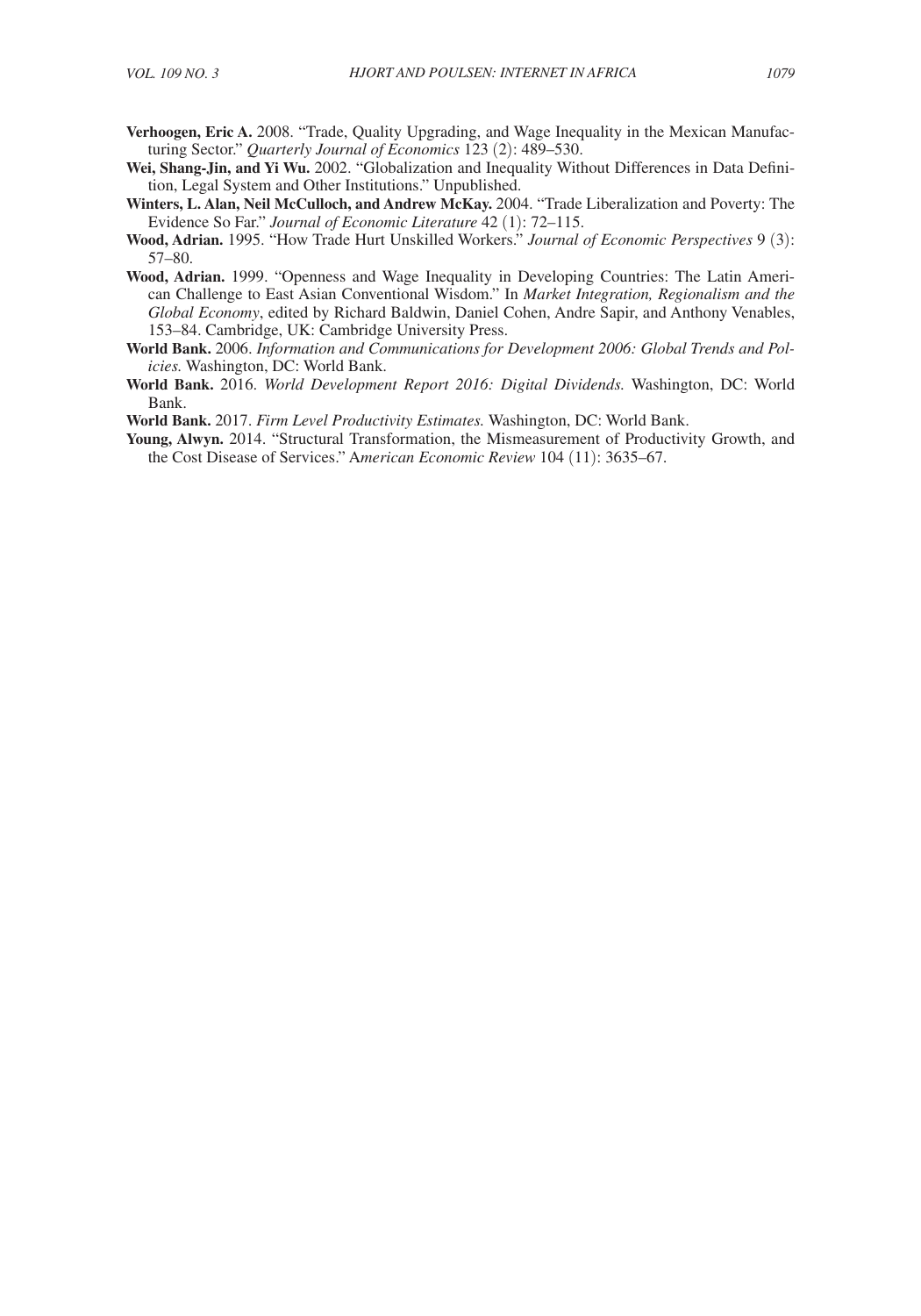- **Verhoogen, Eric A.** 2008. "Trade, Quality Upgrading, and Wage Inequality in the Mexican Manufacturing Sector." *Quarterly Journal of Economics* 123 (2): 489–530.
- **Wei, Shang-Jin, and Yi Wu.** 2002. "Globalization and Inequality Without Differences in Data Definition, Legal System and Other Institutions." Unpublished.
- **Winters, L. Alan, Neil McCulloch, and Andrew McKay.** 2004. "Trade Liberalization and Poverty: The Evidence So Far." *Journal of Economic Literature* 42 (1): 72–115.
- **Wood, Adrian.** 1995. "How Trade Hurt Unskilled Workers." *Journal of Economic Perspectives* 9 (3): 57–80.
- **Wood, Adrian.** 1999. "Openness and Wage Inequality in Developing Countries: The Latin American Challenge to East Asian Conventional Wisdom." In *Market Integration, Regionalism and the Global Economy*, edited by Richard Baldwin, Daniel Cohen, Andre Sapir, and Anthony Venables, 153–84. Cambridge, UK: Cambridge University Press.
- **World Bank.** 2006. *Information and Communications for Development 2006: Global Trends and Policies.* Washington, DC: World Bank.
- **World Bank.** 2016. *World Development Report 2016: Digital Dividends.* Washington, DC: World Bank.
- **World Bank.** 2017. *Firm Level Productivity Estimates.* Washington, DC: World Bank.
- **Young, Alwyn.** 2014. "Structural Transformation, the Mismeasurement of Productivity Growth, and the Cost Disease of Services." A*merican Economic Review* 104 (11): 3635–67.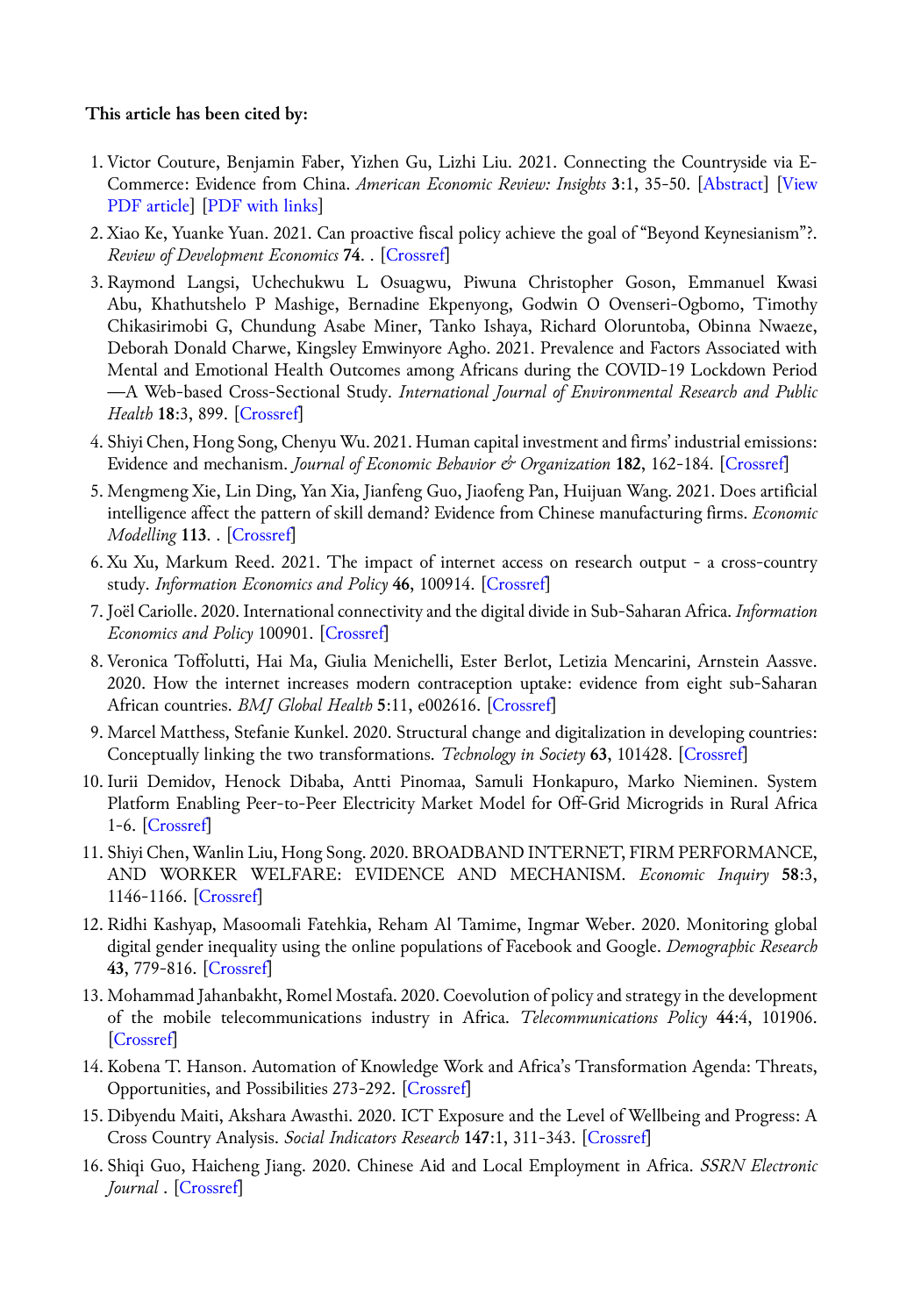## **This article has been cited by:**

- 1. Victor Couture, Benjamin Faber, Yizhen Gu, Lizhi Liu. 2021. Connecting the Countryside via E-Commerce: Evidence from China. *American Economic Review: Insights* **3**:1, 35-50. [Abstract] [View PDF article] [PDF with links]
- 2. Xiao Ke, Yuanke Yuan. 2021. Can proactive fiscal policy achieve the goal of "Beyond Keynesianism"?. *Review of Development Economics* **74**. . [Crossref]
- 3. Raymond Langsi, Uchechukwu L Osuagwu, Piwuna Christopher Goson, Emmanuel Kwasi Abu, Khathutshelo P Mashige, Bernadine Ekpenyong, Godwin O Ovenseri-Ogbomo, Timothy Chikasirimobi G, Chundung Asabe Miner, Tanko Ishaya, Richard Oloruntoba, Obinna Nwaeze, Deborah Donald Charwe, Kingsley Emwinyore Agho. 2021. Prevalence and Factors Associated with Mental and Emotional Health Outcomes among Africans during the COVID-19 Lockdown Period —A Web-based Cross-Sectional Study. *International Journal of Environmental Research and Public Health* **18**:3, 899. [Crossref]
- 4. Shiyi Chen, Hong Song, Chenyu Wu. 2021. Human capital investment and firms' industrial emissions: Evidence and mechanism. *Journal of Economic Behavior & Organization* **182**, 162-184. [Crossref]
- 5. Mengmeng Xie, Lin Ding, Yan Xia, Jianfeng Guo, Jiaofeng Pan, Huijuan Wang. 2021. Does artificial intelligence affect the pattern of skill demand? Evidence from Chinese manufacturing firms. *Economic Modelling* **113**. . [Crossref]
- 6. Xu Xu, Markum Reed. 2021. The impact of internet access on research output a cross-country study. *Information Economics and Policy* **46**, 100914. [Crossref]
- 7. Joël Cariolle. 2020. International connectivity and the digital divide in Sub-Saharan Africa. *Information Economics and Policy* 100901. [Crossref]
- 8. Veronica Toffolutti, Hai Ma, Giulia Menichelli, Ester Berlot, Letizia Mencarini, Arnstein Aassve. 2020. How the internet increases modern contraception uptake: evidence from eight sub-Saharan African countries. *BMJ Global Health* **5**:11, e002616. [Crossref]
- 9. Marcel Matthess, Stefanie Kunkel. 2020. Structural change and digitalization in developing countries: Conceptually linking the two transformations. *Technology in Society* **63**, 101428. [Crossref]
- 10. Iurii Demidov, Henock Dibaba, Antti Pinomaa, Samuli Honkapuro, Marko Nieminen. System Platform Enabling Peer-to-Peer Electricity Market Model for Off-Grid Microgrids in Rural Africa 1-6. [Crossref]
- 11. Shiyi Chen, Wanlin Liu, Hong Song. 2020. BROADBAND INTERNET, FIRM PERFORMANCE, AND WORKER WELFARE: EVIDENCE AND MECHANISM. *Economic Inquiry* **58**:3, 1146-1166. [Crossref]
- 12. Ridhi Kashyap, Masoomali Fatehkia, Reham Al Tamime, Ingmar Weber. 2020. Monitoring global digital gender inequality using the online populations of Facebook and Google. *Demographic Research* **43**, 779-816. [Crossref]
- 13. Mohammad Jahanbakht, Romel Mostafa. 2020. Coevolution of policy and strategy in the development of the mobile telecommunications industry in Africa. *Telecommunications Policy* **44**:4, 101906. [Crossref]
- 14. Kobena T. Hanson. Automation of Knowledge Work and Africa's Transformation Agenda: Threats, Opportunities, and Possibilities 273-292. [Crossref]
- 15. Dibyendu Maiti, Akshara Awasthi. 2020. ICT Exposure and the Level of Wellbeing and Progress: A Cross Country Analysis. *Social Indicators Research* **147**:1, 311-343. [Crossref]
- 16. Shiqi Guo, Haicheng Jiang. 2020. Chinese Aid and Local Employment in Africa. *SSRN Electronic Journal* . [Crossref]